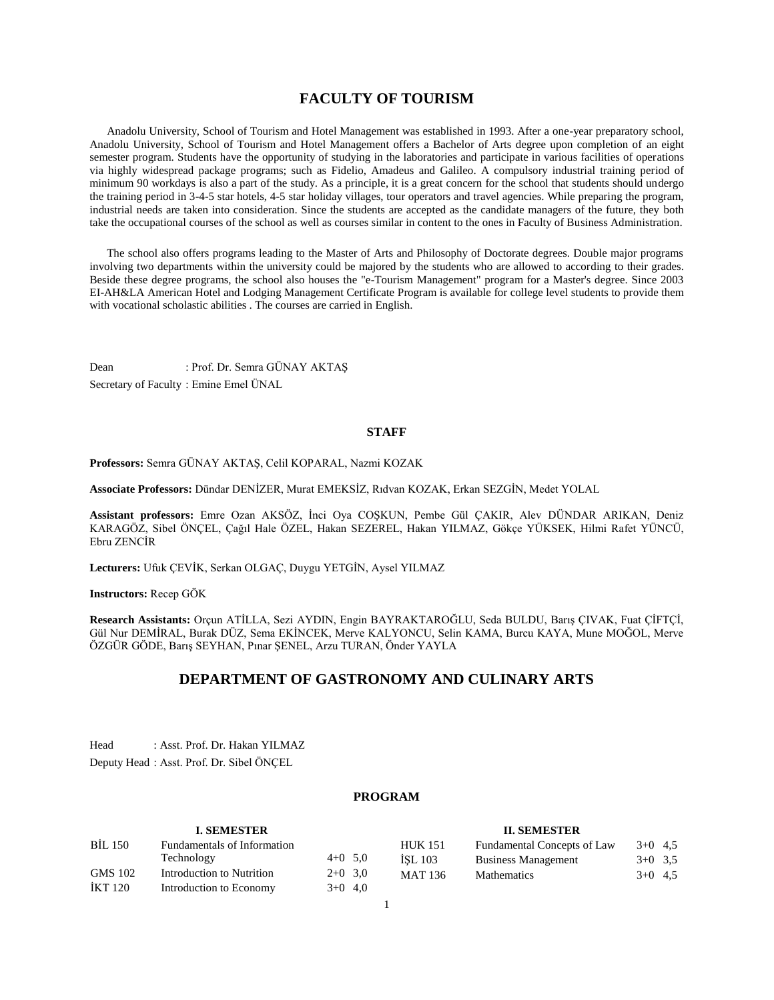## **FACULTY OF TOURISM**

 Anadolu University, School of Tourism and Hotel Management was established in 1993. After a one-year preparatory school, Anadolu University, School of Tourism and Hotel Management offers a Bachelor of Arts degree upon completion of an eight semester program. Students have the opportunity of studying in the laboratories and participate in various facilities of operations via highly widespread package programs; such as Fidelio, Amadeus and Galileo. A compulsory industrial training period of minimum 90 workdays is also a part of the study. As a principle, it is a great concern for the school that students should undergo the training period in 3-4-5 star hotels, 4-5 star holiday villages, tour operators and travel agencies. While preparing the program, industrial needs are taken into consideration. Since the students are accepted as the candidate managers of the future, they both take the occupational courses of the school as well as courses similar in content to the ones in Faculty of Business Administration.

 The school also offers programs leading to the Master of Arts and Philosophy of Doctorate degrees. Double major programs involving two departments within the university could be majored by the students who are allowed to according to their grades. Beside these degree programs, the school also houses the "e-Tourism Management" program for a Master's degree. Since 2003 EI-AH&LA American Hotel and Lodging Management Certificate Program is available for college level students to provide them with vocational scholastic abilities . The courses are carried in English.

Dean : Prof. Dr. Semra GÜNAY AKTAŞ Secretary of Faculty : Emine Emel ÜNAL

## **STAFF**

**Professors:** Semra GÜNAY AKTAŞ, Celil KOPARAL, Nazmi KOZAK

**Associate Professors:** Dündar DENİZER, Murat EMEKSİZ, Rıdvan KOZAK, Erkan SEZGİN, Medet YOLAL

**Assistant professors:** Emre Ozan AKSÖZ, İnci Oya COŞKUN, Pembe Gül ÇAKIR, Alev DÜNDAR ARIKAN, Deniz KARAGÖZ, Sibel ÖNÇEL, Çağıl Hale ÖZEL, Hakan SEZEREL, Hakan YILMAZ, Gökçe YÜKSEK, Hilmi Rafet YÜNCÜ, Ebru ZENCİR

**Lecturers:** Ufuk ÇEVİK, Serkan OLGAÇ, Duygu YETGİN, Aysel YILMAZ

## **Instructors:** Recep GÖK

**Research Assistants:** Orçun ATİLLA, Sezi AYDIN, Engin BAYRAKTAROĞLU, Seda BULDU, Barış ÇIVAK, Fuat ÇİFTÇİ, Gül Nur DEMİRAL, Burak DÜZ, Sema EKİNCEK, Merve KALYONCU, Selin KAMA, Burcu KAYA, Mune MOĞOL, Merve ÖZGÜR GÖDE, Barış SEYHAN, Pınar ŞENEL, Arzu TURAN, Önder YAYLA

## **DEPARTMENT OF GASTRONOMY AND CULINARY ARTS**

Head : Asst. Prof. Dr. Hakan YILMAZ Deputy Head : Asst. Prof. Dr. Sibel ÖNÇEL

## **PROGRAM**

| <b>I. SEMESTER</b> |                             |           | <b>II. SEMESTER</b> |                                    |           |  |
|--------------------|-----------------------------|-----------|---------------------|------------------------------------|-----------|--|
| <b>BIL 150</b>     | Fundamentals of Information |           | <b>HUK 151</b>      | <b>Fundamental Concepts of Law</b> | $3+0$ 4.5 |  |
|                    | Technology                  | $4+0$ 5.0 | ISL 103             | <b>Business Management</b>         | $3+0$ 3.5 |  |
| GMS 102            | Introduction to Nutrition   | $2+0$ 3.0 | <b>MAT 136</b>      | <b>Mathematics</b>                 | $3+0$ 4.5 |  |
| IKT 120            | Introduction to Economy     | $3+0$ 4,0 |                     |                                    |           |  |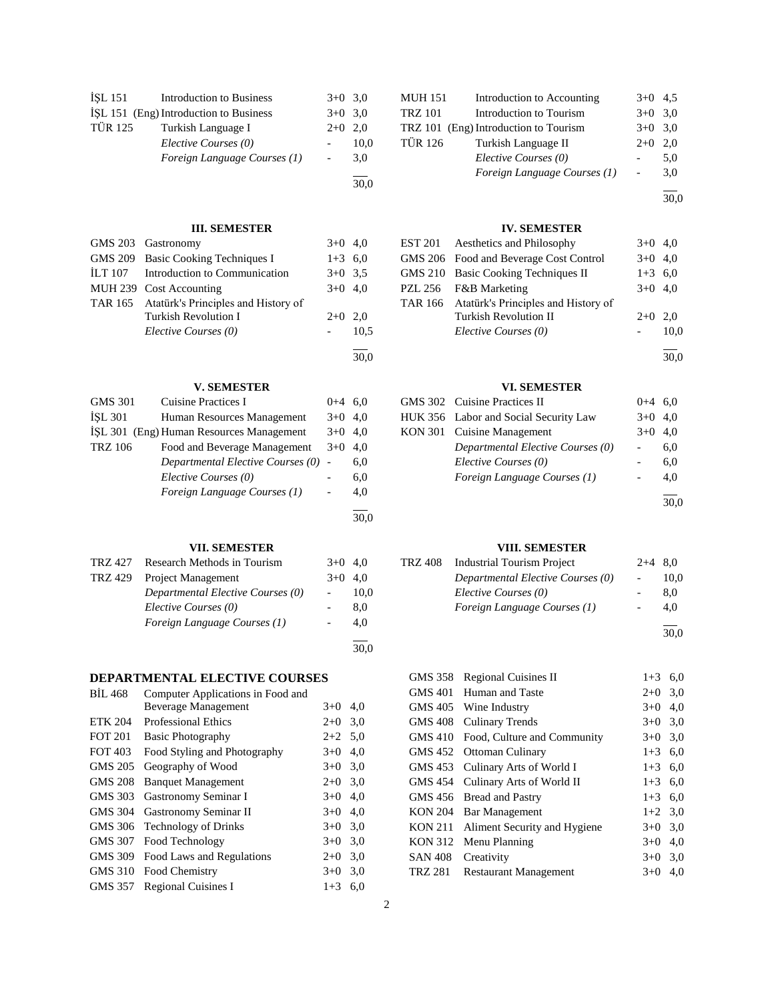| İSL 151 | <b>Introduction to Business</b>        | $3+0$ 3.0                |      |
|---------|----------------------------------------|--------------------------|------|
|         | ISL 151 (Eng) Introduction to Business | $3+0$ 3.0                |      |
| TÜR 125 | Turkish Language I                     | $2+0$ 2.0                |      |
|         | Elective Courses (0)                   |                          | 10,0 |
|         | Foreign Language Courses (1)           | $\overline{\phantom{a}}$ | 3,0  |
|         |                                        |                          |      |
|         |                                        |                          | 30,0 |

## **III. SEMESTER**

|         | GMS 203 Gastronomy                          | $3+0$ 4,0 |      |  |  |
|---------|---------------------------------------------|-----------|------|--|--|
|         | GMS 209 Basic Cooking Techniques I          | $1+3$ 6.0 |      |  |  |
| ILT 107 | Introduction to Communication               | $3+0$ 3.5 |      |  |  |
|         | MUH 239 Cost Accounting                     | $3+0$ 4.0 |      |  |  |
|         | TAR 165 Atatürk's Principles and History of |           |      |  |  |
|         | <b>Turkish Revolution I</b>                 | $2+0$ 2.0 |      |  |  |
|         | Elective Courses (0)                        |           | 10.5 |  |  |
|         |                                             |           |      |  |  |

## **V. SEMESTER**

| VII. SEMESTER  |                                          |         |      |  |  |
|----------------|------------------------------------------|---------|------|--|--|
|                |                                          |         | 30,0 |  |  |
|                | Foreign Language Courses (1)             |         | 4,0  |  |  |
|                | Elective Courses (0)                     |         | 6,0  |  |  |
|                | Departmental Elective Courses (0)        |         | 6,0  |  |  |
| <b>TRZ 106</b> | Food and Beverage Management             | $3+0$   | 4.0  |  |  |
|                | ISL 301 (Eng) Human Resources Management | $3+0$   | 4.0  |  |  |
| <b>ISL 301</b> | Human Resources Management               | $3+0$   | 4.0  |  |  |
| <b>GMS 301</b> | Cuisine Practices I                      | $0 + 4$ | 6.0  |  |  |

|         | TRZ 427 Research Methods in Tourism | $3+0$ 4.0 |      |
|---------|-------------------------------------|-----------|------|
| TRZ 429 | Project Management                  | $3+0$ 4.0 |      |
|         | Departmental Elective Courses (0)   |           | 10.0 |
|         | Elective Courses (0)                |           | 8.0  |
|         | Foreign Language Courses (1)        |           | 4.0  |
|         |                                     |           |      |

## **DEPARTMENTAL ELECTIVE COURSES**

| BIL 468        | Computer Applications in Food and |           |     |
|----------------|-----------------------------------|-----------|-----|
|                | Beverage Management               | $3+0$     | 4,0 |
| <b>ETK 204</b> | <b>Professional Ethics</b>        | $2+0$     | 3,0 |
| <b>FOT 201</b> | <b>Basic Photography</b>          | $2+2$ 5,0 |     |
| <b>FOT 403</b> | Food Styling and Photography      | $3+0$     | 4,0 |
| <b>GMS 205</b> | Geography of Wood                 | $3+0$     | 3,0 |
| <b>GMS 208</b> | <b>Banquet Management</b>         | $2+0$     | 3,0 |
| GMS 303        | Gastronomy Seminar I              | $3+0$     | 4.0 |
| GMS 304        | Gastronomy Seminar II             | $3+0$     | 4,0 |
| <b>GMS 306</b> | <b>Technology of Drinks</b>       | $3+0$     | 3,0 |
| <b>GMS 307</b> | Food Technology                   | $3+0$     | 3,0 |
| <b>GMS 309</b> | Food Laws and Regulations         | $2+0$     | 3,0 |
| <b>GMS 310</b> | Food Chemistry                    | $3+0$     | 3,0 |
| GMS 357        | <b>Regional Cuisines I</b>        | $1 + 3$   | 6,0 |
|                |                                   |           |     |

| <b>MUH 151</b> | Introduction to Accounting            | $3+0$ 4.5                |     |
|----------------|---------------------------------------|--------------------------|-----|
| <b>TRZ 101</b> | Introduction to Tourism               | $3+0$ 3.0                |     |
|                | TRZ 101 (Eng) Introduction to Tourism | $3+0$ 3.0                |     |
| <b>TÜR 126</b> | Turkish Language II                   | $2+0$                    | 2.0 |
|                | Elective Courses (0)                  |                          | 5,0 |
|                | Foreign Language Courses (1)          | $\overline{\phantom{a}}$ | 3,0 |
|                |                                       |                          |     |

30,0

## **IV. SEMESTER**

| <b>EST 201</b> Aesthetics and Philosophy    | $3+0$ 4,0 |      |
|---------------------------------------------|-----------|------|
| GMS 206 Food and Beverage Cost Control      | $3+0$ 4,0 |      |
| GMS 210 Basic Cooking Techniques II         | $1+3$ 6,0 |      |
| PZL 256 F&B Marketing                       | $3+0$ 4,0 |      |
| TAR 166 Atatürk's Principles and History of |           |      |
| <b>Turkish Revolution II</b>                | $2+0$ 2.0 |      |
| Elective Courses (0)                        |           | 10.0 |
|                                             |           |      |

30,0

## **VI. SEMESTER**

| GMS 302 Cuisine Practices II          | $0 + 4$   | 6.0  |
|---------------------------------------|-----------|------|
| HUK 356 Labor and Social Security Law | $3+0$ 4.0 |      |
| KON 301 Cuisine Management            | $3+0$     | 4.0  |
| Departmental Elective Courses (0)     |           | 6,0  |
| Elective Courses (0)                  |           | 6,0  |
| Foreign Language Courses (1)          |           | 4.0  |
|                                       |           |      |
|                                       |           | 30,0 |

## **VIII. SEMESTER**

| TRZ 408 | <b>Industrial Tourism Project</b> | $2+4$ 8.0 |      |
|---------|-----------------------------------|-----------|------|
|         | Departmental Elective Courses (0) |           | 10.0 |
|         | Elective Courses (0)              |           | 8.0  |
|         | Foreign Language Courses (1)      |           | 4.0  |
|         |                                   |           | 200  |

30,0

| <b>GMS 358</b> | <b>Regional Cuisines II</b>  | $1 + 3$ | 6,0 |
|----------------|------------------------------|---------|-----|
| <b>GMS 401</b> | Human and Taste              | $2+0$   | 3,0 |
|                | GMS 405 Wine Industry        | $3+0$   | 4,0 |
| GMS 408        | Culinary Trends              | $3+0$   | 3,0 |
| GMS 410        | Food, Culture and Community  | $3+0$   | 3,0 |
| GMS 452        | Ottoman Culinary             | $1+3$   | 6,0 |
| GMS 453        | Culinary Arts of World I     | $1 + 3$ | 6,0 |
| GMS 454        | Culinary Arts of World II    | $1+3$   | 6,0 |
|                | GMS 456 Bread and Pastry     | $1+3$   | 6,0 |
| <b>KON 204</b> | Bar Management               | $1+2$   | 3,0 |
| <b>KON 211</b> | Aliment Security and Hygiene | $3+0$   | 3,0 |
| <b>KON 312</b> | Menu Planning                | $3+0$   | 4,0 |
| <b>SAN 408</b> | Creativity                   | $3+0$   | 3,0 |
| <b>TRZ 281</b> | <b>Restaurant Management</b> | $3+0$   | 4,0 |
|                |                              |         |     |

30,0

30,0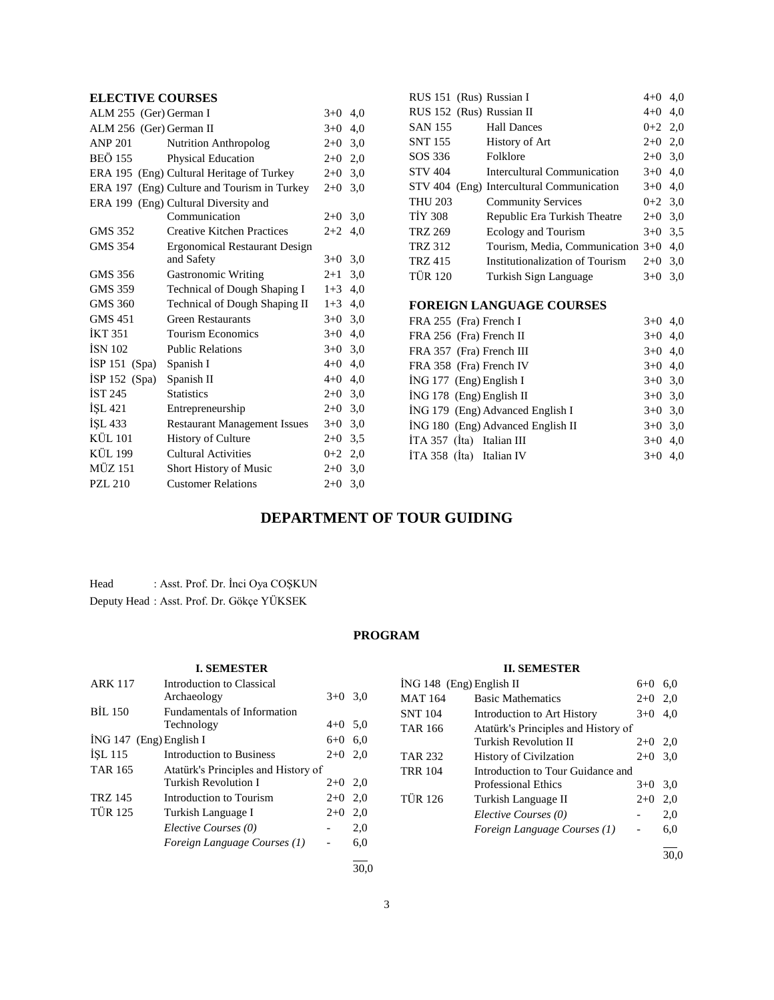## **ELECTIVE COURSES**

| ALM 255 (Ger) German I  |                                             | $3+0$   | 4,0 |
|-------------------------|---------------------------------------------|---------|-----|
| ALM 256 (Ger) German II |                                             | $3+0$   | 4,0 |
| <b>ANP 201</b>          | <b>Nutrition Anthropolog</b>                | $2+0$   | 3,0 |
| <b>BEÖ 155</b>          | Physical Education                          | $2+0$   | 2,0 |
|                         | ERA 195 (Eng) Cultural Heritage of Turkey   | $2+0$   | 3,0 |
|                         | ERA 197 (Eng) Culture and Tourism in Turkey | $2+0$   | 3,0 |
|                         | ERA 199 (Eng) Cultural Diversity and        |         |     |
|                         | Communication                               | $2+0$   | 3,0 |
| GMS 352                 | <b>Creative Kitchen Practices</b>           | $2 + 2$ | 4,0 |
| <b>GMS 354</b>          | <b>Ergonomical Restaurant Design</b>        |         |     |
|                         | and Safety                                  | $3+0$   | 3,0 |
| GMS 356                 | <b>Gastronomic Writing</b>                  | $2 + 1$ | 3,0 |
| GMS 359                 | Technical of Dough Shaping I                | $1+3$   | 4,0 |
| <b>GMS 360</b>          | Technical of Dough Shaping II               | $1+3$   | 4,0 |
| <b>GMS 451</b>          | <b>Green Restaurants</b>                    | $3+0$   | 3,0 |
| <b>İKT 351</b>          | <b>Tourism Economics</b>                    | $3+0$   | 4,0 |
| <b>ISN 102</b>          | <b>Public Relations</b>                     | $3+0$   | 3,0 |
| ISP 151 (Spa)           | Spanish I                                   | $4+0$   | 4,0 |
| $ISP 152$ (Spa)         | Spanish II                                  | $4 + 0$ | 4,0 |
| IST 245                 | <b>Statistics</b>                           | $2+0$   | 3,0 |
| <b>ISL 421</b>          | Entrepreneurship                            | $2+0$   | 3,0 |
| İŞL 433                 | <b>Restaurant Management Issues</b>         | $3+0$   | 3,0 |
| <b>KÜL 101</b>          | <b>History of Culture</b>                   | $2+0$   | 3.5 |
| <b>KÜL 199</b>          | <b>Cultural Activities</b>                  | $0+2$   | 2,0 |
| <b>MÜZ 151</b>          | <b>Short History of Music</b>               | $2+0$   | 3,0 |
| <b>PZL 210</b>          | <b>Customer Relations</b>                   | $2+0$   | 3,0 |

| RUS 151 (Rus) Russian I   |                                           | $4 + 0$   | 4,0 |
|---------------------------|-------------------------------------------|-----------|-----|
| RUS 152 (Rus) Russian II  |                                           | $4 + 0$   | 4,0 |
| <b>SAN 155</b>            | <b>Hall Dances</b>                        | $0 + 2$   | 2,0 |
| SNT 155                   | History of Art                            | $2+0$     | 2,0 |
| SOS 336                   | Folklore                                  | $2+0$ 3,0 |     |
| <b>STV 404</b>            | <b>Intercultural Communication</b>        | $3+0$     | 4,0 |
|                           | STV 404 (Eng) Intercultural Communication | $3+0$     | 4,0 |
| <b>THU 203</b>            | <b>Community Services</b>                 | $0 + 2$   | 3,0 |
| <b>TIY 308</b>            | Republic Era Turkish Theatre              | $2+0$     | 3,0 |
| <b>TRZ 269</b>            | <b>Ecology and Tourism</b>                | $3+0$     | 3,5 |
| <b>TRZ 312</b>            | Tourism, Media, Communication 3+0         |           | 4,0 |
| <b>TRZ 415</b>            | Institutionalization of Tourism           | $2+0$     | 3,0 |
| <b>TÜR 120</b>            | Turkish Sign Language                     | $3+0$     | 3,0 |
|                           |                                           |           |     |
|                           | <b>FOREIGN LANGUAGE COURSES</b>           |           |     |
| FRA 255 (Fra) French I    |                                           | $3+0$     | 4,0 |
| FRA 256 (Fra) French II   |                                           | $3+0$     | 4,0 |
| FRA 357 (Fra) French III  |                                           | $3+0$     | 4,0 |
| FRA 358 (Fra) French IV   |                                           | $3+0$     | 4,0 |
| $ING 177$ (Eng) English I |                                           | $3+0$     | 3,0 |

İNG 178 (Eng) English II 3+0 3,0 İNG 179 (Eng) Advanced English I 3+0 3,0  $i$ NG 180 (Eng) Advanced English II  $3+0$  3,0  $\overrightarrow{1}$  ITA 357 ( $\overrightarrow{1}$ ta) Italian III 3+0 4,0 İTA 358 (İta) Italian IV 3+0 4,0

## **DEPARTMENT OF TOUR GUIDING**

Head : Asst. Prof. Dr. İnci Oya COŞKUN Deputy Head : Asst. Prof. Dr. Gökçe YÜKSEK

## **PROGRAM**

|                           | <b>I. SEMESTER</b>                       |           |     |
|---------------------------|------------------------------------------|-----------|-----|
| <b>ARK 117</b>            | Introduction to Classical<br>Archaeology | $3+0$     | 3,0 |
| <b>BIL 150</b>            | <b>Fundamentals of Information</b>       |           |     |
|                           | Technology                               | $4 + 0$   | 5,0 |
| $ING 147$ (Eng) English I |                                          | $6 + 0$   | 6,0 |
| $ISL$ 115                 | <b>Introduction to Business</b>          | $2+0$ 2,0 |     |
| <b>TAR 165</b>            | Atatürk's Principles and History of      |           |     |
|                           | Turkish Revolution I                     | $2+0$ 2,0 |     |
| <b>TRZ 145</b>            | Introduction to Tourism                  | $2+0$     | 2,0 |
| <b>TÜR 125</b>            | Turkish Language I                       | $2+0$     | 2,0 |
|                           | Elective Courses (0)                     |           | 2,0 |
|                           | Foreign Language Courses (1)             |           | 6,0 |
|                           |                                          |           |     |

## **II. SEMESTER**

| ING 148 (Eng) English II |                                     | $6 + 0$   | 6.0  |
|--------------------------|-------------------------------------|-----------|------|
| MAT 164                  | <b>Basic Mathematics</b>            | $2+0$ 2,0 |      |
| SNT 104                  | Introduction to Art History         | $3+0$     | 4.0  |
| TAR 166                  | Atatürk's Principles and History of |           |      |
|                          | Turkish Revolution II               | $2+0$ 2,0 |      |
| TAR 232                  | <b>History of Civilzation</b>       | $2+0$ 3.0 |      |
| TRR 104                  | Introduction to Tour Guidance and   |           |      |
|                          | Professional Ethics                 | $3+0$     | 3,0  |
| TÜR 126                  | Turkish Language II                 | $2+0$     | 2,0  |
|                          | Elective Courses (0)                |           | 2,0  |
|                          | Foreign Language Courses (1)        |           | 6,0  |
|                          |                                     |           | 30.0 |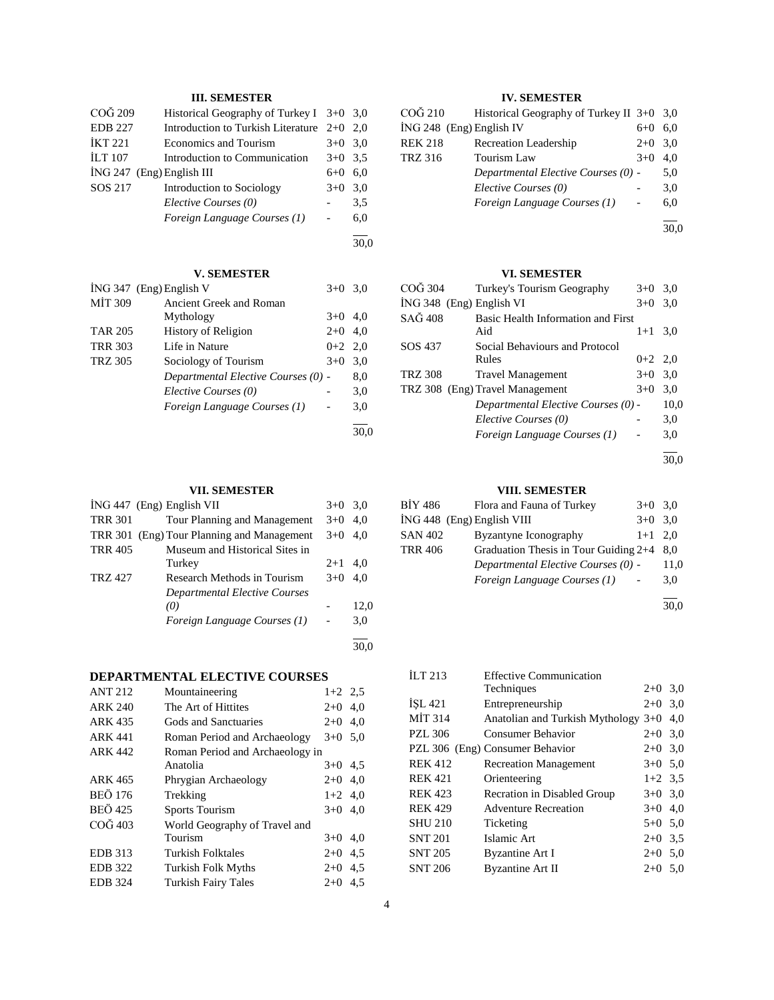## **III. SEMESTER**

| COG 209        | Historical Geography of Turkey I $3+0$ 3,0 |           |     |
|----------------|--------------------------------------------|-----------|-----|
| <b>EDB 227</b> | Introduction to Turkish Literature 2+0 2,0 |           |     |
| <b>İKT 221</b> | Economics and Tourism                      | $3+0$ 3.0 |     |
| <b>ILT 107</b> | Introduction to Communication              | $3+0$ 3.5 |     |
|                | $ING 247$ (Eng) English III                | 6+0       | 6.0 |
| SOS 217        | Introduction to Sociology                  | $3+0$     | 3.0 |
|                | Elective Courses (0)                       |           | 3.5 |
|                | Foreign Language Courses (1)               |           | 6.0 |

#### l 30,0

## **V. SEMESTER**

|                | ING 347 (Eng) English V             | $3+0$     | 3,0 |
|----------------|-------------------------------------|-----------|-----|
| <b>MIT 309</b> | Ancient Greek and Roman             |           |     |
|                | Mythology                           | $3+0$     | 4.0 |
| <b>TAR 205</b> | History of Religion                 | $2+0$     | 4,0 |
| <b>TRR 303</b> | Life in Nature                      | $0+2$ 2.0 |     |
| <b>TRZ 305</b> | Sociology of Tourism                | $3+0$     | 3,0 |
|                | Departmental Elective Courses (0) - |           | 8,0 |
|                | Elective Courses (0)                |           | 3,0 |
|                | Foreign Language Courses (1)        |           | 3,0 |
|                |                                     |           |     |
|                |                                     |           |     |

## **VII. SEMESTER**

|                | ING 447 (Eng) English VII                  | $3+0$ | 3.0  |
|----------------|--------------------------------------------|-------|------|
| <b>TRR 301</b> | Tour Planning and Management               | $3+0$ | 4.0  |
|                | TRR 301 (Eng) Tour Planning and Management | $3+0$ | 4.0  |
| <b>TRR 405</b> | Museum and Historical Sites in             |       |      |
|                | Turkey                                     | $2+1$ | 4.0  |
| TRZ 427        | Research Methods in Tourism                | $3+0$ | 4.0  |
|                | <b>Departmental Elective Courses</b>       |       |      |
|                | (0)                                        |       | 12,0 |
|                | Foreign Language Courses (1)               |       | 3,0  |
|                |                                            |       |      |
|                |                                            |       |      |

## **DEPARTMENTAL ELECTIVE COURSES**

| <b>ANT 212</b> | Mountaineering                  | $1+2$ 2.5 |     |
|----------------|---------------------------------|-----------|-----|
| <b>ARK 240</b> | The Art of Hittites             | $2+0$     | 4.0 |
| <b>ARK 435</b> | Gods and Sanctuaries            | $2+0$     | 4.0 |
| <b>ARK 441</b> | Roman Period and Archaeology    | $3+0$ 5.0 |     |
| <b>ARK 442</b> | Roman Period and Archaeology in |           |     |
|                | Anatolia                        | $3+0$ 4.5 |     |
| ARK 465        | Phrygian Archaeology            | $2+0$     | 4,0 |
| <b>BEÖ 176</b> | Trekking                        | $1+2$ 4.0 |     |
| <b>BEÖ</b> 425 | <b>Sports Tourism</b>           | $3+0$ 4.0 |     |
| COG 403        | World Geography of Travel and   |           |     |
|                | Tourism                         | $3+0$ 4.0 |     |
| <b>EDB</b> 313 | Turkish Folktales               | $2+0$     | 4.5 |
| <b>EDB</b> 322 | <b>Turkish Folk Myths</b>       | $2+0$     | 4,5 |
| <b>EDB</b> 324 | Turkish Fairy Tales             | $2+0$     | 4.5 |
|                |                                 |           |     |

## **IV. SEMESTER**

| CO <sub>G</sub> 210        | Historical Geography of Turkey II $3+0$ 3,0 |       |     |
|----------------------------|---------------------------------------------|-------|-----|
| $ING 248$ (Eng) English IV |                                             | $6+0$ | 6,0 |
| <b>REK 218</b>             | <b>Recreation Leadership</b>                | $2+0$ | 3,0 |
| <b>TRZ 316</b>             | <b>Tourism Law</b>                          | $3+0$ | 4.0 |
|                            | Departmental Elective Courses (0) -         |       | 5,0 |
|                            | Elective Courses (0)                        |       | 3,0 |
|                            | Foreign Language Courses (1)                |       | 6,0 |
|                            |                                             |       |     |

 $\overline{30,0}$ 

## **VI. SEMESTER**

| COĞ 304                  | Turkey's Tourism Geography          | $3+0$ 3.0 |      |
|--------------------------|-------------------------------------|-----------|------|
| ING 348 (Eng) English VI |                                     | $3+0$     | 3,0  |
| SAĞ 408                  | Basic Health Information and First  |           |      |
|                          | Aid                                 | $1+1$     | 3.0  |
| SOS 437                  | Social Behaviours and Protocol      |           |      |
|                          | Rules                               | $0+2$ 2,0 |      |
| <b>TRZ 308</b>           | <b>Travel Management</b>            | $3+0$ 3.0 |      |
|                          | TRZ 308 (Eng) Travel Management     | $3+0$     | 3,0  |
|                          | Departmental Elective Courses (0) - |           | 10,0 |
|                          | Elective Courses (0)                |           | 3,0  |
|                          | Foreign Language Courses (1)        |           | 3,0  |
|                          |                                     |           |      |

30,0

## **VIII. SEMESTER**

| BIY 486        | Flora and Fauna of Turkey                   | $3+0$ 3.0 |      |
|----------------|---------------------------------------------|-----------|------|
|                | ING 448 (Eng) English VIII                  | $3+0$ 3.0 |      |
| <b>SAN 402</b> | Byzantyne Iconography                       | $1+1$ 2.0 |      |
| <b>TRR 406</b> | Graduation Thesis in Tour Guiding $2+4$ 8,0 |           |      |
|                | Departmental Elective Courses (0) -         |           | 11,0 |
|                | Foreign Language Courses (1)                |           | 3,0  |
|                |                                             |           |      |

30,0

| ILT 213        | <b>Effective Communication</b>        |           |     |
|----------------|---------------------------------------|-----------|-----|
|                | Techniques                            | $2+0$ 3.0 |     |
| ISL 421        | Entrepreneurship                      | $2+0$     | 3,0 |
| <b>MIT 314</b> | Anatolian and Turkish Mythology $3+0$ |           | 4,0 |
| <b>PZL 306</b> | Consumer Behavior                     | $2+0$ 3.0 |     |
|                | PZL 306 (Eng) Consumer Behavior       | $2+0$ 3.0 |     |
| <b>REK 412</b> | <b>Recreation Management</b>          | $3+0$ 5.0 |     |
| <b>REK 421</b> | Orienteering                          | $1+2$ 3.5 |     |
| <b>REK 423</b> | Recration in Disabled Group           | $3+0$ 3.0 |     |
| <b>REK 429</b> | <b>Adventure Recreation</b>           | $3+0$ 4.0 |     |
| <b>SHU 210</b> | Ticketing                             | $5+0$ 5.0 |     |
| <b>SNT 201</b> | Islamic Art                           | $2+0$ 3.5 |     |
| <b>SNT 205</b> | <b>Byzantine Art I</b>                | $2+0$ 5.0 |     |
| <b>SNT 206</b> | Byzantine Art II                      | $2+0$     | 5,0 |
|                |                                       |           |     |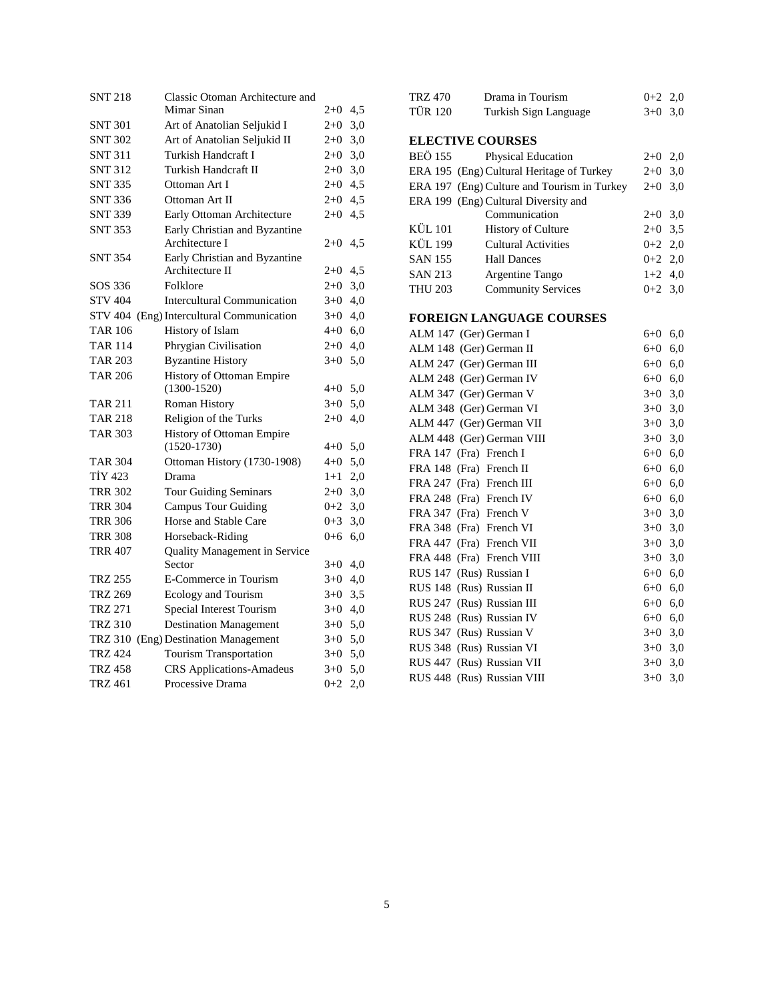| <b>SNT 218</b> | Classic Otoman Architecture and           |           |  |
|----------------|-------------------------------------------|-----------|--|
|                | Mimar Sinan                               | $2+0$ 4,5 |  |
| <b>SNT 301</b> | Art of Anatolian Seljukid I               | $2+0$ 3,0 |  |
| <b>SNT 302</b> | Art of Anatolian Seljukid II              | $2+0$ 3,0 |  |
| <b>SNT 311</b> | Turkish Handcraft I                       | $2+0$ 3,0 |  |
| <b>SNT 312</b> | Turkish Handcraft II                      | $2+0$ 3,0 |  |
| <b>SNT 335</b> | Ottoman Art I                             | $2+0$ 4,5 |  |
| <b>SNT 336</b> | Ottoman Art II                            | $2+0$ 4,5 |  |
| <b>SNT 339</b> | Early Ottoman Architecture                | $2+0$ 4,5 |  |
| <b>SNT 353</b> | Early Christian and Byzantine             |           |  |
|                | Architecture I                            | $2+0$ 4.5 |  |
| <b>SNT 354</b> | Early Christian and Byzantine             |           |  |
|                | Architecture II                           | $2+0$ 4,5 |  |
| SOS 336        | Folklore                                  | $2+0$ 3,0 |  |
| <b>STV 404</b> | <b>Intercultural Communication</b>        | $3+0$ 4,0 |  |
|                | STV 404 (Eng) Intercultural Communication | $3+0$ 4,0 |  |
| <b>TAR 106</b> | History of Islam                          | $4+0$ 6,0 |  |
| <b>TAR 114</b> | Phrygian Civilisation                     | $2+0$ 4,0 |  |
| TAR 203        | <b>Byzantine History</b>                  | $3+0$ 5,0 |  |
| <b>TAR 206</b> | History of Ottoman Empire                 |           |  |
|                | $(1300-1520)$                             | $4+0$ 5.0 |  |
| <b>TAR 211</b> | Roman History                             | $3+0$ 5,0 |  |
| <b>TAR 218</b> | Religion of the Turks                     | $2+0$ 4,0 |  |
| <b>TAR 303</b> | History of Ottoman Empire                 |           |  |
|                | $(1520-1730)$                             | $4+0$ 5,0 |  |
| <b>TAR 304</b> | Ottoman History (1730-1908)               | $4+0$ 5,0 |  |
| TIY 423        | Drama                                     | $1+1$ 2,0 |  |
| <b>TRR 302</b> | Tour Guiding Seminars                     | $2+0$ 3,0 |  |
| <b>TRR 304</b> | <b>Campus Tour Guiding</b>                | $0+2$ 3,0 |  |
| <b>TRR 306</b> | Horse and Stable Care                     | $0+3$ 3,0 |  |
| <b>TRR 308</b> | Horseback-Riding                          | $0+6$ 6,0 |  |
| <b>TRR 407</b> | <b>Quality Management in Service</b>      |           |  |
|                | Sector                                    | $3+0$ 4,0 |  |
| TRZ 255        | E-Commerce in Tourism                     | $3+0$ 4,0 |  |
| <b>TRZ 269</b> | Ecology and Tourism                       | $3+0$ 3,5 |  |
| <b>TRZ 271</b> | Special Interest Tourism                  | $3+0$ 4,0 |  |
| <b>TRZ 310</b> | <b>Destination Management</b>             | $3+0$ 5,0 |  |
|                | TRZ 310 (Eng) Destination Management      | $3+0$ 5,0 |  |
| <b>TRZ 424</b> | <b>Tourism Transportation</b>             | $3+0$ 5,0 |  |
| <b>TRZ 458</b> | <b>CRS</b> Applications-Amadeus           | $3+0$ 5,0 |  |
| <b>TRZ 461</b> | Processive Drama                          | $0+2$ 2,0 |  |

| <b>TRZ 470</b> | Drama in Tourism                            | $0 + 2$ | 2,0 |
|----------------|---------------------------------------------|---------|-----|
| <b>TÜR 120</b> | Turkish Sign Language                       | $3+0$   | 3,0 |
|                |                                             |         |     |
|                | <b>ELECTIVE COURSES</b>                     |         |     |
| <b>BEÖ</b> 155 | Physical Education                          | $2 + 0$ | 2,0 |
|                | ERA 195 (Eng) Cultural Heritage of Turkey   | $2 + 0$ | 3,0 |
|                | ERA 197 (Eng) Culture and Tourism in Turkey | $2 + 0$ | 3,0 |
|                | ERA 199 (Eng) Cultural Diversity and        |         |     |
|                | Communication                               | $2+0$   | 3,0 |
| <b>KÜL 101</b> | <b>History of Culture</b>                   | $2 + 0$ | 3,5 |
| <b>KÜL 199</b> | <b>Cultural Activities</b>                  | $0 + 2$ | 2,0 |
| <b>SAN 155</b> | <b>Hall Dances</b>                          | $0 + 2$ | 2,0 |
| <b>SAN 213</b> | Argentine Tango                             | $1+2$   | 4,0 |
| <b>THU 203</b> | <b>Community Services</b>                   | $0 + 2$ | 3,0 |
|                |                                             |         |     |
|                | <b>FOREIGN LANGUAGE COURSES</b>             |         |     |
|                | ALM 147 (Ger) German I                      | $6 + 0$ | 6,0 |
|                | ALM 148 (Ger) German II                     | $6 + 0$ | 6,0 |
|                | ALM 247 (Ger) German III                    | $6 + 0$ | 6,0 |
|                | ALM 248 (Ger) German IV                     | $6 + 0$ | 6,0 |
|                | ALM 347 (Ger) German V                      | $3+0$   | 3,0 |
|                | ALM 348 (Ger) German VI                     | $3+0$   | 3,0 |
|                | ALM 447 (Ger) German VII                    | $3 + 0$ | 3,0 |
|                | ALM 448 (Ger) German VIII                   | $3 + 0$ | 3,0 |
|                | FRA 147 (Fra) French I                      | $6 + 0$ | 6,0 |
|                | FRA 148 (Fra) French II                     | 6+0     | 6,0 |
| FRA 247        | (Fra) French III                            | $6 + 0$ | 6,0 |
|                | FRA 248 (Fra) French IV                     | $6 + 0$ | 6,0 |
|                | FRA 347 (Fra) French V                      | $3+0$   | 3,0 |
|                | FRA 348 (Fra) French VI                     | $3+0$   | 3,0 |
|                | FRA 447 (Fra) French VII                    | $3+0$   | 3,0 |
|                | FRA 448 (Fra) French VIII                   | $3+0$   | 3,0 |
|                | RUS 147 (Rus) Russian I                     | $6 + 0$ | 6,0 |
|                | RUS 148 (Rus) Russian II                    | $6 + 0$ | 6,0 |
|                | RUS 247 (Rus) Russian III                   | $6+0$   | 6,0 |
|                | RUS 248 (Rus) Russian IV                    | 6+0     | 6,0 |
|                | RUS 347 (Rus) Russian V                     | $3+0$   | 3,0 |
|                | RUS 348 (Rus) Russian VI                    | $3+0$   | 3,0 |
|                | RUS 447 (Rus) Russian VII                   | $3+0$   | 3,0 |
|                | RUS 448 (Rus) Russian VIII                  | $3+0$   | 3,0 |
|                |                                             |         |     |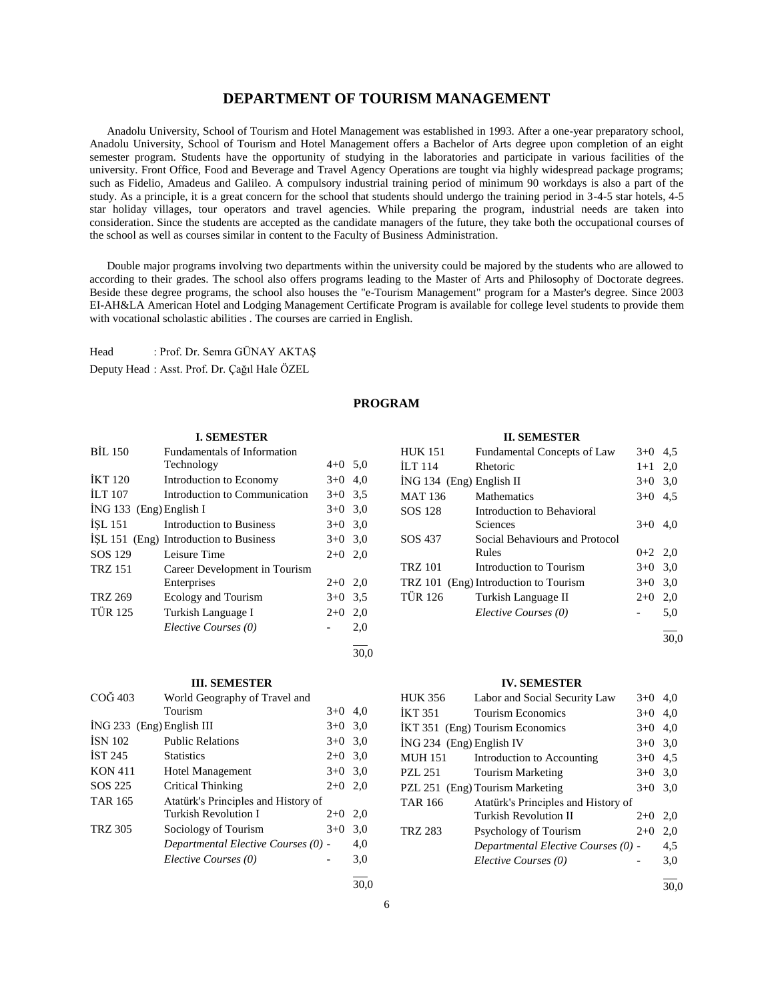## **DEPARTMENT OF TOURISM MANAGEMENT**

 Anadolu University, School of Tourism and Hotel Management was established in 1993. After a one-year preparatory school, Anadolu University, School of Tourism and Hotel Management offers a Bachelor of Arts degree upon completion of an eight semester program. Students have the opportunity of studying in the laboratories and participate in various facilities of the university. Front Office, Food and Beverage and Travel Agency Operations are tought via highly widespread package programs; such as Fidelio, Amadeus and Galileo. A compulsory industrial training period of minimum 90 workdays is also a part of the study. As a principle, it is a great concern for the school that students should undergo the training period in 3-4-5 star hotels, 4-5 star holiday villages, tour operators and travel agencies. While preparing the program, industrial needs are taken into consideration. Since the students are accepted as the candidate managers of the future, they take both the occupational courses of the school as well as courses similar in content to the Faculty of Business Administration.

 Double major programs involving two departments within the university could be majored by the students who are allowed to according to their grades. The school also offers programs leading to the Master of Arts and Philosophy of Doctorate degrees. Beside these degree programs, the school also houses the "e-Tourism Management" program for a Master's degree. Since 2003 EI-AH&LA American Hotel and Lodging Management Certificate Program is available for college level students to provide them with vocational scholastic abilities . The courses are carried in English.

Head : Prof. Dr. Semra GÜNAY AKTAŞ Deputy Head : Asst. Prof. Dr. Çağıl Hale ÖZEL

## **PROGRAM**

#### **I. SEMESTER**

| <b>BIL 150</b>            | <b>Fundamentals of Information</b>     |           |     |
|---------------------------|----------------------------------------|-----------|-----|
|                           | Technology                             | $4+0$ 5.0 |     |
| <b>IKT 120</b>            | Introduction to Economy                | $3+0$ 4,0 |     |
| <b>ILT 107</b>            | Introduction to Communication          | $3+0$ 3,5 |     |
| $ING 133$ (Eng) English I |                                        | $3+0$ 3,0 |     |
| <b>ISL 151</b>            | Introduction to Business               | $3+0$ 3,0 |     |
|                           | ISL 151 (Eng) Introduction to Business | $3+0$ 3,0 |     |
| SOS 129                   | Leisure Time                           | $2+0$ 2,0 |     |
| <b>TRZ 151</b>            | Career Development in Tourism          |           |     |
|                           | Enterprises                            | $2+0$ 2,0 |     |
| <b>TRZ 269</b>            | <b>Ecology and Tourism</b>             | $3+0$ 3.5 |     |
| <b>TÜR 125</b>            | Turkish Language I                     | $2+0$     | 2,0 |
|                           | Elective Courses (0)                   |           | 2,0 |
|                           |                                        |           |     |

#### **III. SEMESTER**

| $CO\ddot{G}$ 403            | World Geography of Travel and       |       |     |
|-----------------------------|-------------------------------------|-------|-----|
|                             | Tourism                             | $3+0$ | 4,0 |
| $ING 233$ (Eng) English III |                                     | $3+0$ | 3,0 |
| <b>ISN 102</b>              | <b>Public Relations</b>             | $3+0$ | 3,0 |
| IST 245                     | <b>Statistics</b>                   | $2+0$ | 3,0 |
| <b>KON 411</b>              | <b>Hotel Management</b>             | $3+0$ | 3,0 |
| SOS 225                     | Critical Thinking                   | $2+0$ | 2,0 |
| <b>TAR 165</b>              | Atatürk's Principles and History of |       |     |
|                             | Turkish Revolution I                | $2+0$ | 2,0 |
| <b>TRZ 305</b>              | Sociology of Tourism                | $3+0$ | 3,0 |
|                             | Departmental Elective Courses (0) - |       | 4,0 |
|                             | Elective Courses (0)                |       | 3,0 |
|                             |                                     |       |     |

#### **II. SEMESTER**

| <b>HUK 151</b>             | Fundamental Concepts of Law           | $3+0$     | 4,5 |
|----------------------------|---------------------------------------|-----------|-----|
| ILT 114                    | Rhetoric                              | $1+1$ 2,0 |     |
| $ING 134$ (Eng) English II |                                       | $3+0$ 3.0 |     |
| <b>MAT 136</b>             | <b>Mathematics</b>                    | $3+0$     | 4,5 |
| SOS 128                    | Introduction to Behavioral            |           |     |
|                            | Sciences                              | $3+0$     | 4.0 |
| SOS 437                    | Social Behaviours and Protocol        |           |     |
|                            | Rules                                 | $0+2$ 2,0 |     |
| <b>TRZ 101</b>             | Introduction to Tourism               | $3+0$ 3.0 |     |
|                            | TRZ 101 (Eng) Introduction to Tourism | $3+0$     | 3,0 |
| <b>TÜR 126</b>             | Turkish Language II                   | $2+0$     | 2,0 |
|                            | Elective Courses (0)                  |           | 5,0 |
|                            |                                       |           |     |

30,0

#### **IV. SEMESTER**

| <b>HUK 356</b>             | Labor and Social Security Law       | $3+0$ | 4.0 |
|----------------------------|-------------------------------------|-------|-----|
| <b>IKT 351</b>             | <b>Tourism Economics</b>            | $3+0$ | 4.0 |
|                            | IKT 351 (Eng) Tourism Economics     | $3+0$ | 4.0 |
| $ING 234$ (Eng) English IV |                                     | $3+0$ | 3,0 |
| <b>MUH 151</b>             | Introduction to Accounting          | $3+0$ | 4.5 |
| <b>PZL 251</b>             | <b>Tourism Marketing</b>            | $3+0$ | 3,0 |
|                            | PZL 251 (Eng) Tourism Marketing     | $3+0$ | 3,0 |
| <b>TAR 166</b>             | Atatürk's Principles and History of |       |     |
|                            | Turkish Revolution II               | $2+0$ | 2,0 |
| <b>TRZ 283</b>             | Psychology of Tourism               | $2+0$ | 2,0 |
|                            | Departmental Elective Courses (0) - |       | 4,5 |
|                            | Elective Courses (0)                |       | 3,0 |
|                            |                                     |       |     |

l  $\frac{1}{30.0}$ 

30,0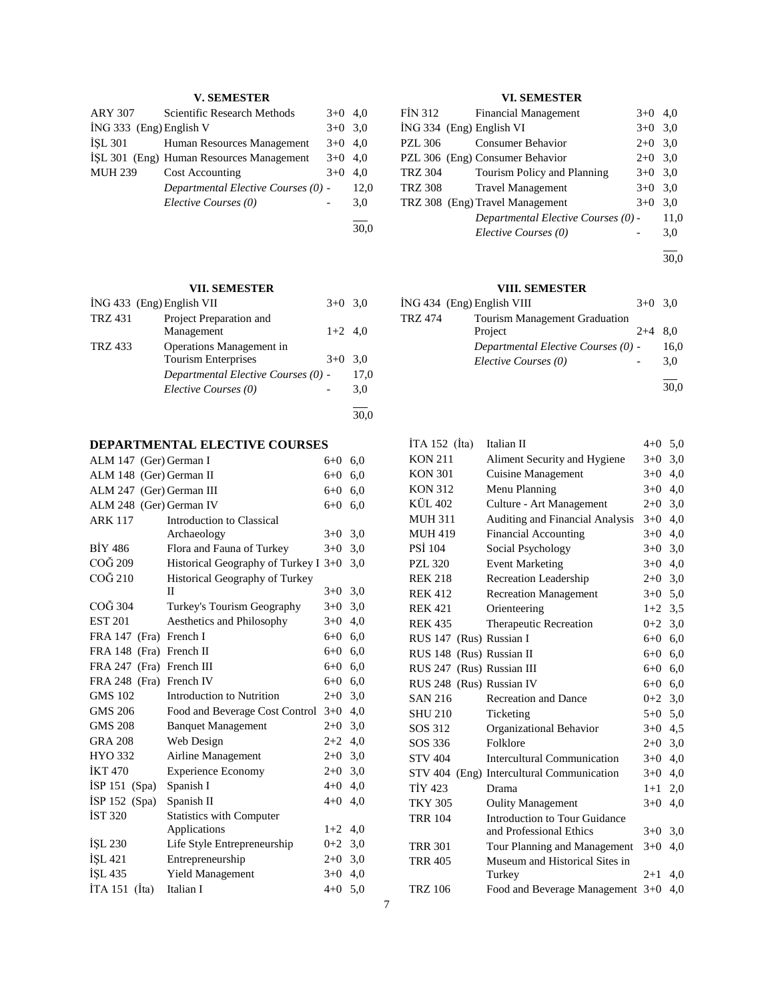## **V. SEMESTER**

| <b>ARY 307</b>            | Scientific Research Methods              | $3+0$     | 4.0  |
|---------------------------|------------------------------------------|-----------|------|
| $ING 333$ (Eng) English V |                                          | $3+0$ 3.0 |      |
| <b>ISL 301</b>            | Human Resources Management               | $3+0$ 4.0 |      |
|                           | ISL 301 (Eng) Human Resources Management | $3+0$ 4,0 |      |
| <b>MUH 239</b>            | Cost Accounting                          | $3+0$     | 4.0  |
|                           | Departmental Elective Courses (0) -      |           | 12,0 |
|                           | Elective Courses (0)                     |           | 3,0  |
|                           |                                          |           | 30.0 |
|                           |                                          |           |      |

**VII. SEMESTER**

|                | İNG 433 (Eng) English VII           | $3+0$ 3.0 |      |
|----------------|-------------------------------------|-----------|------|
| <b>TRZ 431</b> | Project Preparation and             |           |      |
|                | Management                          | $1+2$ 4,0 |      |
| <b>TRZ 433</b> | Operations Management in            |           |      |
|                | <b>Tourism Enterprises</b>          | $3+0$     | 3.0  |
|                | Departmental Elective Courses (0) - |           | 17,0 |
|                | Elective Courses (0)                |           | 3,0  |
|                |                                     |           | 30,0 |

# **DEPARTMENTAL ELECTIVE COURSES**

| ALM 147 (Ger) German I   |                                        | $6 + 0$ | 6,0 |
|--------------------------|----------------------------------------|---------|-----|
| ALM 148 (Ger) German II  |                                        | $6 + 0$ | 6,0 |
| ALM 247 (Ger) German III |                                        | $6 + 0$ | 6,0 |
| ALM 248 (Ger) German IV  |                                        | $6 + 0$ | 6,0 |
| <b>ARK 117</b>           | Introduction to Classical              |         |     |
|                          | Archaeology                            | $3+0$   | 3,0 |
| <b>BIY 486</b>           | Flora and Fauna of Turkey              | $3+0$   | 3,0 |
| COĞ 209                  | Historical Geography of Turkey I $3+0$ |         | 3,0 |
| COĞ 210                  | <b>Historical Geography of Turkey</b>  |         |     |
|                          | H                                      | $3+0$   | 3,0 |
| COG 304                  | Turkey's Tourism Geography             | $3+0$   | 3,0 |
| <b>EST 201</b>           | Aesthetics and Philosophy              | $3+0$   | 4,0 |
| FRA 147 (Fra) French I   |                                        | $6 + 0$ | 6,0 |
| FRA 148 (Fra) French II  |                                        | $6+0$   | 6,0 |
| FRA 247 (Fra) French III |                                        | $6 + 0$ | 6,0 |
| FRA 248 (Fra) French IV  |                                        | $6+0$   | 6,0 |
| <b>GMS 102</b>           | <b>Introduction to Nutrition</b>       | $2+0$   | 3,0 |
| <b>GMS 206</b>           | Food and Beverage Cost Control         | $3+0$   | 4,0 |
| <b>GMS 208</b>           | <b>Banquet Management</b>              | $2+0$   | 3,0 |
| <b>GRA 208</b>           | Web Design                             | $2+2$   | 4,0 |
| HYO 332                  | Airline Management                     | $2+0$   | 3,0 |
| <b>İKT470</b>            | <b>Experience Economy</b>              | $2 + 0$ | 3,0 |
| $ISP 151$ (Spa)          | Spanish I                              | $4 + 0$ | 4,0 |
| İSP 152 (Spa)            | Spanish II                             | $4 + 0$ | 4,0 |
| IST 320                  | <b>Statistics with Computer</b>        |         |     |
|                          | Applications                           | $1+2$   | 4,0 |
| ISL 230                  | Life Style Entrepreneurship            | $0 + 2$ | 3,0 |
| ISL 421                  | Entrepreneurship                       | $2+0$   | 3,0 |
| ISL 435                  | Yield Management                       | $3+0$   | 4,0 |
| ITA 151<br>(Ita)         | Italian I                              | $4 + 0$ | 5,0 |

## **VI. SEMESTER**

| FIN 312                  | <b>Financial Management</b>         | $3+0$ 4,0 |      |
|--------------------------|-------------------------------------|-----------|------|
| ING 334 (Eng) English VI |                                     | $3+0$ 3.0 |      |
| <b>PZL 306</b>           | <b>Consumer Behavior</b>            | $2+0$ 3.0 |      |
|                          | PZL 306 (Eng) Consumer Behavior     | $2+0$ 3,0 |      |
| <b>TRZ 304</b>           | Tourism Policy and Planning         | $3+0$ 3.0 |      |
| <b>TRZ 308</b>           | <b>Travel Management</b>            | $3+0$ 3.0 |      |
|                          | TRZ 308 (Eng) Travel Management     | $3+0$     | 3,0  |
|                          | Departmental Elective Courses (0) - |           | 11,0 |
|                          | Elective Courses (0)                |           | 3,0  |

 $\overline{a}$ 30,0

## **VIII. SEMESTER**

|         | ING 434 (Eng) English VIII           | $3+0$ 3.0 |      |
|---------|--------------------------------------|-----------|------|
| TRZ 474 | <b>Tourism Management Graduation</b> |           |      |
|         | Project                              | $2+4$     | 8.0  |
|         | Departmental Elective Courses (0) -  |           | 16,0 |
|         | Elective Courses (0)                 |           | 3.0  |
|         |                                      |           | 30.0 |

| İTA 152 (İta)             | <b>Italian II</b>                    | $4 + 0$   | 5,0 |
|---------------------------|--------------------------------------|-----------|-----|
| <b>KON 211</b>            | Aliment Security and Hygiene         | $3+0$     | 3,0 |
| <b>KON 301</b>            | <b>Cuisine Management</b>            | $3+0$     | 4,0 |
| <b>KON 312</b>            | Menu Planning                        | $3+0$     | 4,0 |
| KÜL 402                   | Culture - Art Management             | $2+0$ 3,0 |     |
| <b>MUH 311</b>            | Auditing and Financial Analysis      | $3+0$     | 4,0 |
| <b>MUH 419</b>            | <b>Financial Accounting</b>          | $3+0$     | 4,0 |
| <b>PSI 104</b>            | Social Psychology                    | $3+0$     | 3,0 |
| <b>PZL 320</b>            | <b>Event Marketing</b>               | $3+0$     | 4,0 |
| <b>REK 218</b>            | Recreation Leadership                | $2+0$ 3,0 |     |
| <b>REK 412</b>            | <b>Recreation Management</b>         | $3+0$ 5.0 |     |
| <b>REK 421</b>            | Orienteering                         | $1+2$ 3.5 |     |
| <b>REK 435</b>            | <b>Therapeutic Recreation</b>        | $0 + 2$   | 3,0 |
| RUS 147 (Rus) Russian I   |                                      | $6+0$ 6,0 |     |
| RUS 148 (Rus) Russian II  |                                      | $6+0$ 6,0 |     |
| RUS 247 (Rus) Russian III |                                      | $6+0$ 6,0 |     |
| RUS 248 (Rus) Russian IV  |                                      | $6+0$ 6,0 |     |
| <b>SAN 216</b>            | <b>Recreation and Dance</b>          | $0 + 2$   | 3,0 |
| <b>SHU 210</b>            | Ticketing                            | $5+0$ 5,0 |     |
| SOS 312                   | Organizational Behavior              | $3+0$ 4,5 |     |
| SOS 336                   | Folklore                             | $2+0$ 3,0 |     |
| <b>STV 404</b>            | <b>Intercultural Communication</b>   | $3+0$     | 4,0 |
| <b>STV 404</b>            | (Eng) Intercultural Communication    | $3+0$     | 4,0 |
| <b>TİY 423</b>            | Drama                                | $1+1$     | 2,0 |
| <b>TKY 305</b>            | <b>Oulity Management</b>             | $3+0$     | 4,0 |
| <b>TRR 104</b>            | <b>Introduction to Tour Guidance</b> |           |     |
|                           | and Professional Ethics              | $3+0$     | 3,0 |
| <b>TRR 301</b>            | Tour Planning and Management         | $3+0$     | 4,0 |
| <b>TRR 405</b>            | Museum and Historical Sites in       |           |     |
|                           | Turkey                               | $2+1$     | 4.0 |
| <b>TRZ 106</b>            | Food and Beverage Management 3+0     |           | 4,0 |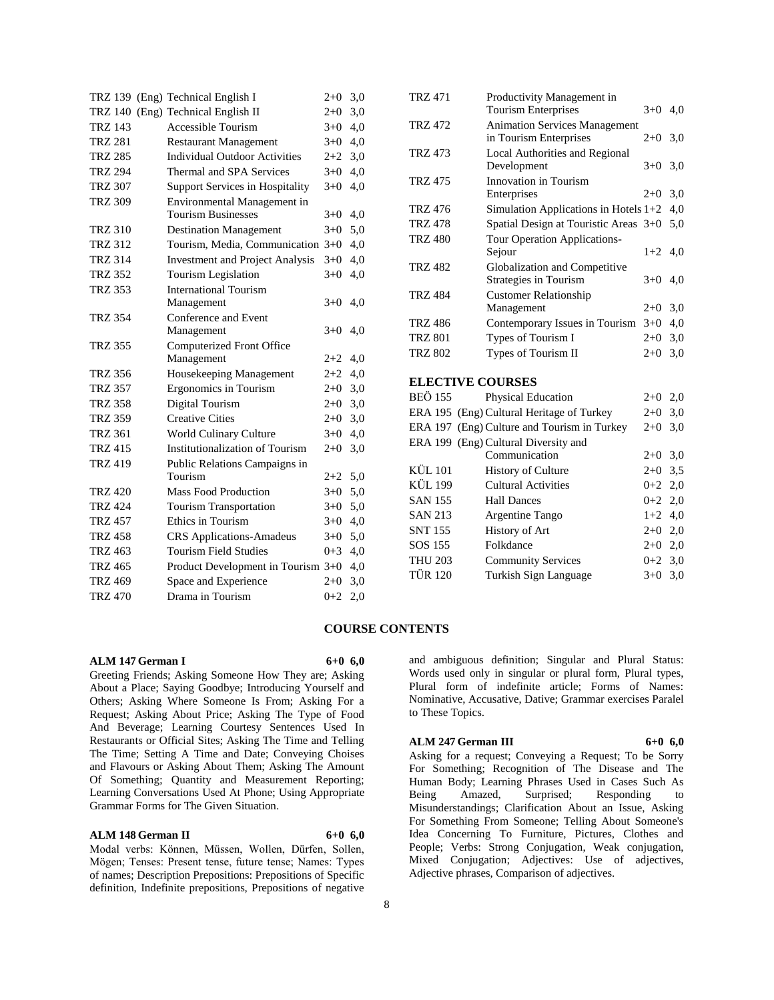|                |  | TRZ 139 (Eng) Technical English I      | $2+0$   | 3,0 |
|----------------|--|----------------------------------------|---------|-----|
|                |  | TRZ 140 (Eng) Technical English II     | $2 + 0$ | 3,0 |
| <b>TRZ 143</b> |  | Accessible Tourism                     | $3+0$   | 4,0 |
| <b>TRZ 281</b> |  | <b>Restaurant Management</b>           | $3+0$   | 4,0 |
| <b>TRZ 285</b> |  | <b>Individual Outdoor Activities</b>   | $2+2$   | 3,0 |
| <b>TRZ 294</b> |  | Thermal and SPA Services               | $3+0$   | 4,0 |
| <b>TRZ 307</b> |  | <b>Support Services in Hospitality</b> | $3+0$   | 4,0 |
| <b>TRZ 309</b> |  | Environmental Management in            |         |     |
|                |  | <b>Tourism Businesses</b>              | $3+0$   | 4,0 |
| <b>TRZ 310</b> |  | <b>Destination Management</b>          | $3+0$   | 5,0 |
| <b>TRZ 312</b> |  | Tourism, Media, Communication 3+0      |         | 4,0 |
| <b>TRZ 314</b> |  | <b>Investment and Project Analysis</b> | $3 + 0$ | 4,0 |
| <b>TRZ 352</b> |  | Tourism Legislation                    | $3+0$   | 4,0 |
| <b>TRZ 353</b> |  | <b>International Tourism</b>           |         |     |
|                |  | Management                             | $3+0$   | 4,0 |
| <b>TRZ 354</b> |  | Conference and Event                   |         |     |
|                |  | Management                             | $3+0$   | 4,0 |
| <b>TRZ 355</b> |  | Computerized Front Office              |         |     |
|                |  | Management                             | $2+2$   | 4,0 |
| <b>TRZ 356</b> |  | Housekeeping Management                | $2+2$   | 4,0 |
| <b>TRZ 357</b> |  | Ergonomics in Tourism                  | $2+0$   | 3,0 |
| <b>TRZ 358</b> |  | Digital Tourism                        | $2+0$   | 3,0 |
| <b>TRZ 359</b> |  | <b>Creative Cities</b>                 | $2+0$   | 3,0 |
| <b>TRZ 361</b> |  | World Culinary Culture                 | $3+0$   | 4,0 |
| <b>TRZ 415</b> |  | Institutionalization of Tourism        | $2+0$   | 3,0 |
| <b>TRZ 419</b> |  | Public Relations Campaigns in          |         |     |
|                |  | Tourism                                | $2+2$   | 5,0 |
| <b>TRZ 420</b> |  | <b>Mass Food Production</b>            | $3+0$   | 5,0 |
| <b>TRZ 424</b> |  | <b>Tourism Transportation</b>          | $3+0$   | 5,0 |
| <b>TRZ 457</b> |  | Ethics in Tourism                      | $3+0$   | 4,0 |
| <b>TRZ 458</b> |  | <b>CRS</b> Applications-Amadeus        | $3+0$   | 5,0 |
| <b>TRZ 463</b> |  | <b>Tourism Field Studies</b>           | $0 + 3$ | 4,0 |
| <b>TRZ 465</b> |  | Product Development in Tourism 3+0     |         | 4,0 |
| <b>TRZ 469</b> |  | Space and Experience                   | $2+0$   | 3,0 |
| <b>TRZ 470</b> |  | Drama in Tourism                       | $0 + 2$ | 2,0 |

|                         | <b>TRZ 471</b> | Productivity Management in<br><b>Tourism Enterprises</b> | $3+0$ 4,0 |     |
|-------------------------|----------------|----------------------------------------------------------|-----------|-----|
|                         | <b>TRZ 472</b> | <b>Animation Services Management</b>                     |           |     |
|                         |                | in Tourism Enterprises                                   | $2+0$     | 3,0 |
|                         | <b>TRZ 473</b> | Local Authorities and Regional                           |           |     |
|                         |                | Development                                              | $3+0$     | 3,0 |
|                         | <b>TRZ 475</b> | Innovation in Tourism                                    |           |     |
|                         |                | Enterprises                                              | $2+0$     | 3,0 |
|                         | <b>TRZ 476</b> | Simulation Applications in Hotels 1+2                    |           | 4,0 |
|                         | <b>TRZ 478</b> | Spatial Design at Touristic Areas 3+0                    |           | 5,0 |
|                         | <b>TRZ 480</b> | Tour Operation Applications-                             |           |     |
|                         |                | Sejour                                                   | $1+2$     | 4,0 |
|                         | <b>TRZ 482</b> | Globalization and Competitive                            |           |     |
|                         |                | Strategies in Tourism                                    | $3+0$     | 4,0 |
|                         | <b>TRZ 484</b> | <b>Customer Relationship</b>                             |           |     |
|                         |                | Management                                               | $2+0$ 3,0 |     |
|                         | <b>TRZ 486</b> | Contemporary Issues in Tourism                           | $3+0$     | 4,0 |
|                         | TRZ 801        | Types of Tourism I                                       | $2+0$     | 3,0 |
|                         | <b>TRZ 802</b> | Types of Tourism II                                      | $2+0$     | 3,0 |
| <b>ELECTIVE COURSES</b> |                |                                                          |           |     |
|                         | <b>BEÖ 155</b> | Physical Education                                       | $2+0$     | 2,0 |
|                         |                | ERA 195 (Eng) Cultural Heritage of Turkey                | $2+0$     | 3,0 |
|                         |                | ERA 197 (Eng) Culture and Tourism in Turkey              | $2 + 0$   | 3,0 |
|                         |                | ERA 199 (Eng) Cultural Diversity and                     |           |     |
|                         |                | Communication                                            | $2+0$ 3,0 |     |
|                         | KÜL 101        | <b>History of Culture</b>                                | $2+0$     | 3,5 |
|                         | KÜL 199        | <b>Cultural Activities</b>                               | $0+2$ 2,0 |     |
|                         | <b>SAN 155</b> | <b>Hall Dances</b>                                       | $0+2$ 2,0 |     |
|                         | <b>SAN 213</b> | Argentine Tango                                          | $1+2$ 4,0 |     |
|                         | <b>SNT 155</b> | History of Art                                           | $2+0$ 2,0 |     |
|                         | SOS 155        | Folkdance                                                | $2+0$ 2,0 |     |
|                         | <b>THU 203</b> | <b>Community Services</b>                                | $0+2$ 3,0 |     |
|                         | <b>TÜR 120</b> | Turkish Sign Language                                    | $3+0$     | 3,0 |
|                         |                |                                                          |           |     |

## **COURSE CONTENTS**

#### **ALM 147 German I 6+0 6,0**

Greeting Friends; Asking Someone How They are; Asking About a Place; Saying Goodbye; Introducing Yourself and Others; Asking Where Someone Is From; Asking For a Request; Asking About Price; Asking The Type of Food And Beverage; Learning Courtesy Sentences Used In Restaurants or Official Sites; Asking The Time and Telling The Time; Setting A Time and Date; Conveying Choises and Flavours or Asking About Them; Asking The Amount Of Something; Quantity and Measurement Reporting; Learning Conversations Used At Phone; Using Appropriate Grammar Forms for The Given Situation.

#### **ALM 148 German II 6+0 6,0**

Modal verbs: Können, Müssen, Wollen, Dürfen, Sollen, Mögen; Tenses: Present tense, future tense; Names: Types of names; Description Prepositions: Prepositions of Specific definition, Indefinite prepositions, Prepositions of negative and ambiguous definition; Singular and Plural Status: Words used only in singular or plural form, Plural types, Plural form of indefinite article; Forms of Names: Nominative, Accusative, Dative; Grammar exercises Paralel to These Topics.

## **ALM 247 German III 6+0 6,0**

Asking for a request; Conveying a Request; To be Sorry For Something; Recognition of The Disease and The Human Body; Learning Phrases Used in Cases Such As Being Amazed, Surprised; Responding to Misunderstandings; Clarification About an Issue, Asking For Something From Someone; Telling About Someone's Idea Concerning To Furniture, Pictures, Clothes and People; Verbs: Strong Conjugation, Weak conjugation, Mixed Conjugation; Adjectives: Use of adjectives, Adjective phrases, Comparison of adjectives.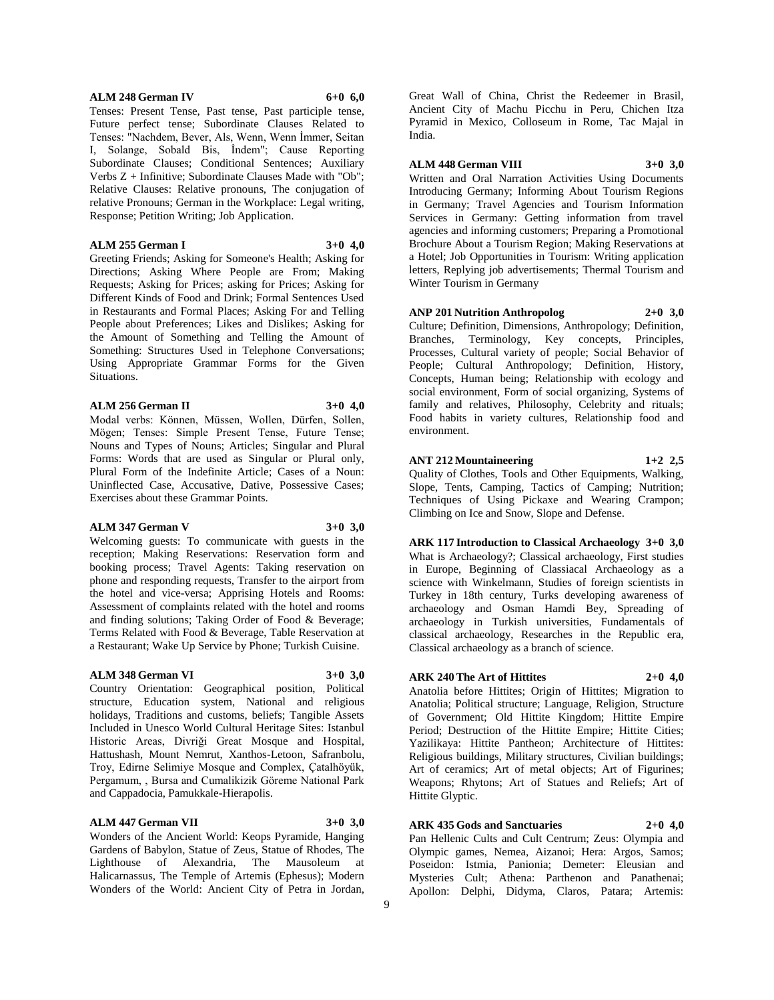## **ALM 248 German IV 6+0 6,0**

Tenses: Present Tense, Past tense, Past participle tense, Future perfect tense; Subordinate Clauses Related to Tenses: "Nachdem, Bever, Als, Wenn, Wenn İmmer, Seitan I, Solange, Sobald Bis, İndem"; Cause Reporting Subordinate Clauses; Conditional Sentences; Auxiliary Verbs Z + Infinitive; Subordinate Clauses Made with "Ob"; Relative Clauses: Relative pronouns, The conjugation of relative Pronouns; German in the Workplace: Legal writing, Response; Petition Writing; Job Application.

## **ALM 255 German I 3+0 4,0**

Greeting Friends; Asking for Someone's Health; Asking for Directions; Asking Where People are From; Making Requests; Asking for Prices; asking for Prices; Asking for Different Kinds of Food and Drink; Formal Sentences Used in Restaurants and Formal Places; Asking For and Telling People about Preferences; Likes and Dislikes; Asking for the Amount of Something and Telling the Amount of Something: Structures Used in Telephone Conversations; Using Appropriate Grammar Forms for the Given Situations.

#### **ALM 256 German II 3+0 4,0**

Modal verbs: Können, Müssen, Wollen, Dürfen, Sollen, Mögen; Tenses: Simple Present Tense, Future Tense; Nouns and Types of Nouns; Articles; Singular and Plural Forms: Words that are used as Singular or Plural only, Plural Form of the Indefinite Article; Cases of a Noun: Uninflected Case, Accusative, Dative, Possessive Cases; Exercises about these Grammar Points.

## **ALM 347 German V 3+0 3,0**

Welcoming guests: To communicate with guests in the reception; Making Reservations: Reservation form and booking process; Travel Agents: Taking reservation on phone and responding requests, Transfer to the airport from the hotel and vice-versa; Apprising Hotels and Rooms: Assessment of complaints related with the hotel and rooms and finding solutions; Taking Order of Food & Beverage; Terms Related with Food & Beverage, Table Reservation at a Restaurant; Wake Up Service by Phone; Turkish Cuisine.

#### **ALM 348 German VI 3+0 3,0**

Country Orientation: Geographical position, Political structure, Education system, National and religious holidays, Traditions and customs, beliefs; Tangible Assets Included in Unesco World Cultural Heritage Sites: Istanbul Historic Areas, Divriği Great Mosque and Hospital, Hattushash, Mount Nemrut, Xanthos-Letoon, Safranbolu, Troy, Edirne Selimiye Mosque and Complex, Çatalhöyük, Pergamum, , Bursa and Cumalikizik Göreme National Park and Cappadocia, Pamukkale-Hierapolis.

#### **ALM 447 German VII 3+0 3,0**

Wonders of the Ancient World: Keops Pyramide, Hanging Gardens of Babylon, Statue of Zeus, Statue of Rhodes, The Lighthouse of Alexandria, The Mausoleum at Halicarnassus, The Temple of Artemis (Ephesus); Modern Wonders of the World: Ancient City of Petra in Jordan,

Great Wall of China, Christ the Redeemer in Brasil, Ancient City of Machu Picchu in Peru, Chichen Itza Pyramid in Mexico, Colloseum in Rome, Tac Majal in India.

## **ALM 448 German VIII 3+0 3,0**

Written and Oral Narration Activities Using Documents Introducing Germany; Informing About Tourism Regions in Germany; Travel Agencies and Tourism Information Services in Germany: Getting information from travel agencies and informing customers; Preparing a Promotional Brochure About a Tourism Region; Making Reservations at a Hotel; Job Opportunities in Tourism: Writing application letters, Replying job advertisements; Thermal Tourism and Winter Tourism in Germany

## **ANP 201 Nutrition Anthropolog 2+0 3,0**

Culture; Definition, Dimensions, Anthropology; Definition, Branches, Terminology, Key concepts, Principles, Processes, Cultural variety of people; Social Behavior of People; Cultural Anthropology; Definition, History, Concepts, Human being; Relationship with ecology and social environment, Form of social organizing, Systems of family and relatives, Philosophy, Celebrity and rituals; Food habits in variety cultures, Relationship food and environment.

## **ANT 212 Mountaineering 1+2 2,5**

Quality of Clothes, Tools and Other Equipments, Walking, Slope, Tents, Camping, Tactics of Camping; Nutrition; Techniques of Using Pickaxe and Wearing Crampon; Climbing on Ice and Snow, Slope and Defense.

**ARK 117 Introduction to Classical Archaeology 3+0 3,0** What is Archaeology?; Classical archaeology, First studies in Europe, Beginning of Classiacal Archaeology as a science with Winkelmann, Studies of foreign scientists in Turkey in 18th century, Turks developing awareness of archaeology and Osman Hamdi Bey, Spreading of archaeology in Turkish universities, Fundamentals of classical archaeology, Researches in the Republic era, Classical archaeology as a branch of science.

## **ARK 240 The Art of Hittites 2+0 4,0**

Anatolia before Hittites; Origin of Hittites; Migration to Anatolia; Political structure; Language, Religion, Structure of Government; Old Hittite Kingdom; Hittite Empire Period; Destruction of the Hittite Empire; Hittite Cities; Yazilikaya: Hittite Pantheon; Architecture of Hittites: Religious buildings, Military structures, Civilian buildings; Art of ceramics; Art of metal objects; Art of Figurines; Weapons; Rhytons; Art of Statues and Reliefs; Art of Hittite Glyptic.

## **ARK 435 Gods and Sanctuaries 2+0 4,0**

Pan Hellenic Cults and Cult Centrum; Zeus: Olympia and Olympic games, Nemea, Aizanoi; Hera: Argos, Samos; Poseidon: Istmia, Panionia; Demeter: Eleusian and Mysteries Cult; Athena: Parthenon and Panathenai; Apollon: Delphi, Didyma, Claros, Patara; Artemis: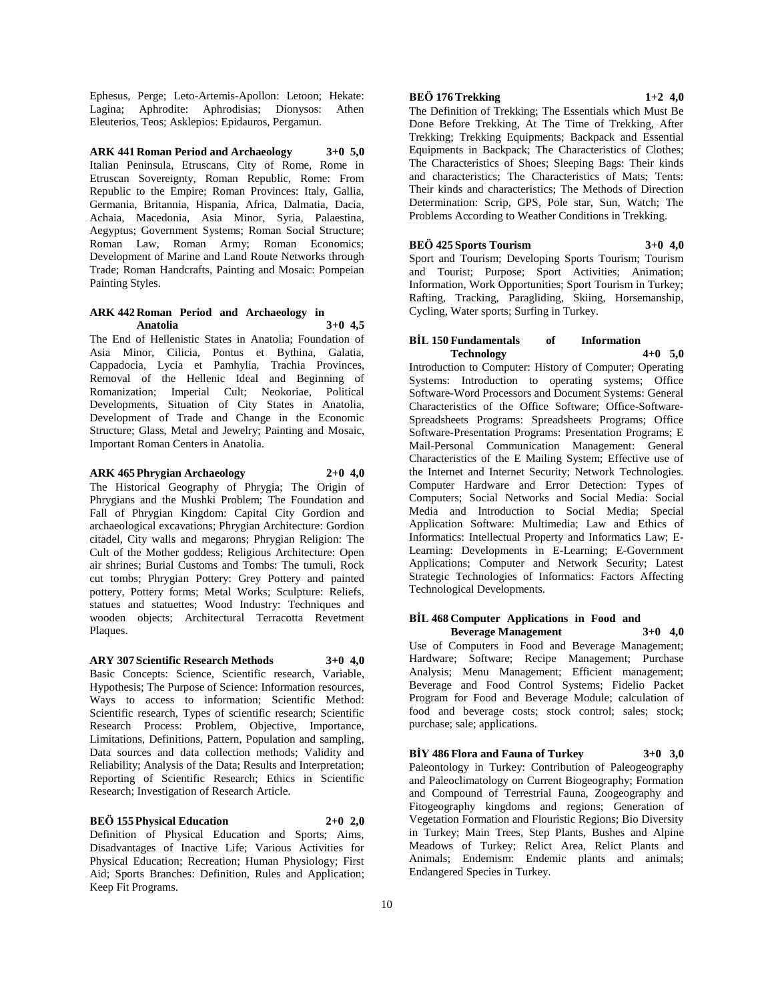Ephesus, Perge; Leto-Artemis-Apollon: Letoon; Hekate: Lagina; Aphrodite: Aphrodisias; Dionysos: Athen Eleuterios, Teos; Asklepios: Epidauros, Pergamun.

**ARK 441 Roman Period and Archaeology 3+0 5,0** Italian Peninsula, Etruscans, City of Rome, Rome in Etruscan Sovereignty, Roman Republic, Rome: From Republic to the Empire; Roman Provinces: Italy, Gallia, Germania, Britannia, Hispania, Africa, Dalmatia, Dacia, Achaia, Macedonia, Asia Minor, Syria, Palaestina, Aegyptus; Government Systems; Roman Social Structure; Roman Law, Roman Army; Roman Economics; Development of Marine and Land Route Networks through Trade; Roman Handcrafts, Painting and Mosaic: Pompeian Painting Styles.

## **ARK 442 Roman Period and Archaeology in Anatolia 3+0 4,5**

The End of Hellenistic States in Anatolia; Foundation of Asia Minor, Cilicia, Pontus et Bythina, Galatia, Cappadocia, Lycia et Pamhylia, Trachia Provinces, Removal of the Hellenic Ideal and Beginning of Romanization; Imperial Cult; Neokoriae, Political Developments, Situation of City States in Anatolia, Development of Trade and Change in the Economic Structure; Glass, Metal and Jewelry; Painting and Mosaic, Important Roman Centers in Anatolia.

#### **ARK 465 Phrygian Archaeology 2+0 4,0**

The Historical Geography of Phrygia; The Origin of Phrygians and the Mushki Problem; The Foundation and Fall of Phrygian Kingdom: Capital City Gordion and archaeological excavations; Phrygian Architecture: Gordion citadel, City walls and megarons; Phrygian Religion: The Cult of the Mother goddess; Religious Architecture: Open air shrines; Burial Customs and Tombs: The tumuli, Rock cut tombs; Phrygian Pottery: Grey Pottery and painted pottery, Pottery forms; Metal Works; Sculpture: Reliefs, statues and statuettes; Wood Industry: Techniques and wooden objects; Architectural Terracotta Revetment Plaques.

**ARY 307 Scientific Research Methods 3+0 4,0**

Basic Concepts: Science, Scientific research, Variable, Hypothesis; The Purpose of Science: Information resources, Ways to access to information; Scientific Method: Scientific research, Types of scientific research; Scientific Research Process: Problem, Objective, Importance, Limitations, Definitions, Pattern, Population and sampling, Data sources and data collection methods; Validity and Reliability; Analysis of the Data; Results and Interpretation; Reporting of Scientific Research; Ethics in Scientific Research; Investigation of Research Article.

## **BEÖ 155 Physical Education 2+0 2,0**

Definition of Physical Education and Sports; Aims, Disadvantages of Inactive Life; Various Activities for Physical Education; Recreation; Human Physiology; First Aid; Sports Branches: Definition, Rules and Application; Keep Fit Programs.

## **BEÖ 176 Trekking 1+2 4,0**

The Definition of Trekking; The Essentials which Must Be Done Before Trekking, At The Time of Trekking, After Trekking; Trekking Equipments; Backpack and Essential Equipments in Backpack; The Characteristics of Clothes; The Characteristics of Shoes; Sleeping Bags: Their kinds and characteristics; The Characteristics of Mats; Tents: Their kinds and characteristics; The Methods of Direction Determination: Scrip, GPS, Pole star, Sun, Watch; The Problems According to Weather Conditions in Trekking.

**BEÖ 425 Sports Tourism 3+0 4,0**

Sport and Tourism; Developing Sports Tourism; Tourism and Tourist; Purpose; Sport Activities; Animation; Information, Work Opportunities; Sport Tourism in Turkey; Rafting, Tracking, Paragliding, Skiing, Horsemanship, Cycling, Water sports; Surfing in Turkey.

## **BİL 150 Fundamentals of Information Technology 4+0 5,0**

Introduction to Computer: History of Computer; Operating Systems: Introduction to operating systems; Office Software-Word Processors and Document Systems: General Characteristics of the Office Software; Office-Software-Spreadsheets Programs: Spreadsheets Programs; Office Software-Presentation Programs: Presentation Programs; E Mail-Personal Communication Management: General Characteristics of the E Mailing System; Effective use of the Internet and Internet Security; Network Technologies. Computer Hardware and Error Detection: Types of Computers; Social Networks and Social Media: Social Media and Introduction to Social Media; Special Application Software: Multimedia; Law and Ethics of Informatics: Intellectual Property and Informatics Law; E-Learning: Developments in E-Learning; E-Government Applications; Computer and Network Security; Latest Strategic Technologies of Informatics: Factors Affecting Technological Developments.

## **BİL 468 Computer Applications in Food and Beverage Management 3+0 4,0**

Use of Computers in Food and Beverage Management; Hardware; Software; Recipe Management; Purchase Analysis; Menu Management; Efficient management; Beverage and Food Control Systems; Fidelio Packet Program for Food and Beverage Module; calculation of food and beverage costs; stock control; sales; stock; purchase; sale; applications.

**BİY 486 Flora and Fauna of Turkey 3+0 3,0**

Paleontology in Turkey: Contribution of Paleogeography and Paleoclimatology on Current Biogeography; Formation and Compound of Terrestrial Fauna, Zoogeography and Fitogeography kingdoms and regions; Generation of Vegetation Formation and Flouristic Regions; Bio Diversity in Turkey; Main Trees, Step Plants, Bushes and Alpine Meadows of Turkey; Relict Area, Relict Plants and Animals; Endemism: Endemic plants and animals; Endangered Species in Turkey.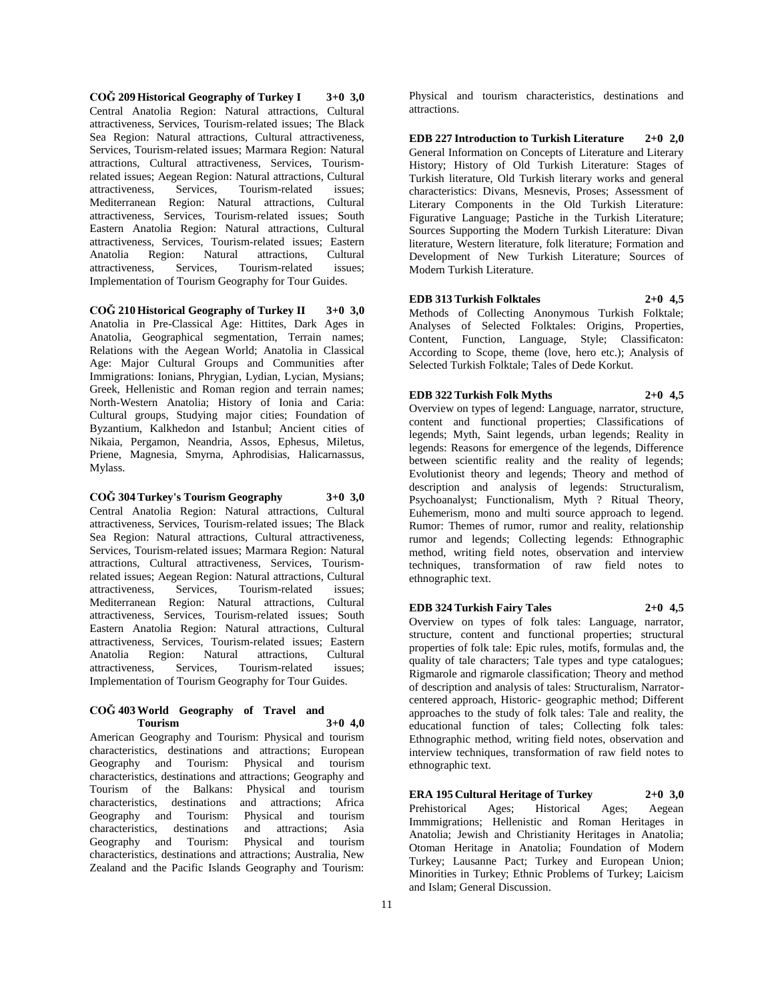**COĞ 209 Historical Geography of Turkey I 3+0 3,0** Central Anatolia Region: Natural attractions, Cultural attractiveness, Services, Tourism-related issues; The Black Sea Region: Natural attractions, Cultural attractiveness, Services, Tourism-related issues; Marmara Region: Natural attractions, Cultural attractiveness, Services, Tourismrelated issues; Aegean Region: Natural attractions, Cultural attractiveness, Services, Tourism-related issues; Mediterranean Region: Natural attractions, Cultural attractiveness, Services, Tourism-related issues; South Eastern Anatolia Region: Natural attractions, Cultural attractiveness, Services, Tourism-related issues; Eastern Anatolia Region: Natural attractions, Cultural attractiveness, Services, Tourism-related issues; Implementation of Tourism Geography for Tour Guides.

**COĞ 210 Historical Geography of Turkey II 3+0 3,0** Anatolia in Pre-Classical Age: Hittites, Dark Ages in Anatolia, Geographical segmentation, Terrain names; Relations with the Aegean World; Anatolia in Classical Age: Major Cultural Groups and Communities after Immigrations: Ionians, Phrygian, Lydian, Lycian, Mysians; Greek, Hellenistic and Roman region and terrain names; North-Western Anatolia; History of Ionia and Caria: Cultural groups, Studying major cities; Foundation of Byzantium, Kalkhedon and Istanbul; Ancient cities of Nikaia, Pergamon, Neandria, Assos, Ephesus, Miletus, Priene, Magnesia, Smyrna, Aphrodisias, Halicarnassus, Mylass.

**COĞ 304 Turkey's Tourism Geography 3+0 3,0** Central Anatolia Region: Natural attractions, Cultural attractiveness, Services, Tourism-related issues; The Black Sea Region: Natural attractions, Cultural attractiveness, Services, Tourism-related issues; Marmara Region: Natural attractions, Cultural attractiveness, Services, Tourismrelated issues; Aegean Region: Natural attractions, Cultural attractiveness, Services, Tourism-related issues; Mediterranean Region: Natural attractions, Cultural attractiveness, Services, Tourism-related issues; South Eastern Anatolia Region: Natural attractions, Cultural attractiveness, Services, Tourism-related issues; Eastern attractions. attractiveness, Services, Tourism-related issues; Implementation of Tourism Geography for Tour Guides.

#### **COĞ 403 World Geography of Travel and Tourism 3+0 4,0**

American Geography and Tourism: Physical and tourism characteristics, destinations and attractions; European Geography and Tourism: Physical and tourism characteristics, destinations and attractions; Geography and Tourism of the Balkans: Physical and tourism characteristics, destinations and attractions; Africa Geography and Tourism: Physical and tourism characteristics, destinations and attractions; Asia Geography and Tourism: Physical and tourism characteristics, destinations and attractions; Australia, New Zealand and the Pacific Islands Geography and Tourism:

Physical and tourism characteristics, destinations and attractions.

**EDB 227 Introduction to Turkish Literature 2+0 2,0** General Information on Concepts of Literature and Literary History; History of Old Turkish Literature: Stages of Turkish literature, Old Turkish literary works and general characteristics: Divans, Mesnevis, Proses; Assessment of Literary Components in the Old Turkish Literature: Figurative Language; Pastiche in the Turkish Literature; Sources Supporting the Modern Turkish Literature: Divan literature, Western literature, folk literature; Formation and Development of New Turkish Literature; Sources of Modern Turkish Literature.

**EDB 313 Turkish Folktales 2+0 4,5** Methods of Collecting Anonymous Turkish Folktale; Analyses of Selected Folktales: Origins, Properties, Content, Function, Language, Style; Classificaton: According to Scope, theme (love, hero etc.); Analysis of Selected Turkish Folktale; Tales of Dede Korkut.

## **EDB 322 Turkish Folk Myths 2+0 4,5**

Overview on types of legend: Language, narrator, structure, content and functional properties; Classifications of legends; Myth, Saint legends, urban legends; Reality in legends: Reasons for emergence of the legends, Difference between scientific reality and the reality of legends; Evolutionist theory and legends; Theory and method of description and analysis of legends: Structuralism, Psychoanalyst; Functionalism, Myth ? Ritual Theory, Euhemerism, mono and multi source approach to legend. Rumor: Themes of rumor, rumor and reality, relationship rumor and legends; Collecting legends: Ethnographic method, writing field notes, observation and interview techniques, transformation of raw field notes to ethnographic text.

## **EDB 324 Turkish Fairy Tales 2+0 4,5**

Overview on types of folk tales: Language, narrator, structure, content and functional properties; structural properties of folk tale: Epic rules, motifs, formulas and, the quality of tale characters; Tale types and type catalogues; Rigmarole and rigmarole classification; Theory and method of description and analysis of tales: Structuralism, Narratorcentered approach, Historic- geographic method; Different approaches to the study of folk tales: Tale and reality, the educational function of tales; Collecting folk tales: Ethnographic method, writing field notes, observation and interview techniques, transformation of raw field notes to ethnographic text.

**ERA 195 Cultural Heritage of Turkey 2+0 3,0**

Prehistorical Ages; Historical Ages; Aegean Immmigrations; Hellenistic and Roman Heritages in Anatolia; Jewish and Christianity Heritages in Anatolia; Otoman Heritage in Anatolia; Foundation of Modern Turkey; Lausanne Pact; Turkey and European Union; Minorities in Turkey; Ethnic Problems of Turkey; Laicism and Islam; General Discussion.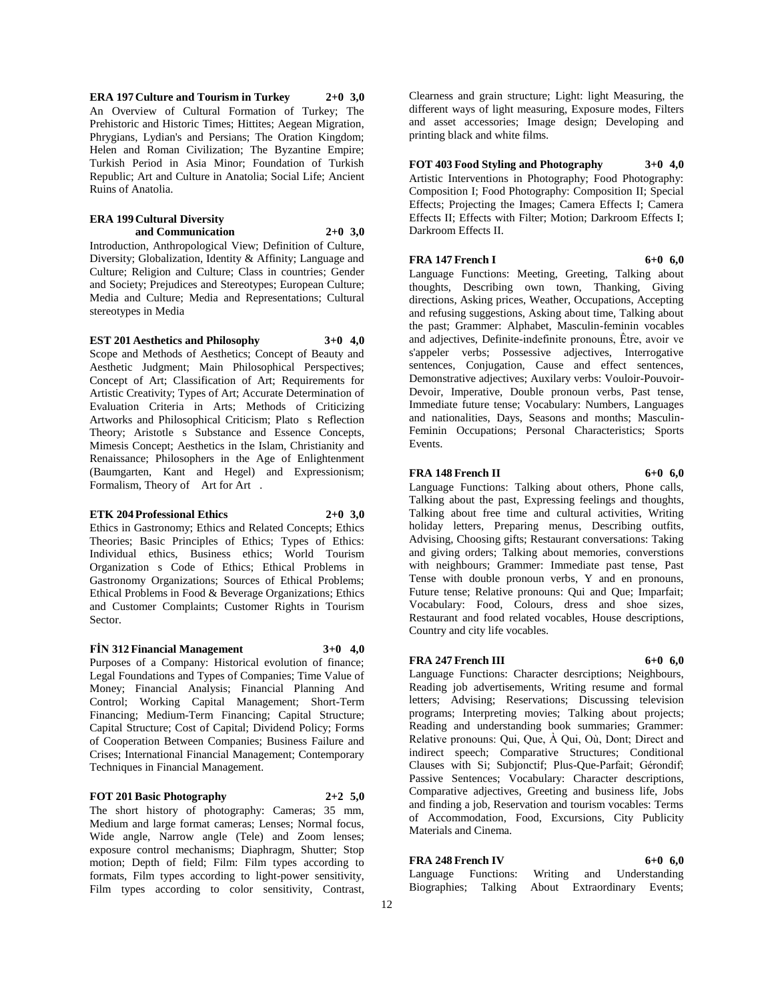**ERA 197 Culture and Tourism in Turkey 2+0 3,0** An Overview of Cultural Formation of Turkey; The Prehistoric and Historic Times; Hittites; Aegean Migration, Phrygians, Lydian's and Persians; The Oration Kingdom; Helen and Roman Civilization; The Byzantine Empire; Turkish Period in Asia Minor; Foundation of Turkish Republic; Art and Culture in Anatolia; Social Life; Ancient Ruins of Anatolia.

## **ERA 199 Cultural Diversity and Communication 2+0 3,0**

Introduction, Anthropological View; Definition of Culture, Diversity; Globalization, Identity & Affinity; Language and Culture; Religion and Culture; Class in countries; Gender and Society; Prejudices and Stereotypes; European Culture; Media and Culture; Media and Representations; Cultural stereotypes in Media

**EST 201 Aesthetics and Philosophy 3+0 4,0** Scope and Methods of Aesthetics; Concept of Beauty and Aesthetic Judgment; Main Philosophical Perspectives;

Concept of Art; Classification of Art; Requirements for Artistic Creativity; Types of Art; Accurate Determination of Evaluation Criteria in Arts; Methods of Criticizing Artworks and Philosophical Criticism; Plato s Reflection Theory; Aristotle s Substance and Essence Concepts, Mimesis Concept; Aesthetics in the Islam, Christianity and Renaissance; Philosophers in the Age of Enlightenment (Baumgarten, Kant and Hegel) and Expressionism; Formalism, Theory of Art for Art.

## **ETK 204 Professional Ethics 2+0 3,0**

Ethics in Gastronomy; Ethics and Related Concepts; Ethics Theories; Basic Principles of Ethics; Types of Ethics: Individual ethics, Business ethics; World Tourism Organization s Code of Ethics; Ethical Problems in Gastronomy Organizations; Sources of Ethical Problems; Ethical Problems in Food & Beverage Organizations; Ethics and Customer Complaints; Customer Rights in Tourism Sector.

## **FİN 312 Financial Management 3+0 4,0**

Purposes of a Company: Historical evolution of finance; Legal Foundations and Types of Companies; Time Value of Money; Financial Analysis; Financial Planning And Control; Working Capital Management; Short-Term Financing; Medium-Term Financing; Capital Structure; Capital Structure; Cost of Capital; Dividend Policy; Forms of Cooperation Between Companies; Business Failure and Crises; International Financial Management; Contemporary Techniques in Financial Management.

## **FOT 201 Basic Photography 2+2 5,0**

The short history of photography: Cameras; 35 mm,

Medium and large format cameras; Lenses; Normal focus, Wide angle, Narrow angle (Tele) and Zoom lenses; exposure control mechanisms; Diaphragm, Shutter; Stop motion; Depth of field; Film: Film types according to formats, Film types according to light-power sensitivity, Film types according to color sensitivity, Contrast,

Clearness and grain structure; Light: light Measuring, the different ways of light measuring, Exposure modes, Filters and asset accessories; Image design; Developing and printing black and white films.

## **FOT 403 Food Styling and Photography 3+0 4,0**

Artistic Interventions in Photography; Food Photography: Composition I; Food Photography: Composition II; Special Effects; Projecting the Images; Camera Effects I; Camera Effects II; Effects with Filter; Motion; Darkroom Effects I; Darkroom Effects II.

## **FRA 147 French I 6+0 6,0**

Language Functions: Meeting, Greeting, Talking about thoughts, Describing own town, Thanking, Giving directions, Asking prices, Weather, Occupations, Accepting and refusing suggestions, Asking about time, Talking about the past; Grammer: Alphabet, Masculin-feminin vocables and adjectives, Definite-indefinite pronouns, Être, avoir ve s'appeler verbs; Possessive adjectives, Interrogative sentences, Conjugation, Cause and effect sentences, Demonstrative adjectives; Auxilary verbs: Vouloir-Pouvoir-Devoir, Imperative, Double pronoun verbs, Past tense, Immediate future tense; Vocabulary: Numbers, Languages and nationalities, Days, Seasons and months; Masculin-Feminin Occupations; Personal Characteristics; Sports Events.

#### **FRA 148 French II 6+0 6,0**

Language Functions: Talking about others, Phone calls, Talking about the past, Expressing feelings and thoughts, Talking about free time and cultural activities, Writing holiday letters, Preparing menus, Describing outfits, Advising, Choosing gifts; Restaurant conversations: Taking and giving orders; Talking about memories, converstions with neighbours; Grammer: Immediate past tense, Past Tense with double pronoun verbs, Y and en pronouns, Future tense; Relative pronouns: Qui and Que; Imparfait; Vocabulary: Food, Colours, dress and shoe sizes, Restaurant and food related vocables, House descriptions, Country and city life vocables.

## **FRA 247 French III 6+0 6,0**

Language Functions: Character desrciptions; Neighbours, Reading job advertisements, Writing resume and formal letters; Advising; Reservations; Discussing television programs; Interpreting movies; Talking about projects; Reading and understanding book summaries; Grammer: Relative pronouns: Qui, Que, À Qui, Où, Dont; Direct and indirect speech; Comparative Structures; Conditional Clauses with Si; Subjonctif; Plus-Que-Parfait; Gérondif; Passive Sentences; Vocabulary: Character descriptions, Comparative adjectives, Greeting and business life, Jobs and finding a job, Reservation and tourism vocables: Terms of Accommodation, Food, Excursions, City Publicity Materials and Cinema.

## **FRA** 248 French IV 6+0 6,0

Language Functions: Writing and Understanding Biographies; Talking About Extraordinary Events;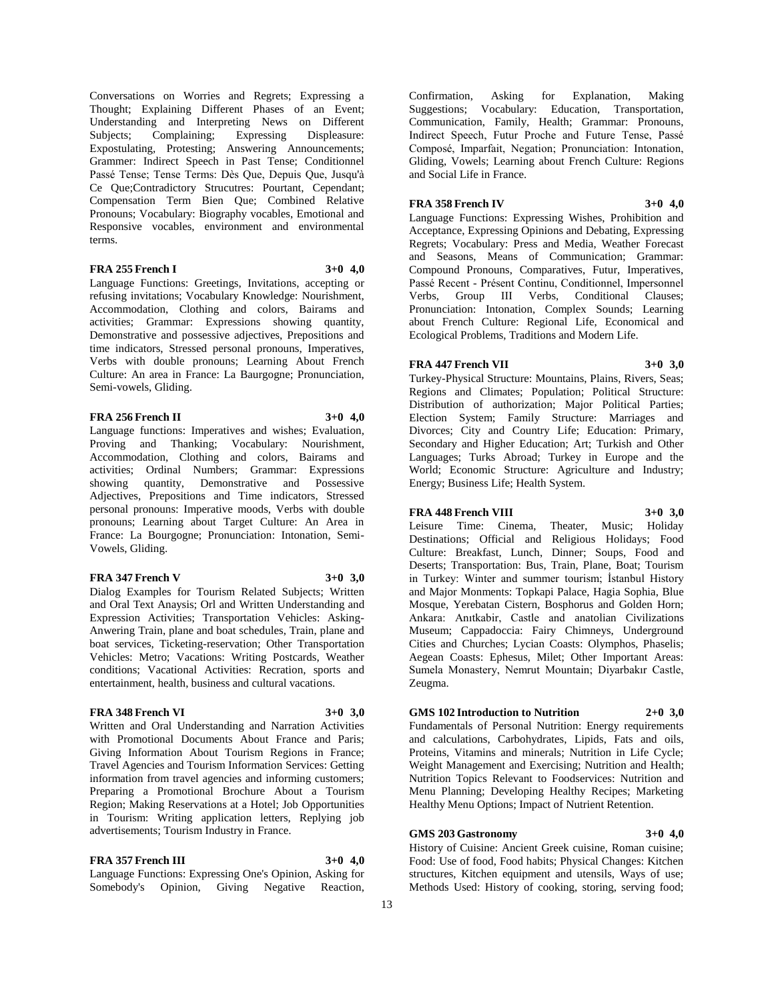Conversations on Worries and Regrets; Expressing a Thought; Explaining Different Phases of an Event; Understanding and Interpreting News on Different Subjects; Complaining; Expressing Displeasure: Expostulating, Protesting; Answering Announcements; Grammer: Indirect Speech in Past Tense; Conditionnel Passé Tense; Tense Terms: Dès Que, Depuis Que, Jusqu'à Ce Que;Contradictory Strucutres: Pourtant, Cependant; Compensation Term Bien Que; Combined Relative Pronouns; Vocabulary: Biography vocables, Emotional and Responsive vocables, environment and environmental terms.

## **FRA 255 French I 3+0 4,0**

Language Functions: Greetings, Invitations, accepting or refusing invitations; Vocabulary Knowledge: Nourishment, Accommodation, Clothing and colors, Bairams and activities; Grammar: Expressions showing quantity, Demonstrative and possessive adjectives, Prepositions and time indicators, Stressed personal pronouns, Imperatives, Verbs with double pronouns; Learning About French Culture: An area in France: La Baurgogne; Pronunciation, Semi-vowels, Gliding.

## **FRA 256 French II 3+0 4,0**

Language functions: Imperatives and wishes; Evaluation, Proving and Thanking; Vocabulary: Nourishment, Accommodation, Clothing and colors, Bairams and activities; Ordinal Numbers; Grammar: Expressions showing quantity, Demonstrative and Possessive Adjectives, Prepositions and Time indicators, Stressed personal pronouns: Imperative moods, Verbs with double pronouns; Learning about Target Culture: An Area in France: La Bourgogne; Pronunciation: Intonation, Semi-Vowels, Gliding.

## **FRA** 347 French V 3+0 3.0

Dialog Examples for Tourism Related Subjects; Written and Oral Text Anaysis; Orl and Written Understanding and Expression Activities; Transportation Vehicles: Asking-Anwering Train, plane and boat schedules, Train, plane and boat services, Ticketing-reservation; Other Transportation Vehicles: Metro; Vacations: Writing Postcards, Weather conditions; Vacational Activities: Recration, sports and entertainment, health, business and cultural vacations.

## **FRA 348 French VI 3+0 3,0**

Written and Oral Understanding and Narration Activities with Promotional Documents About France and Paris; Giving Information About Tourism Regions in France; Travel Agencies and Tourism Information Services: Getting information from travel agencies and informing customers; Preparing a Promotional Brochure About a Tourism Region; Making Reservations at a Hotel; Job Opportunities in Tourism: Writing application letters, Replying job advertisements; Tourism Industry in France.

## **FRA 357 French III 3+0 4,0**

Language Functions: Expressing One's Opinion, Asking for Somebody's Opinion, Giving Negative Reaction,

Confirmation, Asking for Explanation, Making Suggestions; Vocabulary: Education, Transportation, Communication, Family, Health; Grammar: Pronouns, Indirect Speech, Futur Proche and Future Tense, Passé Composé, Imparfait, Negation; Pronunciation: Intonation, Gliding, Vowels; Learning about French Culture: Regions and Social Life in France.

## **FRA 358 French IV 3+0 4,0**

Language Functions: Expressing Wishes, Prohibition and Acceptance, Expressing Opinions and Debating, Expressing Regrets; Vocabulary: Press and Media, Weather Forecast and Seasons, Means of Communication; Grammar: Compound Pronouns, Comparatives, Futur, Imperatives, Passé Recent - Présent Continu, Conditionnel, Impersonnel<br>Verbs, Group III Verbs, Conditional Clauses; Verbs, Group III Verbs, Conditional Clauses; Pronunciation: Intonation, Complex Sounds; Learning about French Culture: Regional Life, Economical and Ecological Problems, Traditions and Modern Life.

## **FRA** 447 French VII 3+0 3.0

Turkey-Physical Structure: Mountains, Plains, Rivers, Seas; Regions and Climates; Population; Political Structure: Distribution of authorization; Major Political Parties; Election System; Family Structure: Marriages and Divorces; City and Country Life; Education: Primary, Secondary and Higher Education; Art; Turkish and Other Languages; Turks Abroad; Turkey in Europe and the World; Economic Structure: Agriculture and Industry; Energy; Business Life; Health System.

## **FRA 448 French VIII 3+0 3,0**

Leisure Time: Cinema, Theater, Music; Holiday Destinations; Official and Religious Holidays; Food Culture: Breakfast, Lunch, Dinner; Soups, Food and Deserts; Transportation: Bus, Train, Plane, Boat; Tourism in Turkey: Winter and summer tourism; İstanbul History and Major Monments: Topkapi Palace, Hagia Sophia, Blue Mosque, Yerebatan Cistern, Bosphorus and Golden Horn; Ankara: Anıtkabir, Castle and anatolian Civilizations Museum; Cappadoccia: Fairy Chimneys, Underground Cities and Churches; Lycian Coasts: Olymphos, Phaselis; Aegean Coasts: Ephesus, Milet; Other Important Areas: Sumela Monastery, Nemrut Mountain; Diyarbakır Castle, Zeugma.

## **GMS 102 Introduction to Nutrition 2+0 3,0**

Fundamentals of Personal Nutrition: Energy requirements and calculations, Carbohydrates, Lipids, Fats and oils, Proteins, Vitamins and minerals; Nutrition in Life Cycle; Weight Management and Exercising; Nutrition and Health; Nutrition Topics Relevant to Foodservices: Nutrition and Menu Planning; Developing Healthy Recipes; Marketing Healthy Menu Options; Impact of Nutrient Retention.

## **GMS 203 Gastronomy 3+0 4,0**

History of Cuisine: Ancient Greek cuisine, Roman cuisine; Food: Use of food, Food habits; Physical Changes: Kitchen structures, Kitchen equipment and utensils, Ways of use; Methods Used: History of cooking, storing, serving food;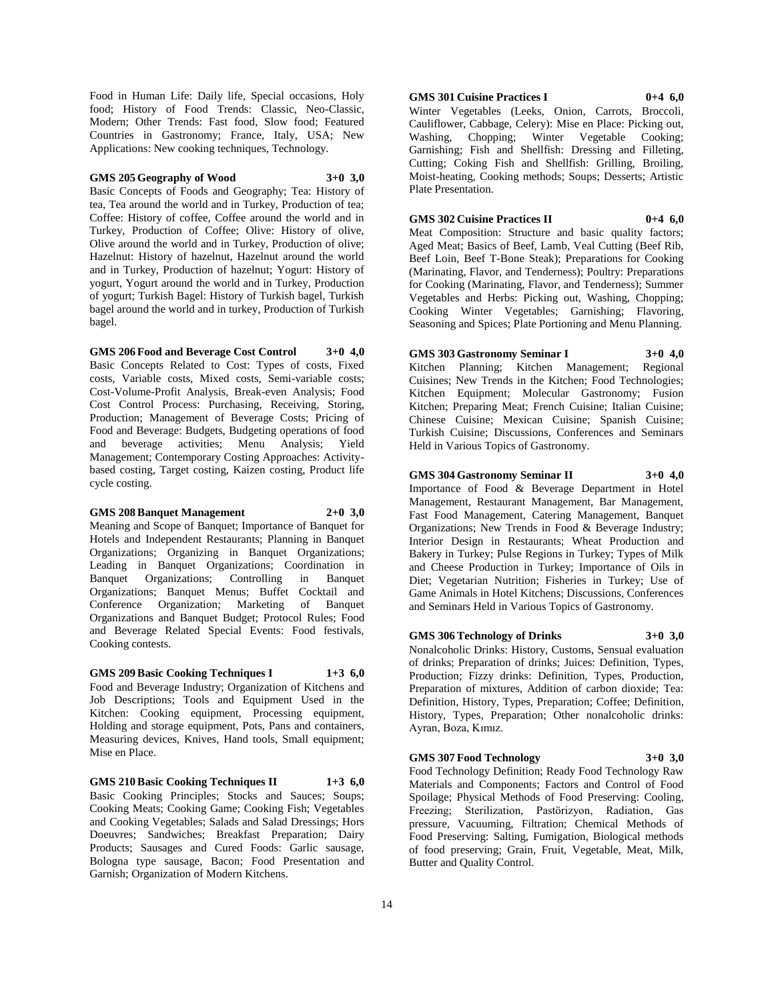Food in Human Life: Daily life, Special occasions, Holy food; History of Food Trends: Classic, Neo-Classic, Modern; Other Trends: Fast food, Slow food; Featured Countries in Gastronomy; France, Italy, USA; New Applications: New cooking techniques, Technology.

## **GMS 205 Geography of Wood 3+0 3,0**

Basic Concepts of Foods and Geography; Tea: History of tea, Tea around the world and in Turkey, Production of tea; Coffee: History of coffee, Coffee around the world and in Turkey, Production of Coffee; Olive: History of olive, Olive around the world and in Turkey, Production of olive; Hazelnut: History of hazelnut, Hazelnut around the world and in Turkey, Production of hazelnut; Yogurt: History of yogurt, Yogurt around the world and in Turkey, Production of yogurt; Turkish Bagel: History of Turkish bagel, Turkish bagel around the world and in turkey, Production of Turkish bagel.

## **GMS 206 Food and Beverage Cost Control 3+0 4,0**

Basic Concepts Related to Cost: Types of costs, Fixed costs, Variable costs, Mixed costs, Semi-variable costs; Cost-Volume-Profit Analysis, Break-even Analysis; Food Cost Control Process: Purchasing, Receiving, Storing, Production; Management of Beverage Costs; Pricing of Food and Beverage: Budgets, Budgeting operations of food and beverage activities; Menu Analysis; Yield Management; Contemporary Costing Approaches: Activitybased costing, Target costing, Kaizen costing, Product life cycle costing.

## **GMS 208 Banquet Management 2+0 3,0**

Meaning and Scope of Banquet; Importance of Banquet for Hotels and Independent Restaurants; Planning in Banquet Organizations; Organizing in Banquet Organizations; Leading in Banquet Organizations; Coordination in Banquet Organizations; Controlling in Banquet Organizations; Banquet Menus; Buffet Cocktail and Conference Organization; Marketing of Banquet Organizations and Banquet Budget; Protocol Rules; Food and Beverage Related Special Events: Food festivals, Cooking contests.

## **GMS 209 Basic Cooking Techniques I 1+3 6,0**

Food and Beverage Industry; Organization of Kitchens and Job Descriptions; Tools and Equipment Used in the Kitchen: Cooking equipment, Processing equipment, Holding and storage equipment, Pots, Pans and containers, Measuring devices, Knives, Hand tools, Small equipment; Mise en Place.

**GMS 210 Basic Cooking Techniques II 1+3 6,0**

Basic Cooking Principles; Stocks and Sauces; Soups; Cooking Meats; Cooking Game; Cooking Fish; Vegetables and Cooking Vegetables; Salads and Salad Dressings; Hors Doeuvres; Sandwiches; Breakfast Preparation; Dairy Products; Sausages and Cured Foods: Garlic sausage, Bologna type sausage, Bacon; Food Presentation and Garnish; Organization of Modern Kitchens.

## **GMS 301 Cuisine Practices I 0+4 6,0**

Winter Vegetables (Leeks, Onion, Carrots, Broccoli, Cauliflower, Cabbage, Celery): Mise en Place: Picking out, Washing, Chopping; Winter Vegetable Cooking; Garnishing; Fish and Shellfish: Dressing and Filleting, Cutting; Coking Fish and Shellfish: Grilling, Broiling, Moist-heating, Cooking methods; Soups; Desserts; Artistic Plate Presentation.

## **GMS 302 Cuisine Practices II 0+4 6,0**

Meat Composition: Structure and basic quality factors; Aged Meat; Basics of Beef, Lamb, Veal Cutting (Beef Rib, Beef Loin, Beef T-Bone Steak); Preparations for Cooking (Marinating, Flavor, and Tenderness); Poultry: Preparations for Cooking (Marinating, Flavor, and Tenderness); Summer Vegetables and Herbs: Picking out, Washing, Chopping; Cooking Winter Vegetables; Garnishing; Flavoring, Seasoning and Spices; Plate Portioning and Menu Planning.

## **GMS 303 Gastronomy Seminar I 3+0 4,0**

Kitchen Planning; Kitchen Management; Regional Cuisines; New Trends in the Kitchen; Food Technologies; Kitchen Equipment; Molecular Gastronomy; Fusion Kitchen; Preparing Meat; French Cuisine; Italian Cuisine; Chinese Cuisine; Mexican Cuisine; Spanish Cuisine; Turkish Cuisine; Discussions, Conferences and Seminars Held in Various Topics of Gastronomy.

**GMS 304 Gastronomy Seminar II 3+0 4,0**

Importance of Food & Beverage Department in Hotel Management, Restaurant Management, Bar Management, Fast Food Management, Catering Management, Banquet Organizations; New Trends in Food & Beverage Industry; Interior Design in Restaurants; Wheat Production and Bakery in Turkey; Pulse Regions in Turkey; Types of Milk and Cheese Production in Turkey; Importance of Oils in Diet; Vegetarian Nutrition; Fisheries in Turkey; Use of Game Animals in Hotel Kitchens; Discussions, Conferences and Seminars Held in Various Topics of Gastronomy.

**GMS 306 Technology of Drinks 3+0 3,0** Nonalcoholic Drinks: History, Customs, Sensual evaluation

of drinks; Preparation of drinks; Juices: Definition, Types, Production; Fizzy drinks: Definition, Types, Production, Preparation of mixtures, Addition of carbon dioxide; Tea: Definition, History, Types, Preparation; Coffee; Definition, History, Types, Preparation; Other nonalcoholic drinks: Ayran, Boza, Kımız.

## **GMS 307 Food Technology 3+0 3,0**

Food Technology Definition; Ready Food Technology Raw Materials and Components; Factors and Control of Food Spoilage; Physical Methods of Food Preserving: Cooling, Freezing; Sterilization, Pastörizyon, Radiation, Gas pressure, Vacuuming, Filtration; Chemical Methods of Food Preserving: Salting, Fumigation, Biological methods of food preserving; Grain, Fruit, Vegetable, Meat, Milk, Butter and Quality Control.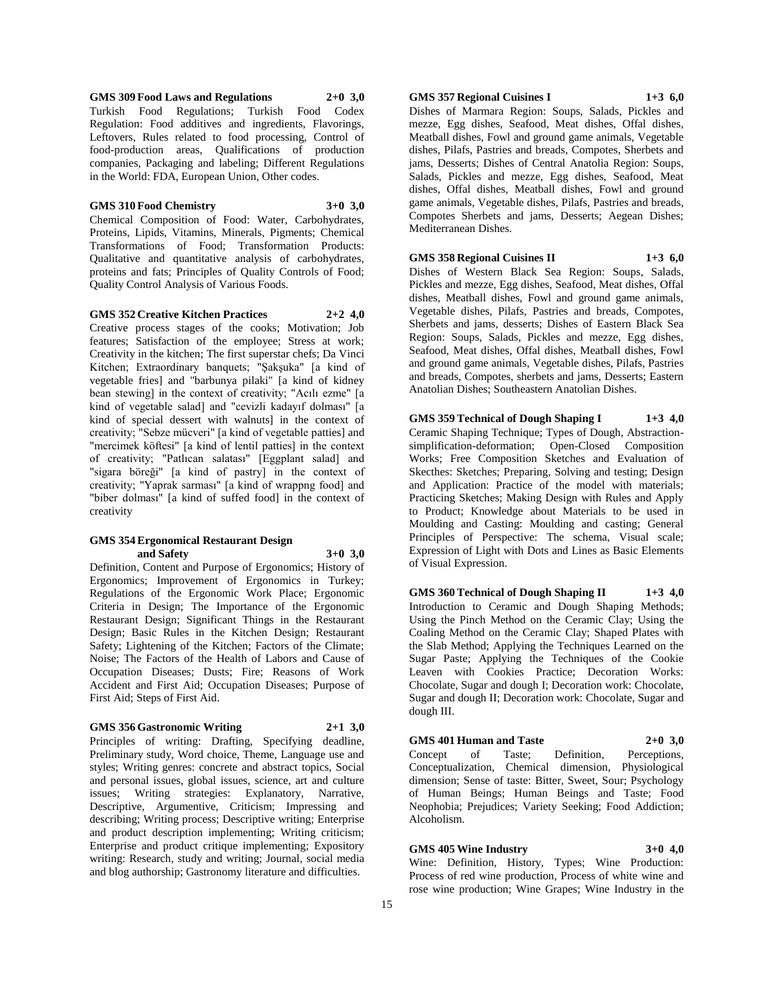**GMS 309 Food Laws and Regulations 2+0 3,0** Turkish Food Regulations; Turkish Food Codex Regulation: Food additives and ingredients, Flavorings, Leftovers, Rules related to food processing, Control of food-production areas, Qualifications of production companies, Packaging and labeling; Different Regulations

in the World: FDA, European Union, Other codes.

#### **GMS 310 Food Chemistry 3+0 3,0**

Chemical Composition of Food: Water, Carbohydrates, Proteins, Lipids, Vitamins, Minerals, Pigments; Chemical Transformations of Food; Transformation Products: Qualitative and quantitative analysis of carbohydrates, proteins and fats; Principles of Quality Controls of Food; Quality Control Analysis of Various Foods.

**GMS 352 Creative Kitchen Practices 2+2 4,0** Creative process stages of the cooks; Motivation; Job features; Satisfaction of the employee; Stress at work; Creativity in the kitchen; The first superstar chefs; Da Vinci Kitchen; Extraordinary banquets; "Şakşuka" [a kind of vegetable fries] and "barbunya pilaki" [a kind of kidney bean stewing] in the context of creativity; "Acılı ezme" [a kind of vegetable salad] and "cevizli kadayıf dolması" [a kind of special dessert with walnuts] in the context of creativity; "Sebze mücveri" [a kind of vegetable patties] and "mercimek köftesi" [a kind of lentil patties] in the context of creativity; "Patlıcan salatası" [Eggplant salad] and "sigara böreği" [a kind of pastry] in the context of creativity; "Yaprak sarması" [a kind of wrappng food] and "biber dolması" [a kind of suffed food] in the context of creativity

#### **GMS 354 Ergonomical Restaurant Design and Safety 3+0 3,0**

Definition, Content and Purpose of Ergonomics; History of Ergonomics; Improvement of Ergonomics in Turkey; Regulations of the Ergonomic Work Place; Ergonomic Criteria in Design; The Importance of the Ergonomic Restaurant Design; Significant Things in the Restaurant Design; Basic Rules in the Kitchen Design; Restaurant Safety; Lightening of the Kitchen; Factors of the Climate; Noise; The Factors of the Health of Labors and Cause of Occupation Diseases; Dusts; Fire; Reasons of Work Accident and First Aid; Occupation Diseases; Purpose of First Aid; Steps of First Aid.

## **GMS 356 Gastronomic Writing 2+1 3,0**

Principles of writing: Drafting, Specifying deadline, Preliminary study, Word choice, Theme, Language use and styles; Writing genres: concrete and abstract topics, Social and personal issues, global issues, science, art and culture issues; Writing strategies: Explanatory, Narrative, Descriptive, Argumentive, Criticism; Impressing and describing; Writing process; Descriptive writing; Enterprise and product description implementing; Writing criticism; Enterprise and product critique implementing; Expository writing: Research, study and writing; Journal, social media and blog authorship; Gastronomy literature and difficulties.

## **GMS 357 Regional Cuisines I 1+3 6,0**

Dishes of Marmara Region: Soups, Salads, Pickles and mezze, Egg dishes, Seafood, Meat dishes, Offal dishes, Meatball dishes, Fowl and ground game animals, Vegetable dishes, Pilafs, Pastries and breads, Compotes, Sherbets and jams, Desserts; Dishes of Central Anatolia Region: Soups, Salads, Pickles and mezze, Egg dishes, Seafood, Meat dishes, Offal dishes, Meatball dishes, Fowl and ground game animals, Vegetable dishes, Pilafs, Pastries and breads, Compotes Sherbets and jams, Desserts; Aegean Dishes; Mediterranean Dishes.

# **GMS 358 Regional Cuisines II 1+3 6,0**

Dishes of Western Black Sea Region: Soups, Salads, Pickles and mezze, Egg dishes, Seafood, Meat dishes, Offal dishes, Meatball dishes, Fowl and ground game animals, Vegetable dishes, Pilafs, Pastries and breads, Compotes, Sherbets and jams, desserts; Dishes of Eastern Black Sea Region: Soups, Salads, Pickles and mezze, Egg dishes, Seafood, Meat dishes, Offal dishes, Meatball dishes, Fowl and ground game animals, Vegetable dishes, Pilafs, Pastries and breads, Compotes, sherbets and jams, Desserts; Eastern Anatolian Dishes; Southeastern Anatolian Dishes.

**GMS 359 Technical of Dough Shaping I 1+3 4,0** Ceramic Shaping Technique; Types of Dough, Abstractionsimplification-deformation; Open-Closed Composition Works; Free Composition Sketches and Evaluation of Skecthes: Sketches; Preparing, Solving and testing; Design and Application: Practice of the model with materials; Practicing Sketches; Making Design with Rules and Apply to Product; Knowledge about Materials to be used in Moulding and Casting: Moulding and casting; General Principles of Perspective: The schema, Visual scale; Expression of Light with Dots and Lines as Basic Elements of Visual Expression.

**GMS 360 Technical of Dough Shaping II 1+3 4,0** Introduction to Ceramic and Dough Shaping Methods; Using the Pinch Method on the Ceramic Clay; Using the Coaling Method on the Ceramic Clay; Shaped Plates with the Slab Method; Applying the Techniques Learned on the Sugar Paste; Applying the Techniques of the Cookie Leaven with Cookies Practice; Decoration Works: Chocolate, Sugar and dough I; Decoration work: Chocolate, Sugar and dough II; Decoration work: Chocolate, Sugar and dough III.

**GMS 401 Human and Taste 2+0 3,0** Concept of Taste; Definition, Perceptions, Conceptualization, Chemical dimension, Physiological dimension; Sense of taste: Bitter, Sweet, Sour; Psychology of Human Beings; Human Beings and Taste; Food Neophobia; Prejudices; Variety Seeking; Food Addiction; Alcoholism.

## **GMS 405 Wine Industry 3+0 4,0**

Wine: Definition, History, Types; Wine Production: Process of red wine production, Process of white wine and rose wine production; Wine Grapes; Wine Industry in the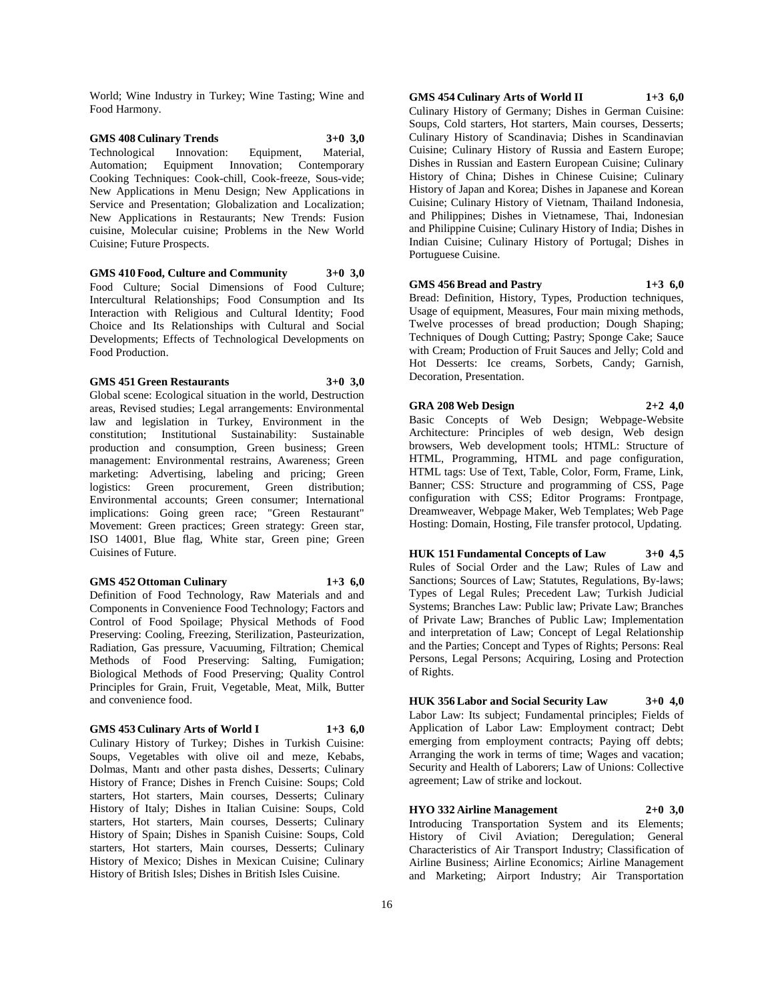World; Wine Industry in Turkey; Wine Tasting; Wine and Food Harmony.

## **GMS 408 Culinary Trends 3+0 3,0** Technological Innovation: Equipment, Material, Automation; Equipment Innovation; Contemporary Cooking Techniques: Cook-chill, Cook-freeze, Sous-vide; New Applications in Menu Design; New Applications in Service and Presentation; Globalization and Localization; New Applications in Restaurants; New Trends: Fusion cuisine, Molecular cuisine; Problems in the New World Cuisine; Future Prospects.

**GMS 410 Food, Culture and Community 3+0 3,0** Food Culture; Social Dimensions of Food Culture; Intercultural Relationships; Food Consumption and Its Interaction with Religious and Cultural Identity; Food Choice and Its Relationships with Cultural and Social Developments; Effects of Technological Developments on Food Production.

## **GMS 451 Green Restaurants 3+0 3,0**

Global scene: Ecological situation in the world, Destruction areas, Revised studies; Legal arrangements: Environmental law and legislation in Turkey, Environment in the constitution; Institutional Sustainability: Sustainable production and consumption, Green business; Green management: Environmental restrains, Awareness; Green marketing: Advertising, labeling and pricing; Green logistics: Green procurement, Green distribution; Environmental accounts; Green consumer; International implications: Going green race; "Green Restaurant" Movement: Green practices; Green strategy: Green star, ISO 14001, Blue flag, White star, Green pine; Green Cuisines of Future.

## **GMS 452 Ottoman Culinary 1+3 6,0**

Definition of Food Technology, Raw Materials and and Components in Convenience Food Technology; Factors and Control of Food Spoilage; Physical Methods of Food Preserving: Cooling, Freezing, Sterilization, Pasteurization, Radiation, Gas pressure, Vacuuming, Filtration; Chemical Methods of Food Preserving: Salting, Fumigation; Biological Methods of Food Preserving; Quality Control Principles for Grain, Fruit, Vegetable, Meat, Milk, Butter and convenience food.

#### **GMS 453 Culinary Arts of World I 1+3 6,0**

Culinary History of Turkey; Dishes in Turkish Cuisine: Soups, Vegetables with olive oil and meze, Kebabs, Dolmas, Mantı and other pasta dishes, Desserts; Culinary History of France; Dishes in French Cuisine: Soups; Cold starters, Hot starters, Main courses, Desserts; Culinary History of Italy; Dishes in Italian Cuisine: Soups, Cold starters, Hot starters, Main courses, Desserts; Culinary History of Spain; Dishes in Spanish Cuisine: Soups, Cold starters, Hot starters, Main courses, Desserts; Culinary History of Mexico; Dishes in Mexican Cuisine; Culinary History of British Isles; Dishes in British Isles Cuisine.

**GMS 454 Culinary Arts of World II 1+3 6,0** Culinary History of Germany; Dishes in German Cuisine: Soups, Cold starters, Hot starters, Main courses, Desserts; Culinary History of Scandinavia; Dishes in Scandinavian Cuisine; Culinary History of Russia and Eastern Europe; Dishes in Russian and Eastern European Cuisine; Culinary History of China; Dishes in Chinese Cuisine; Culinary History of Japan and Korea; Dishes in Japanese and Korean Cuisine; Culinary History of Vietnam, Thailand Indonesia, and Philippines; Dishes in Vietnamese, Thai, Indonesian and Philippine Cuisine; Culinary History of India; Dishes in Indian Cuisine; Culinary History of Portugal; Dishes in Portuguese Cuisine.

## **GMS 456 Bread and Pastry 1+3 6,0**

Bread: Definition, History, Types, Production techniques, Usage of equipment, Measures, Four main mixing methods, Twelve processes of bread production; Dough Shaping; Techniques of Dough Cutting; Pastry; Sponge Cake; Sauce with Cream; Production of Fruit Sauces and Jelly; Cold and Hot Desserts: Ice creams, Sorbets, Candy; Garnish, Decoration, Presentation.

**GRA 208 Web Design 2+2 4,0** Basic Concepts of Web Design; Webpage-Website Architecture: Principles of web design, Web design browsers, Web development tools; HTML: Structure of HTML, Programming, HTML and page configuration, HTML tags: Use of Text, Table, Color, Form, Frame, Link, Banner; CSS: Structure and programming of CSS, Page configuration with CSS; Editor Programs: Frontpage, Dreamweaver, Webpage Maker, Web Templates; Web Page Hosting: Domain, Hosting, File transfer protocol, Updating.

**HUK 151 Fundamental Concepts of Law 3+0 4,5** Rules of Social Order and the Law; Rules of Law and Sanctions; Sources of Law; Statutes, Regulations, By-laws; Types of Legal Rules; Precedent Law; Turkish Judicial Systems; Branches Law: Public law; Private Law; Branches of Private Law; Branches of Public Law; Implementation and interpretation of Law; Concept of Legal Relationship and the Parties; Concept and Types of Rights; Persons: Real Persons, Legal Persons; Acquiring, Losing and Protection of Rights.

**HUK 356 Labor and Social Security Law 3+0 4,0** Labor Law: Its subject; Fundamental principles; Fields of Application of Labor Law: Employment contract; Debt emerging from employment contracts; Paying off debts; Arranging the work in terms of time; Wages and vacation; Security and Health of Laborers; Law of Unions: Collective agreement; Law of strike and lockout.

**HYO 332 Airline Management 2+0 3,0** Introducing Transportation System and its Elements; History of Civil Aviation; Deregulation; General Characteristics of Air Transport Industry; Classification of Airline Business; Airline Economics; Airline Management and Marketing; Airport Industry; Air Transportation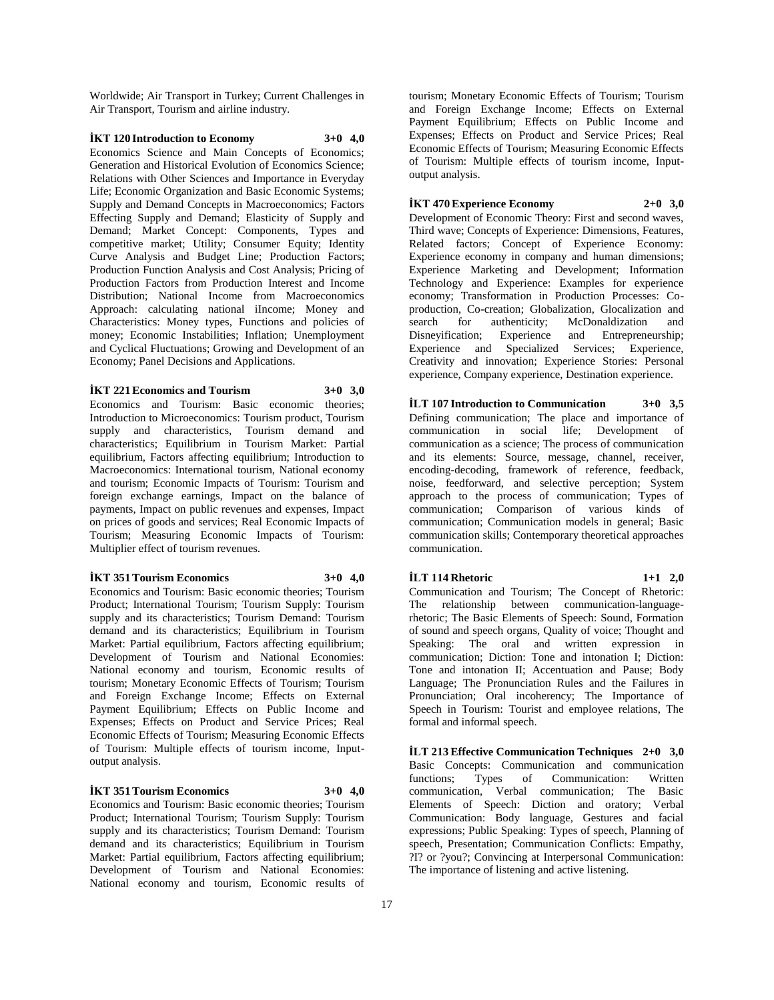Worldwide; Air Transport in Turkey; Current Challenges in Air Transport, Tourism and airline industry.

## **İKT 120 Introduction to Economy 3+0 4,0**

Economics Science and Main Concepts of Economics; Generation and Historical Evolution of Economics Science; Relations with Other Sciences and Importance in Everyday Life; Economic Organization and Basic Economic Systems; Supply and Demand Concepts in Macroeconomics; Factors Effecting Supply and Demand; Elasticity of Supply and Demand; Market Concept: Components, Types and competitive market; Utility; Consumer Equity; Identity Curve Analysis and Budget Line; Production Factors; Production Function Analysis and Cost Analysis; Pricing of Production Factors from Production Interest and Income Distribution; National Income from Macroeconomics Approach: calculating national iIncome; Money and Characteristics: Money types, Functions and policies of money; Economic Instabilities; Inflation; Unemployment and Cyclical Fluctuations; Growing and Development of an Economy; Panel Decisions and Applications.

## **İKT 221 Economics and Tourism 3+0 3,0**

Economics and Tourism: Basic economic theories; Introduction to Microeconomics: Tourism product, Tourism supply and characteristics, Tourism demand and characteristics; Equilibrium in Tourism Market: Partial equilibrium, Factors affecting equilibrium; Introduction to Macroeconomics: International tourism, National economy and tourism; Economic Impacts of Tourism: Tourism and foreign exchange earnings, Impact on the balance of payments, Impact on public revenues and expenses, Impact on prices of goods and services; Real Economic Impacts of Tourism; Measuring Economic Impacts of Tourism: Multiplier effect of tourism revenues.

#### **İKT 351 Tourism Economics 3+0 4,0**

Economics and Tourism: Basic economic theories; Tourism Product; International Tourism; Tourism Supply: Tourism supply and its characteristics; Tourism Demand: Tourism demand and its characteristics; Equilibrium in Tourism Market: Partial equilibrium, Factors affecting equilibrium; Development of Tourism and National Economies: National economy and tourism, Economic results of tourism; Monetary Economic Effects of Tourism; Tourism and Foreign Exchange Income; Effects on External Payment Equilibrium; Effects on Public Income and Expenses; Effects on Product and Service Prices; Real Economic Effects of Tourism; Measuring Economic Effects of Tourism: Multiple effects of tourism income, Inputoutput analysis.

## **İKT 351 Tourism Economics 3+0 4,0**

Economics and Tourism: Basic economic theories; Tourism Product; International Tourism; Tourism Supply: Tourism supply and its characteristics; Tourism Demand: Tourism demand and its characteristics; Equilibrium in Tourism Market: Partial equilibrium, Factors affecting equilibrium; Development of Tourism and National Economies: National economy and tourism, Economic results of

tourism; Monetary Economic Effects of Tourism; Tourism and Foreign Exchange Income; Effects on External Payment Equilibrium; Effects on Public Income and Expenses; Effects on Product and Service Prices; Real Economic Effects of Tourism; Measuring Economic Effects of Tourism: Multiple effects of tourism income, Inputoutput analysis.

## **İKT 470 Experience Economy 2+0 3,0**

Development of Economic Theory: First and second waves, Third wave; Concepts of Experience: Dimensions, Features, Related factors; Concept of Experience Economy: Experience economy in company and human dimensions; Experience Marketing and Development; Information Technology and Experience: Examples for experience economy; Transformation in Production Processes: Coproduction, Co-creation; Globalization, Glocalization and search for authenticity; McDonaldization and Disneyification; Experience and Entrepreneurship; Experience and Specialized Services; Experience, Creativity and innovation; Experience Stories: Personal experience, Company experience, Destination experience.

**İLT 107 Introduction to Communication 3+0 3,5** Defining communication; The place and importance of communication in social life; Development of communication as a science; The process of communication and its elements: Source, message, channel, receiver, encoding-decoding, framework of reference, feedback, noise, feedforward, and selective perception; System approach to the process of communication; Types of communication; Comparison of various kinds of communication; Communication models in general; Basic communication skills; Contemporary theoretical approaches communication.

## **İLT 114 Rhetoric 1+1 2,0** Communication and Tourism; The Concept of Rhetoric: The relationship between communication-languagerhetoric; The Basic Elements of Speech: Sound, Formation of sound and speech organs, Quality of voice; Thought and Speaking: The oral and written expression in communication; Diction: Tone and intonation I; Diction: Tone and intonation II; Accentuation and Pause; Body Language; The Pronunciation Rules and the Failures in Pronunciation; Oral incoherency; The Importance of Speech in Tourism: Tourist and employee relations, The formal and informal speech.

**İLT 213 Effective Communication Techniques 2+0 3,0** Basic Concepts: Communication and communication functions; Types of Communication: Written communication, Verbal communication; The Basic Elements of Speech: Diction and oratory; Verbal Communication: Body language, Gestures and facial expressions; Public Speaking: Types of speech, Planning of speech, Presentation; Communication Conflicts: Empathy, ?I? or ?you?; Convincing at Interpersonal Communication: The importance of listening and active listening.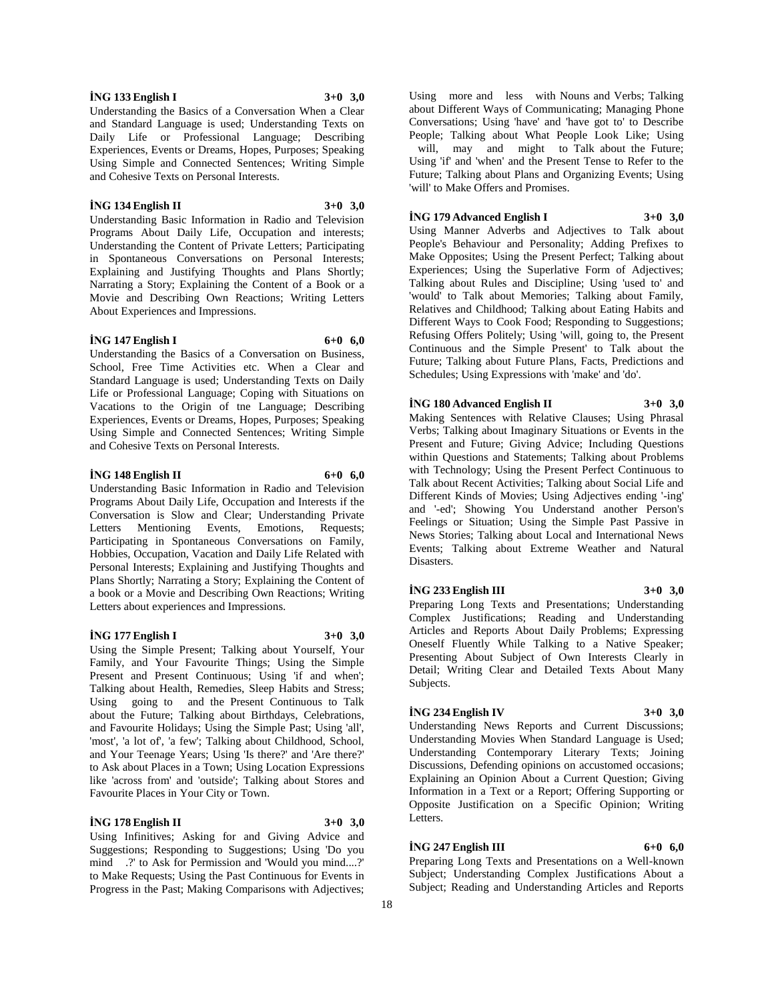## **İNG 133 English I 3+0 3,0**

Understanding the Basics of a Conversation When a Clear and Standard Language is used; Understanding Texts on Daily Life or Professional Language; Describing Experiences, Events or Dreams, Hopes, Purposes; Speaking Using Simple and Connected Sentences; Writing Simple and Cohesive Texts on Personal Interests.

#### **İNG 134 English II 3+0 3,0**

Understanding Basic Information in Radio and Television Programs About Daily Life, Occupation and interests; Understanding the Content of Private Letters; Participating in Spontaneous Conversations on Personal Interests; Explaining and Justifying Thoughts and Plans Shortly; Narrating a Story; Explaining the Content of a Book or a Movie and Describing Own Reactions; Writing Letters About Experiences and Impressions.

## **İNG 147 English I 6+0 6,0**

Understanding the Basics of a Conversation on Business, School, Free Time Activities etc. When a Clear and Standard Language is used; Understanding Texts on Daily Life or Professional Language; Coping with Situations on Vacations to the Origin of tne Language; Describing Experiences, Events or Dreams, Hopes, Purposes; Speaking Using Simple and Connected Sentences; Writing Simple and Cohesive Texts on Personal Interests.

#### **İNG 148 English II 6+0 6,0**

Understanding Basic Information in Radio and Television Programs About Daily Life, Occupation and Interests if the Conversation is Slow and Clear; Understanding Private Letters Mentioning Events, Emotions, Requests; Participating in Spontaneous Conversations on Family, Hobbies, Occupation, Vacation and Daily Life Related with Personal Interests; Explaining and Justifying Thoughts and Plans Shortly; Narrating a Story; Explaining the Content of a book or a Movie and Describing Own Reactions; Writing Letters about experiences and Impressions.

#### **İNG 177 English I 3+0 3,0**

Using the Simple Present; Talking about Yourself, Your Family, and Your Favourite Things; Using the Simple Present and Present Continuous; Using 'if and when'; Talking about Health, Remedies, Sleep Habits and Stress; Using going to and the Present Continuous to Talk about the Future; Talking about Birthdays, Celebrations, and Favourite Holidays; Using the Simple Past; Using 'all', 'most', 'a lot of', 'a few'; Talking about Childhood, School, and Your Teenage Years; Using 'Is there?' and 'Are there?' to Ask about Places in a Town; Using Location Expressions like 'across from' and 'outside'; Talking about Stores and Favourite Places in Your City or Town.

## **İNG 178 English II 3+0 3,0**

Using Infinitives; Asking for and Giving Advice and Suggestions; Responding to Suggestions; Using 'Do you mind .?' to Ask for Permission and 'Would you mind....?' to Make Requests; Using the Past Continuous for Events in Progress in the Past; Making Comparisons with Adjectives;

Using more and less with Nouns and Verbs; Talking about Different Ways of Communicating; Managing Phone Conversations; Using 'have' and 'have got to' to Describe People; Talking about What People Look Like; Using will, may and might to Talk about the Future; Using 'if' and 'when' and the Present Tense to Refer to the Future; Talking about Plans and Organizing Events; Using 'will' to Make Offers and Promises.

## **İNG 179 Advanced English I 3+0 3,0**

Using Manner Adverbs and Adjectives to Talk about People's Behaviour and Personality; Adding Prefixes to Make Opposites; Using the Present Perfect; Talking about Experiences; Using the Superlative Form of Adjectives; Talking about Rules and Discipline; Using 'used to' and 'would' to Talk about Memories; Talking about Family, Relatives and Childhood; Talking about Eating Habits and Different Ways to Cook Food; Responding to Suggestions; Refusing Offers Politely; Using 'will, going to, the Present Continuous and the Simple Present' to Talk about the Future; Talking about Future Plans, Facts, Predictions and Schedules; Using Expressions with 'make' and 'do'.

## **İNG 180 Advanced English II 3+0 3,0**

Making Sentences with Relative Clauses; Using Phrasal Verbs; Talking about Imaginary Situations or Events in the Present and Future; Giving Advice; Including Questions within Questions and Statements; Talking about Problems with Technology; Using the Present Perfect Continuous to Talk about Recent Activities; Talking about Social Life and Different Kinds of Movies; Using Adjectives ending '-ing' and '-ed'; Showing You Understand another Person's Feelings or Situation; Using the Simple Past Passive in News Stories; Talking about Local and International News Events; Talking about Extreme Weather and Natural Disasters.

## **İNG 233 English III 3+0 3,0**

Preparing Long Texts and Presentations; Understanding Complex Justifications; Reading and Understanding Articles and Reports About Daily Problems; Expressing Oneself Fluently While Talking to a Native Speaker; Presenting About Subject of Own Interests Clearly in Detail; Writing Clear and Detailed Texts About Many Subjects.

#### **İNG 234 English IV 3+0 3,0**

Understanding News Reports and Current Discussions; Understanding Movies When Standard Language is Used; Understanding Contemporary Literary Texts; Joining Discussions, Defending opinions on accustomed occasions; Explaining an Opinion About a Current Question; Giving Information in a Text or a Report; Offering Supporting or Opposite Justification on a Specific Opinion; Writing Letters.

## **İNG 247 English III 6+0 6,0**

Preparing Long Texts and Presentations on a Well-known Subject; Understanding Complex Justifications About a Subject; Reading and Understanding Articles and Reports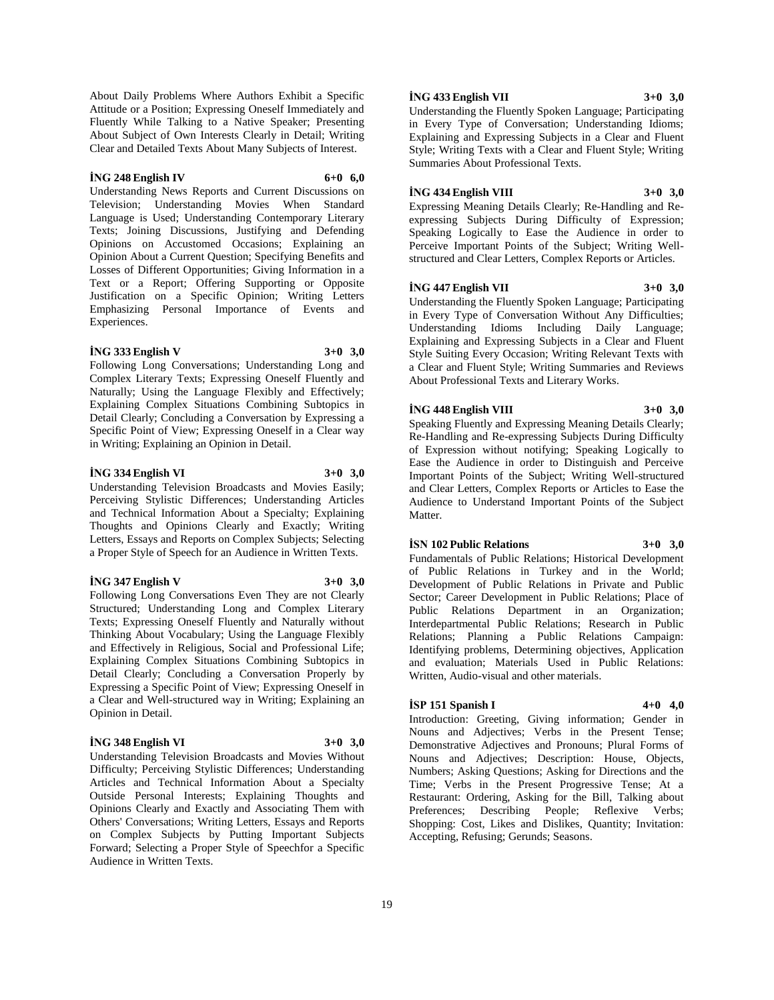About Daily Problems Where Authors Exhibit a Specific Attitude or a Position; Expressing Oneself Immediately and Fluently While Talking to a Native Speaker; Presenting About Subject of Own Interests Clearly in Detail; Writing Clear and Detailed Texts About Many Subjects of Interest.

## **İNG 248 English IV 6+0 6,0**

Understanding News Reports and Current Discussions on Television; Understanding Movies When Standard Language is Used; Understanding Contemporary Literary Texts; Joining Discussions, Justifying and Defending Opinions on Accustomed Occasions; Explaining an Opinion About a Current Question; Specifying Benefits and Losses of Different Opportunities; Giving Information in a Text or a Report; Offering Supporting or Opposite Justification on a Specific Opinion; Writing Letters Emphasizing Personal Importance of Events and Experiences.

## **İNG 333 English V 3+0 3,0**

Following Long Conversations; Understanding Long and Complex Literary Texts; Expressing Oneself Fluently and Naturally; Using the Language Flexibly and Effectively; Explaining Complex Situations Combining Subtopics in Detail Clearly; Concluding a Conversation by Expressing a Specific Point of View; Expressing Oneself in a Clear way in Writing; Explaining an Opinion in Detail.

## **İNG 334 English VI 3+0 3,0**

Understanding Television Broadcasts and Movies Easily; Perceiving Stylistic Differences; Understanding Articles and Technical Information About a Specialty; Explaining Thoughts and Opinions Clearly and Exactly; Writing Letters, Essays and Reports on Complex Subjects; Selecting a Proper Style of Speech for an Audience in Written Texts.

#### **İNG 347 English V 3+0 3,0**

Following Long Conversations Even They are not Clearly Structured; Understanding Long and Complex Literary Texts; Expressing Oneself Fluently and Naturally without Thinking About Vocabulary; Using the Language Flexibly and Effectively in Religious, Social and Professional Life; Explaining Complex Situations Combining Subtopics in Detail Clearly; Concluding a Conversation Properly by Expressing a Specific Point of View; Expressing Oneself in a Clear and Well-structured way in Writing; Explaining an Opinion in Detail.

#### **İNG 348 English VI 3+0 3,0**

Understanding Television Broadcasts and Movies Without Difficulty; Perceiving Stylistic Differences; Understanding Articles and Technical Information About a Specialty Outside Personal Interests; Explaining Thoughts and Opinions Clearly and Exactly and Associating Them with Others' Conversations; Writing Letters, Essays and Reports on Complex Subjects by Putting Important Subjects Forward; Selecting a Proper Style of Speechfor a Specific Audience in Written Texts.

## **İNG 433 English VII 3+0 3,0**

Understanding the Fluently Spoken Language; Participating in Every Type of Conversation; Understanding Idioms; Explaining and Expressing Subjects in a Clear and Fluent Style; Writing Texts with a Clear and Fluent Style; Writing Summaries About Professional Texts.

## **İNG 434 English VIII 3+0 3,0**

Expressing Meaning Details Clearly; Re-Handling and Reexpressing Subjects During Difficulty of Expression; Speaking Logically to Ease the Audience in order to Perceive Important Points of the Subject; Writing Wellstructured and Clear Letters, Complex Reports or Articles.

## **İNG 447 English VII 3+0 3,0**

Understanding the Fluently Spoken Language; Participating in Every Type of Conversation Without Any Difficulties; Understanding Idioms Including Daily Language; Explaining and Expressing Subjects in a Clear and Fluent Style Suiting Every Occasion; Writing Relevant Texts with a Clear and Fluent Style; Writing Summaries and Reviews About Professional Texts and Literary Works.

## **İNG 448 English VIII 3+0 3,0**

Speaking Fluently and Expressing Meaning Details Clearly; Re-Handling and Re-expressing Subjects During Difficulty of Expression without notifying; Speaking Logically to Ease the Audience in order to Distinguish and Perceive Important Points of the Subject; Writing Well-structured and Clear Letters, Complex Reports or Articles to Ease the Audience to Understand Important Points of the Subject Matter.

## **İSN 102 Public Relations 3+0 3,0**

Fundamentals of Public Relations; Historical Development of Public Relations in Turkey and in the World; Development of Public Relations in Private and Public Sector; Career Development in Public Relations; Place of Public Relations Department in an Organization; Interdepartmental Public Relations; Research in Public Relations; Planning a Public Relations Campaign: Identifying problems, Determining objectives, Application and evaluation; Materials Used in Public Relations: Written, Audio-visual and other materials.

## **İSP 151 Spanish I 4+0 4,0**

Introduction: Greeting, Giving information; Gender in Nouns and Adjectives; Verbs in the Present Tense; Demonstrative Adjectives and Pronouns; Plural Forms of Nouns and Adjectives; Description: House, Objects, Numbers; Asking Questions; Asking for Directions and the Time; Verbs in the Present Progressive Tense; At a Restaurant: Ordering, Asking for the Bill, Talking about Preferences; Describing People; Reflexive Verbs; Shopping: Cost, Likes and Dislikes, Quantity; Invitation: Accepting, Refusing; Gerunds; Seasons.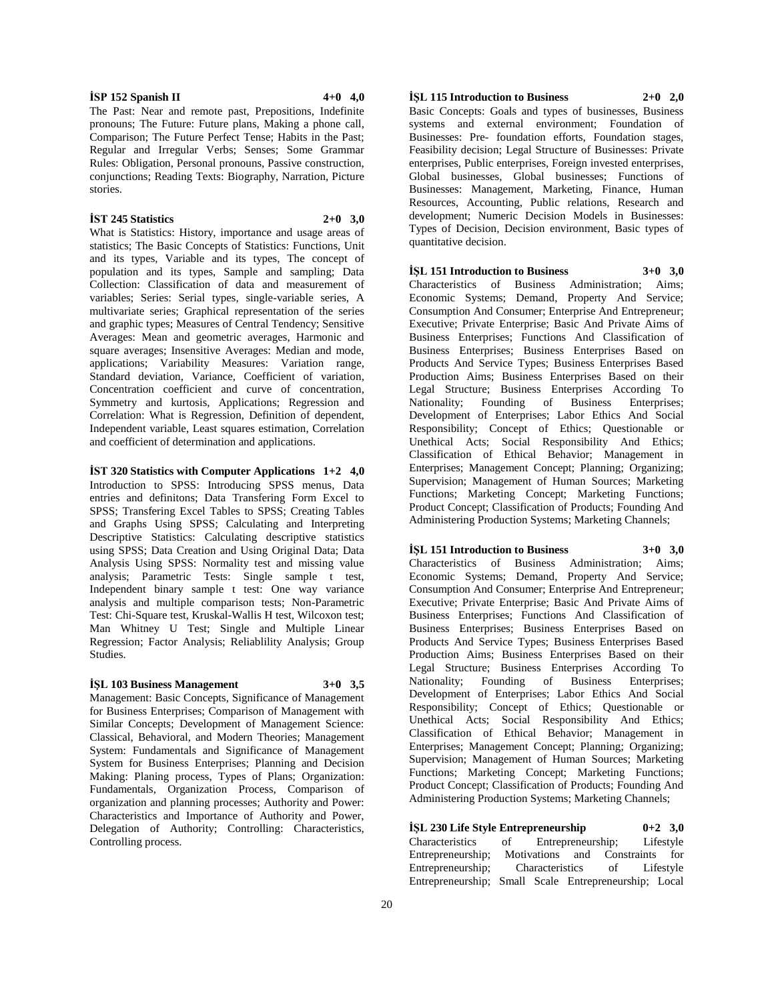**İSP 152 Spanish II 4+0 4,0**

The Past: Near and remote past, Prepositions, Indefinite pronouns; The Future: Future plans, Making a phone call, Comparison; The Future Perfect Tense; Habits in the Past; Regular and Irregular Verbs; Senses; Some Grammar Rules: Obligation, Personal pronouns, Passive construction, conjunctions; Reading Texts: Biography, Narration, Picture stories.

#### **İST 245 Statistics 2+0 3,0**

What is Statistics: History, importance and usage areas of statistics; The Basic Concepts of Statistics: Functions, Unit and its types, Variable and its types, The concept of population and its types, Sample and sampling; Data Collection: Classification of data and measurement of variables; Series: Serial types, single-variable series, A multivariate series; Graphical representation of the series and graphic types; Measures of Central Tendency; Sensitive Averages: Mean and geometric averages, Harmonic and square averages: Insensitive Averages: Median and mode, applications; Variability Measures: Variation range, Standard deviation, Variance, Coefficient of variation, Concentration coefficient and curve of concentration, Symmetry and kurtosis, Applications; Regression and Correlation: What is Regression, Definition of dependent, Independent variable, Least squares estimation, Correlation and coefficient of determination and applications.

**İST 320 Statistics with Computer Applications 1+2 4,0** Introduction to SPSS: Introducing SPSS menus, Data entries and definitons; Data Transfering Form Excel to SPSS; Transfering Excel Tables to SPSS; Creating Tables and Graphs Using SPSS; Calculating and Interpreting Descriptive Statistics: Calculating descriptive statistics using SPSS; Data Creation and Using Original Data; Data Analysis Using SPSS: Normality test and missing value analysis; Parametric Tests: Single sample t test, Independent binary sample t test: One way variance analysis and multiple comparison tests; Non-Parametric Test: Chi-Square test, Kruskal-Wallis H test, Wilcoxon test; Man Whitney U Test; Single and Multiple Linear Regression; Factor Analysis; Reliablility Analysis; Group Studies.

## **İŞL 103 Business Management 3+0 3,5**

Management: Basic Concepts, Significance of Management for Business Enterprises; Comparison of Management with Similar Concepts; Development of Management Science: Classical, Behavioral, and Modern Theories; Management System: Fundamentals and Significance of Management System for Business Enterprises; Planning and Decision Making: Planing process, Types of Plans; Organization: Fundamentals, Organization Process, Comparison of organization and planning processes; Authority and Power: Characteristics and Importance of Authority and Power, Delegation of Authority; Controlling: Characteristics, Controlling process.

## **İŞL 115 Introduction to Business 2+0 2,0**

Basic Concepts: Goals and types of businesses, Business systems and external environment; Foundation of Businesses: Pre- foundation efforts, Foundation stages, Feasibility decision; Legal Structure of Businesses: Private enterprises, Public enterprises, Foreign invested enterprises, Global businesses, Global businesses; Functions of Businesses: Management, Marketing, Finance, Human Resources, Accounting, Public relations, Research and development; Numeric Decision Models in Businesses: Types of Decision, Decision environment, Basic types of quantitative decision.

#### **İŞL 151 Introduction to Business 3+0 3,0**

Characteristics of Business Administration; Aims; Economic Systems; Demand, Property And Service; Consumption And Consumer; Enterprise And Entrepreneur; Executive; Private Enterprise; Basic And Private Aims of Business Enterprises; Functions And Classification of Business Enterprises; Business Enterprises Based on Products And Service Types; Business Enterprises Based Production Aims; Business Enterprises Based on their Legal Structure; Business Enterprises According To Nationality; Founding of Business Enterprises; Development of Enterprises; Labor Ethics And Social Responsibility; Concept of Ethics; Questionable or Unethical Acts; Social Responsibility And Ethics; Classification of Ethical Behavior; Management in Enterprises; Management Concept; Planning; Organizing; Supervision; Management of Human Sources; Marketing Functions; Marketing Concept; Marketing Functions; Product Concept; Classification of Products; Founding And Administering Production Systems; Marketing Channels;

## **İŞL 151 Introduction to Business 3+0 3,0**

Characteristics of Business Administration; Aims; Economic Systems; Demand, Property And Service; Consumption And Consumer; Enterprise And Entrepreneur; Executive; Private Enterprise; Basic And Private Aims of Business Enterprises; Functions And Classification of Business Enterprises; Business Enterprises Based on Products And Service Types; Business Enterprises Based Production Aims; Business Enterprises Based on their Legal Structure; Business Enterprises According To Nationality; Founding of Business Enterprises; Development of Enterprises; Labor Ethics And Social Responsibility; Concept of Ethics; Questionable or Unethical Acts; Social Responsibility And Ethics; Classification of Ethical Behavior; Management in Enterprises; Management Concept; Planning; Organizing; Supervision; Management of Human Sources; Marketing Functions; Marketing Concept; Marketing Functions; Product Concept; Classification of Products; Founding And Administering Production Systems; Marketing Channels;

**İŞL 230 Life Style Entrepreneurship 0+2 3,0** Characteristics of Entrepreneurship; Lifestyle Entrepreneurship; Motivations and Constraints for<br>Entrepreneurship; Characteristics of Lifestyle Entrepreneurship; Entrepreneurship; Small Scale Entrepreneurship; Local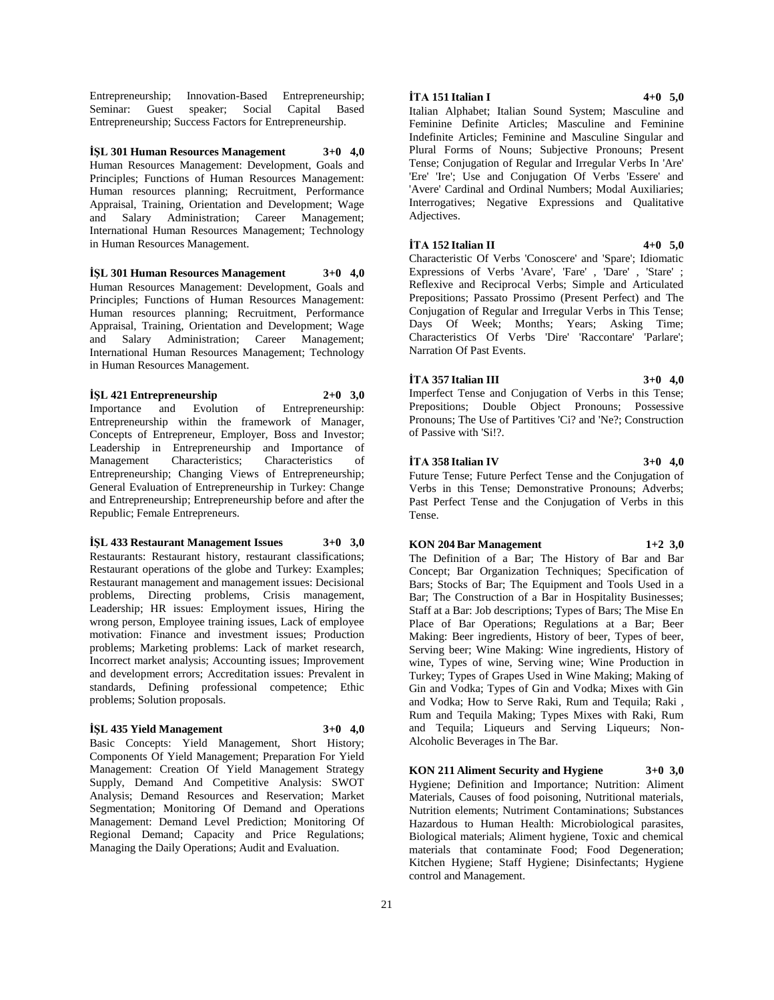Entrepreneurship; Innovation-Based Entrepreneurship; Seminar: Guest speaker; Social Capital Based Entrepreneurship; Success Factors for Entrepreneurship.

**İŞL 301 Human Resources Management 3+0 4,0** Human Resources Management: Development, Goals and Principles; Functions of Human Resources Management: Human resources planning; Recruitment, Performance Appraisal, Training, Orientation and Development; Wage and Salary Administration; Career Management; International Human Resources Management; Technology in Human Resources Management.

**İŞL 301 Human Resources Management 3+0 4,0** Human Resources Management: Development, Goals and Principles; Functions of Human Resources Management: Human resources planning; Recruitment, Performance Appraisal, Training, Orientation and Development; Wage and Salary Administration; Career Management; International Human Resources Management; Technology in Human Resources Management.

**İŞL 421 Entrepreneurship 2+0 3,0** Importance and Evolution of Entrepreneurship: Entrepreneurship within the framework of Manager, Concepts of Entrepreneur, Employer, Boss and Investor; Leadership in Entrepreneurship and Importance of Management Characteristics; Characteristics of Entrepreneurship; Changing Views of Entrepreneurship; General Evaluation of Entrepreneurship in Turkey: Change and Entrepreneurship; Entrepreneurship before and after the Republic; Female Entrepreneurs.

**İŞL 433 Restaurant Management Issues 3+0 3,0** Restaurants: Restaurant history, restaurant classifications; Restaurant operations of the globe and Turkey: Examples; Restaurant management and management issues: Decisional problems, Directing problems, Crisis management, Leadership; HR issues: Employment issues, Hiring the wrong person, Employee training issues, Lack of employee motivation: Finance and investment issues; Production problems; Marketing problems: Lack of market research, Incorrect market analysis; Accounting issues; Improvement and development errors; Accreditation issues: Prevalent in standards, Defining professional competence; Ethic problems; Solution proposals.

## **İŞL 435 Yield Management 3+0 4,0**

Basic Concepts: Yield Management, Short History; Components Of Yield Management; Preparation For Yield Management: Creation Of Yield Management Strategy Supply, Demand And Competitive Analysis: SWOT Analysis; Demand Resources and Reservation; Market Segmentation; Monitoring Of Demand and Operations Management: Demand Level Prediction; Monitoring Of Regional Demand; Capacity and Price Regulations; Managing the Daily Operations; Audit and Evaluation.

## **İTA 151 Italian I 4+0 5,0**

Italian Alphabet; Italian Sound System; Masculine and Feminine Definite Articles; Masculine and Feminine Indefinite Articles; Feminine and Masculine Singular and Plural Forms of Nouns; Subjective Pronouns; Present Tense; Conjugation of Regular and Irregular Verbs In 'Are' 'Ere' 'Ire'; Use and Conjugation Of Verbs 'Essere' and 'Avere' Cardinal and Ordinal Numbers; Modal Auxiliaries; Interrogatives; Negative Expressions and Qualitative Adjectives.

**İTA 152 Italian II 4+0 5,0**

Characteristic Of Verbs 'Conoscere' and 'Spare'; Idiomatic Expressions of Verbs 'Avare', 'Fare' , 'Dare' , 'Stare' ; Reflexive and Reciprocal Verbs; Simple and Articulated Prepositions; Passato Prossimo (Present Perfect) and The Conjugation of Regular and Irregular Verbs in This Tense; Days Of Week; Months; Years; Asking Time; Characteristics Of Verbs 'Dire' 'Raccontare' 'Parlare'; Narration Of Past Events.

## **İTA 357 Italian III 3+0 4,0**

Imperfect Tense and Conjugation of Verbs in this Tense; Prepositions; Double Object Pronouns; Possessive Pronouns; The Use of Partitives 'Ci? and 'Ne?; Construction of Passive with 'Si!?.

#### **İTA 358 Italian IV 3+0 4,0**

Future Tense; Future Perfect Tense and the Conjugation of Verbs in this Tense; Demonstrative Pronouns; Adverbs; Past Perfect Tense and the Conjugation of Verbs in this Tense.

## **KON 204 Bar Management 1+2 3,0**

The Definition of a Bar; The History of Bar and Bar Concept; Bar Organization Techniques; Specification of Bars; Stocks of Bar; The Equipment and Tools Used in a Bar; The Construction of a Bar in Hospitality Businesses; Staff at a Bar: Job descriptions; Types of Bars; The Mise En Place of Bar Operations; Regulations at a Bar; Beer Making: Beer ingredients, History of beer, Types of beer, Serving beer; Wine Making: Wine ingredients, History of wine, Types of wine, Serving wine; Wine Production in Turkey; Types of Grapes Used in Wine Making; Making of Gin and Vodka; Types of Gin and Vodka; Mixes with Gin and Vodka; How to Serve Raki, Rum and Tequila; Raki , Rum and Tequila Making; Types Mixes with Raki, Rum and Tequila; Liqueurs and Serving Liqueurs; Non-Alcoholic Beverages in The Bar.

**KON 211 Aliment Security and Hygiene 3+0 3,0** Hygiene; Definition and Importance; Nutrition: Aliment Materials, Causes of food poisoning, Nutritional materials, Nutrition elements; Nutriment Contaminations; Substances Hazardous to Human Health: Microbiological parasites, Biological materials; Aliment hygiene, Toxic and chemical materials that contaminate Food; Food Degeneration; Kitchen Hygiene; Staff Hygiene; Disinfectants; Hygiene control and Management.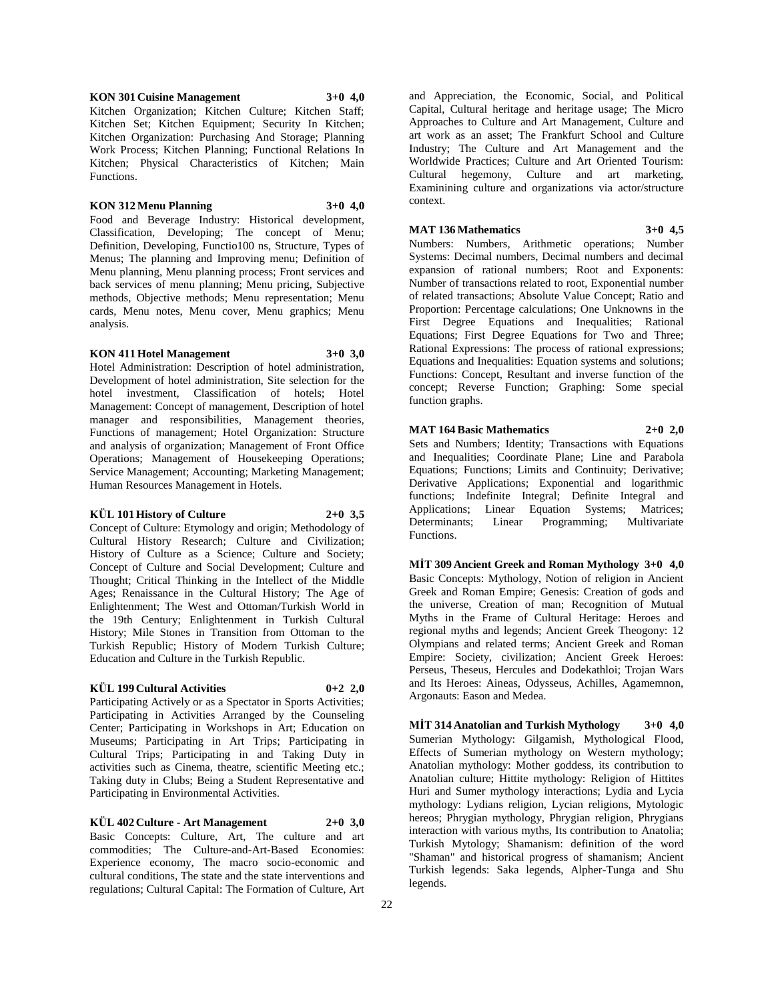**KON 301 Cuisine Management 3+0 4,0**

Kitchen Organization; Kitchen Culture; Kitchen Staff; Kitchen Set; Kitchen Equipment; Security In Kitchen; Kitchen Organization: Purchasing And Storage; Planning Work Process; Kitchen Planning; Functional Relations In Kitchen; Physical Characteristics of Kitchen; Main Functions.

## **KON 312 Menu Planning 3+0 4,0**

Food and Beverage Industry: Historical development, Classification, Developing; The concept of Menu; Definition, Developing, Functio100 ns, Structure, Types of Menus; The planning and Improving menu; Definition of Menu planning, Menu planning process; Front services and back services of menu planning; Menu pricing, Subjective methods, Objective methods; Menu representation; Menu cards, Menu notes, Menu cover, Menu graphics; Menu analysis.

## **KON 411 Hotel Management 3+0 3,0**

Hotel Administration: Description of hotel administration, Development of hotel administration, Site selection for the hotel investment, Classification of hotels; Hotel Management: Concept of management, Description of hotel manager and responsibilities, Management theories, Functions of management; Hotel Organization: Structure and analysis of organization; Management of Front Office Operations; Management of Housekeeping Operations; Service Management; Accounting; Marketing Management; Human Resources Management in Hotels.

## **KÜL 101 History of Culture 2+0 3,5**

Concept of Culture: Etymology and origin; Methodology of Cultural History Research; Culture and Civilization; History of Culture as a Science; Culture and Society; Concept of Culture and Social Development; Culture and Thought; Critical Thinking in the Intellect of the Middle Ages; Renaissance in the Cultural History; The Age of Enlightenment; The West and Ottoman/Turkish World in the 19th Century; Enlightenment in Turkish Cultural History; Mile Stones in Transition from Ottoman to the Turkish Republic; History of Modern Turkish Culture; Education and Culture in the Turkish Republic.

## **KÜL 199 Cultural Activities 0+2 2,0**

Participating Actively or as a Spectator in Sports Activities; Participating in Activities Arranged by the Counseling Center; Participating in Workshops in Art; Education on Museums; Participating in Art Trips; Participating in Cultural Trips; Participating in and Taking Duty in activities such as Cinema, theatre, scientific Meeting etc.; Taking duty in Clubs; Being a Student Representative and Participating in Environmental Activities.

## **KÜL 402 Culture - Art Management 2+0 3,0**

Basic Concepts: Culture, Art, The culture and art commodities; The Culture-and-Art-Based Economies: Experience economy, The macro socio-economic and cultural conditions, The state and the state interventions and regulations; Cultural Capital: The Formation of Culture, Art

and Appreciation, the Economic, Social, and Political Capital, Cultural heritage and heritage usage; The Micro Approaches to Culture and Art Management, Culture and art work as an asset; The Frankfurt School and Culture Industry; The Culture and Art Management and the Worldwide Practices; Culture and Art Oriented Tourism: Cultural hegemony, Culture and art marketing, Examinining culture and organizations via actor/structure context.

## **MAT 136 Mathematics 3+0 4,5**

Numbers: Numbers, Arithmetic operations; Number Systems: Decimal numbers, Decimal numbers and decimal expansion of rational numbers; Root and Exponents: Number of transactions related to root, Exponential number of related transactions; Absolute Value Concept; Ratio and Proportion: Percentage calculations; One Unknowns in the First Degree Equations and Inequalities; Rational Equations; First Degree Equations for Two and Three; Rational Expressions: The process of rational expressions; Equations and Inequalities: Equation systems and solutions; Functions: Concept, Resultant and inverse function of the concept; Reverse Function; Graphing: Some special function graphs.

## **MAT 164 Basic Mathematics 2+0 2,0** Sets and Numbers; Identity; Transactions with Equations

and Inequalities; Coordinate Plane; Line and Parabola Equations; Functions; Limits and Continuity; Derivative; Derivative Applications; Exponential and logarithmic functions; Indefinite Integral; Definite Integral and Applications; Linear Equation Systems; Matrices;<br>Determinants; Linear Programming; Multivariate Determinants; Linear Programming; Functions.

**MİT 309 Ancient Greek and Roman Mythology 3+0 4,0** Basic Concepts: Mythology, Notion of religion in Ancient Greek and Roman Empire; Genesis: Creation of gods and the universe, Creation of man; Recognition of Mutual Myths in the Frame of Cultural Heritage: Heroes and regional myths and legends; Ancient Greek Theogony: 12 Olympians and related terms; Ancient Greek and Roman Empire: Society, civilization; Ancient Greek Heroes: Perseus, Theseus, Hercules and Dodekathloi; Trojan Wars and Its Heroes: Aineas, Odysseus, Achilles, Agamemnon, Argonauts: Eason and Medea.

**MİT 314 Anatolian and Turkish Mythology 3+0 4,0** Sumerian Mythology: Gilgamish, Mythological Flood, Effects of Sumerian mythology on Western mythology; Anatolian mythology: Mother goddess, its contribution to Anatolian culture; Hittite mythology: Religion of Hittites Huri and Sumer mythology interactions; Lydia and Lycia mythology: Lydians religion, Lycian religions, Mytologic hereos; Phrygian mythology, Phrygian religion, Phrygians interaction with various myths, Its contribution to Anatolia; Turkish Mytology; Shamanism: definition of the word "Shaman" and historical progress of shamanism; Ancient Turkish legends: Saka legends, Alpher-Tunga and Shu legends.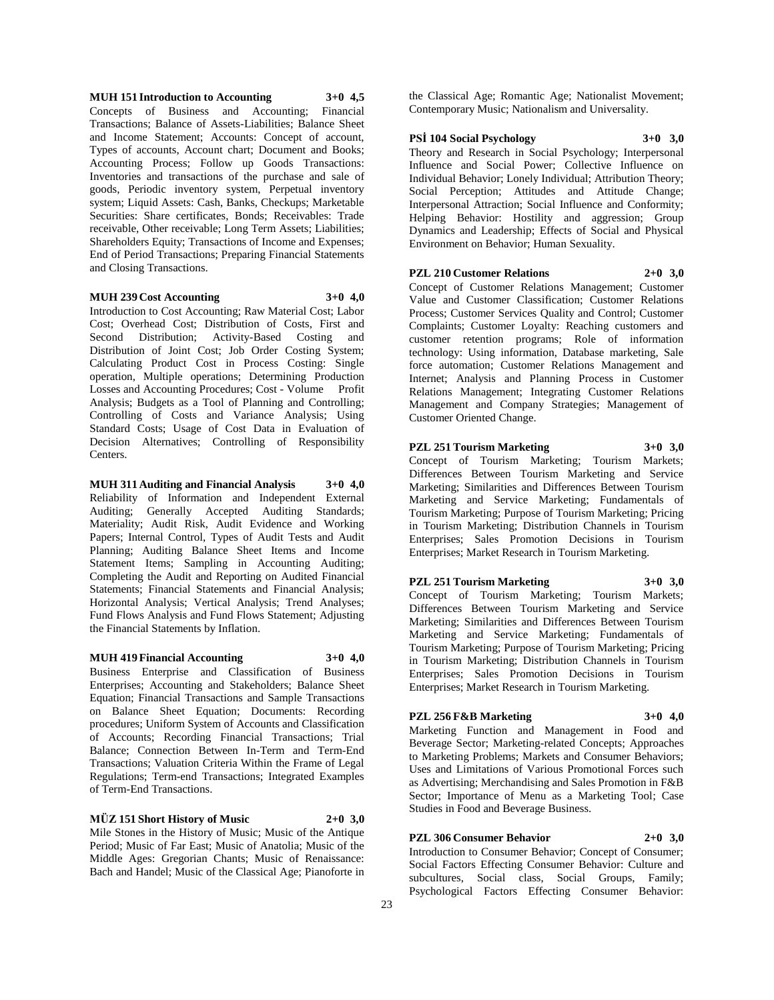**MUH 151 Introduction to Accounting 3+0 4,5** Concepts of Business and Accounting; Financial Transactions; Balance of Assets-Liabilities; Balance Sheet and Income Statement; Accounts: Concept of account, Types of accounts, Account chart; Document and Books; Accounting Process; Follow up Goods Transactions: Inventories and transactions of the purchase and sale of goods, Periodic inventory system, Perpetual inventory system; Liquid Assets: Cash, Banks, Checkups; Marketable Securities: Share certificates, Bonds; Receivables: Trade receivable, Other receivable; Long Term Assets; Liabilities; Shareholders Equity; Transactions of Income and Expenses; End of Period Transactions; Preparing Financial Statements and Closing Transactions.

#### **MUH 239 Cost Accounting 3+0 4,0**

Introduction to Cost Accounting; Raw Material Cost; Labor Cost; Overhead Cost; Distribution of Costs, First and Second Distribution; Activity-Based Costing and Distribution of Joint Cost; Job Order Costing System; Calculating Product Cost in Process Costing: Single operation, Multiple operations; Determining Production Losses and Accounting Procedures; Cost - Volume Profit Analysis; Budgets as a Tool of Planning and Controlling; Controlling of Costs and Variance Analysis; Using Standard Costs; Usage of Cost Data in Evaluation of Decision Alternatives; Controlling of Responsibility Centers.

**MUH 311 Auditing and Financial Analysis 3+0 4,0** Reliability of Information and Independent External Auditing; Generally Accepted Auditing Standards; Materiality; Audit Risk, Audit Evidence and Working Papers; Internal Control, Types of Audit Tests and Audit Planning; Auditing Balance Sheet Items and Income Statement Items; Sampling in Accounting Auditing; Completing the Audit and Reporting on Audited Financial Statements; Financial Statements and Financial Analysis; Horizontal Analysis; Vertical Analysis; Trend Analyses; Fund Flows Analysis and Fund Flows Statement; Adjusting the Financial Statements by Inflation.

#### **MUH 419 Financial Accounting 3+0 4,0**

Business Enterprise and Classification of Business Enterprises; Accounting and Stakeholders; Balance Sheet Equation; Financial Transactions and Sample Transactions on Balance Sheet Equation; Documents: Recording procedures; Uniform System of Accounts and Classification of Accounts; Recording Financial Transactions; Trial Balance; Connection Between In-Term and Term-End Transactions; Valuation Criteria Within the Frame of Legal Regulations; Term-end Transactions; Integrated Examples of Term-End Transactions.

## **MÜZ 151 Short History of Music 2+0 3,0**

Mile Stones in the History of Music; Music of the Antique Period; Music of Far East; Music of Anatolia; Music of the Middle Ages: Gregorian Chants; Music of Renaissance: Bach and Handel; Music of the Classical Age; Pianoforte in

the Classical Age; Romantic Age; Nationalist Movement; Contemporary Music; Nationalism and Universality.

## **PSİ 104 Social Psychology 3+0 3,0**

Theory and Research in Social Psychology; Interpersonal Influence and Social Power; Collective Influence on Individual Behavior; Lonely Individual; Attribution Theory; Social Perception; Attitudes and Attitude Change; Interpersonal Attraction; Social Influence and Conformity; Helping Behavior: Hostility and aggression; Group Dynamics and Leadership; Effects of Social and Physical Environment on Behavior; Human Sexuality.

#### **PZL 210 Customer Relations 2+0 3,0**

Concept of Customer Relations Management; Customer Value and Customer Classification; Customer Relations Process; Customer Services Quality and Control; Customer Complaints; Customer Loyalty: Reaching customers and customer retention programs; Role of information technology: Using information, Database marketing, Sale force automation; Customer Relations Management and Internet; Analysis and Planning Process in Customer Relations Management; Integrating Customer Relations Management and Company Strategies; Management of Customer Oriented Change.

## **PZL 251 Tourism Marketing 3+0 3,0**

Concept of Tourism Marketing; Tourism Markets; Differences Between Tourism Marketing and Service Marketing; Similarities and Differences Between Tourism Marketing and Service Marketing; Fundamentals of Tourism Marketing; Purpose of Tourism Marketing; Pricing in Tourism Marketing; Distribution Channels in Tourism Enterprises; Sales Promotion Decisions in Tourism Enterprises; Market Research in Tourism Marketing.

## **PZL 251 Tourism Marketing 3+0 3,0**

Concept of Tourism Marketing; Tourism Markets; Differences Between Tourism Marketing and Service Marketing; Similarities and Differences Between Tourism Marketing and Service Marketing; Fundamentals of Tourism Marketing; Purpose of Tourism Marketing; Pricing in Tourism Marketing; Distribution Channels in Tourism Enterprises; Sales Promotion Decisions in Tourism Enterprises; Market Research in Tourism Marketing.

## **PZL 256 F&B Marketing 3+0 4,0**

Marketing Function and Management in Food and Beverage Sector; Marketing-related Concepts; Approaches to Marketing Problems; Markets and Consumer Behaviors; Uses and Limitations of Various Promotional Forces such as Advertising; Merchandising and Sales Promotion in F&B Sector; Importance of Menu as a Marketing Tool; Case Studies in Food and Beverage Business.

## **PZL 306 Consumer Behavior 2+0 3,0**

Introduction to Consumer Behavior; Concept of Consumer; Social Factors Effecting Consumer Behavior: Culture and subcultures, Social class, Social Groups, Family; Psychological Factors Effecting Consumer Behavior: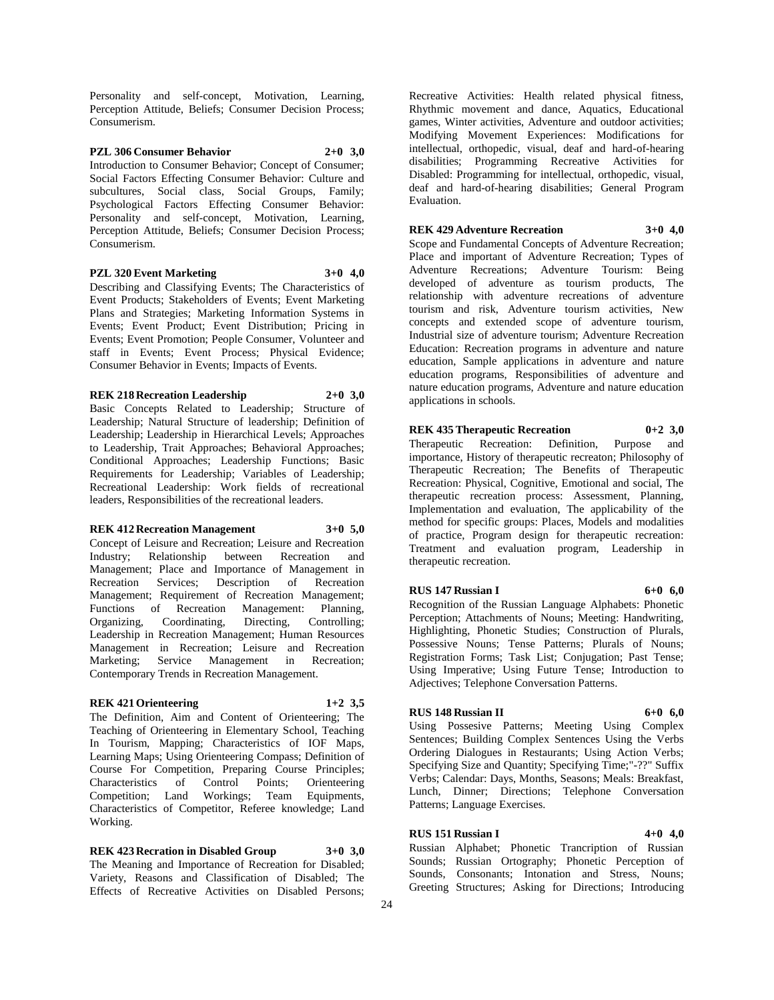Personality and self-concept, Motivation, Learning, Perception Attitude, Beliefs; Consumer Decision Process; Consumerism.

**PZL 306 Consumer Behavior 2+0 3,0** Introduction to Consumer Behavior; Concept of Consumer; Social Factors Effecting Consumer Behavior: Culture and subcultures, Social class, Social Groups, Family; Psychological Factors Effecting Consumer Behavior: Personality and self-concept, Motivation, Learning, Perception Attitude, Beliefs; Consumer Decision Process; Consumerism.

## **PZL 320 Event Marketing 3+0 4,0**

Describing and Classifying Events; The Characteristics of Event Products; Stakeholders of Events; Event Marketing Plans and Strategies; Marketing Information Systems in Events; Event Product; Event Distribution; Pricing in Events; Event Promotion; People Consumer, Volunteer and staff in Events; Event Process; Physical Evidence; Consumer Behavior in Events; Impacts of Events.

## **REK 218 Recreation Leadership 2+0 3,0**

Basic Concepts Related to Leadership; Structure of Leadership; Natural Structure of leadership; Definition of Leadership; Leadership in Hierarchical Levels; Approaches to Leadership, Trait Approaches; Behavioral Approaches; Conditional Approaches; Leadership Functions; Basic Requirements for Leadership; Variables of Leadership; Recreational Leadership: Work fields of recreational leaders, Responsibilities of the recreational leaders.

## **REK 412 Recreation Management 3+0 5,0**

Concept of Leisure and Recreation; Leisure and Recreation Industry; Relationship between Recreation and Management; Place and Importance of Management in Recreation Services; Description of Recreation Management; Requirement of Recreation Management; Functions of Recreation Management: Planning,<br>Organizing, Coordinating, Directing, Controlling; Coordinating, Directing, Controlling; Leadership in Recreation Management; Human Resources Management in Recreation; Leisure and Recreation Marketing; Service Management in Recreation; Contemporary Trends in Recreation Management.

## **REK 421 Orienteering 1+2 3,5**

The Definition, Aim and Content of Orienteering; The Teaching of Orienteering in Elementary School, Teaching In Tourism, Mapping; Characteristics of IOF Maps, Learning Maps; Using Orienteering Compass; Definition of Course For Competition, Preparing Course Principles; Characteristics of Control Points; Orienteering Competition; Land Workings; Team Equipments, Characteristics of Competitor, Referee knowledge; Land Working.

**REK 423 Recration in Disabled Group 3+0 3,0** The Meaning and Importance of Recreation for Disabled; Variety, Reasons and Classification of Disabled; The Effects of Recreative Activities on Disabled Persons;

Recreative Activities: Health related physical fitness, Rhythmic movement and dance, Aquatics, Educational games, Winter activities, Adventure and outdoor activities; Modifying Movement Experiences: Modifications for intellectual, orthopedic, visual, deaf and hard-of-hearing disabilities; Programming Recreative Activities for Disabled: Programming for intellectual, orthopedic, visual, deaf and hard-of-hearing disabilities; General Program Evaluation.

## **REK 429 Adventure Recreation 3+0 4,0**

Scope and Fundamental Concepts of Adventure Recreation; Place and important of Adventure Recreation; Types of Adventure Recreations; Adventure Tourism: Being developed of adventure as tourism products, The relationship with adventure recreations of adventure tourism and risk, Adventure tourism activities, New concepts and extended scope of adventure tourism, Industrial size of adventure tourism; Adventure Recreation Education: Recreation programs in adventure and nature education, Sample applications in adventure and nature education programs, Responsibilities of adventure and nature education programs, Adventure and nature education applications in schools.

## **REK 435 Therapeutic Recreation 0+2 3,0**

Therapeutic Recreation: Definition, Purpose and importance, History of therapeutic recreaton; Philosophy of Therapeutic Recreation; The Benefits of Therapeutic Recreation: Physical, Cognitive, Emotional and social, The therapeutic recreation process: Assessment, Planning, Implementation and evaluation, The applicability of the method for specific groups: Places, Models and modalities of practice, Program design for therapeutic recreation: Treatment and evaluation program, Leadership in therapeutic recreation.

## **RUS 147 Russian I 6+0 6,0**

Recognition of the Russian Language Alphabets: Phonetic Perception; Attachments of Nouns; Meeting: Handwriting, Highlighting, Phonetic Studies; Construction of Plurals, Possessive Nouns; Tense Patterns; Plurals of Nouns; Registration Forms; Task List; Conjugation; Past Tense; Using Imperative; Using Future Tense; Introduction to Adjectives; Telephone Conversation Patterns.

## **RUS 148 Russian II 6+0 6,0**

Using Possesive Patterns; Meeting Using Complex Sentences; Building Complex Sentences Using the Verbs Ordering Dialogues in Restaurants; Using Action Verbs; Specifying Size and Quantity; Specifying Time;"-??" Suffix Verbs; Calendar: Days, Months, Seasons; Meals: Breakfast, Lunch, Dinner; Directions; Telephone Conversation Patterns; Language Exercises.

## **RUS 151 Russian I 4+0 4,0**

Russian Alphabet; Phonetic Trancription of Russian Sounds; Russian Ortography; Phonetic Perception of Sounds, Consonants; Intonation and Stress, Nouns; Greeting Structures; Asking for Directions; Introducing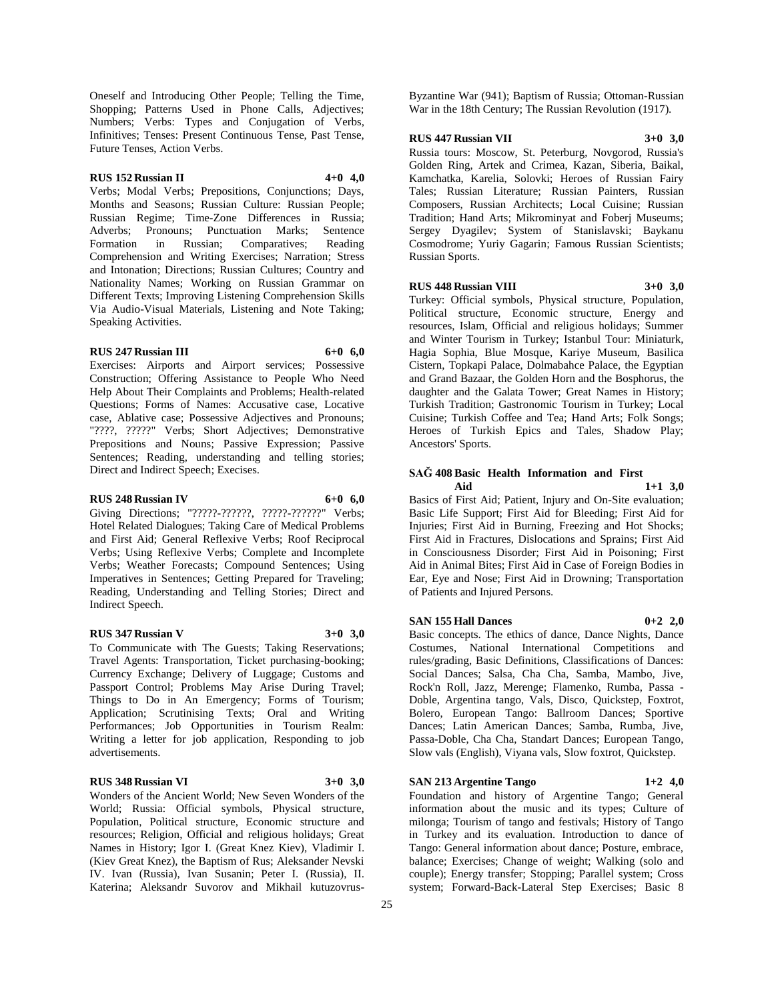Oneself and Introducing Other People; Telling the Time, Shopping; Patterns Used in Phone Calls, Adjectives; Numbers; Verbs: Types and Conjugation of Verbs, Infinitives; Tenses: Present Continuous Tense, Past Tense, Future Tenses, Action Verbs.

## **RUS 152 Russian II 4+0 4,0**

Verbs; Modal Verbs; Prepositions, Conjunctions; Days, Months and Seasons; Russian Culture: Russian People; Russian Regime; Time-Zone Differences in Russia; Adverbs; Pronouns; Punctuation Marks; Sentence<br>Formation in Russian; Comparatives; Reading Formation in Russian; Comparatives; Reading Comprehension and Writing Exercises; Narration; Stress and Intonation; Directions; Russian Cultures; Country and Nationality Names; Working on Russian Grammar on Different Texts; Improving Listening Comprehension Skills Via Audio-Visual Materials, Listening and Note Taking; Speaking Activities.

## **RUS 247 Russian III 6+0 6,0**

Exercises: Airports and Airport services; Possessive Construction; Offering Assistance to People Who Need Help About Their Complaints and Problems; Health-related Questions; Forms of Names: Accusative case, Locative case, Ablative case; Possessive Adjectives and Pronouns; "????, ?????" Verbs; Short Adjectives; Demonstrative Prepositions and Nouns; Passive Expression; Passive Sentences; Reading, understanding and telling stories;

#### **RUS 248 Russian IV 6+0 6,0**

Direct and Indirect Speech; Execises.

Giving Directions; "?????-??????, ?????-??????" Verbs; Hotel Related Dialogues; Taking Care of Medical Problems and First Aid; General Reflexive Verbs; Roof Reciprocal Verbs; Using Reflexive Verbs; Complete and Incomplete Verbs; Weather Forecasts; Compound Sentences; Using Imperatives in Sentences; Getting Prepared for Traveling; Reading, Understanding and Telling Stories; Direct and Indirect Speech.

## **RUS 347 Russian V 3+0 3,0**

To Communicate with The Guests; Taking Reservations; Travel Agents: Transportation, Ticket purchasing-booking; Currency Exchange; Delivery of Luggage; Customs and Passport Control; Problems May Arise During Travel; Things to Do in An Emergency; Forms of Tourism; Application; Scrutinising Texts; Oral and Writing Performances; Job Opportunities in Tourism Realm: Writing a letter for job application, Responding to job advertisements.

## **RUS 348 Russian VI 3+0 3,0**

Wonders of the Ancient World; New Seven Wonders of the World; Russia: Official symbols, Physical structure, Population, Political structure, Economic structure and resources; Religion, Official and religious holidays; Great Names in History; Igor I. (Great Knez Kiev), Vladimir I. (Kiev Great Knez), the Baptism of Rus; Aleksander Nevski IV. Ivan (Russia), Ivan Susanin; Peter I. (Russia), II. Katerina; Aleksandr Suvorov and Mikhail kutuzovrusByzantine War (941); Baptism of Russia; Ottoman-Russian War in the 18th Century; The Russian Revolution (1917).

#### **RUS 447 Russian VII 3+0 3,0**

Russia tours: Moscow, St. Peterburg, Novgorod, Russia's Golden Ring, Artek and Crimea, Kazan, Siberia, Baikal, Kamchatka, Karelia, Solovki; Heroes of Russian Fairy Tales; Russian Literature; Russian Painters, Russian Composers, Russian Architects; Local Cuisine; Russian Tradition; Hand Arts; Mikrominyat and Foberj Museums; Sergey Dyagilev; System of Stanislavski; Baykanu Cosmodrome; Yuriy Gagarin; Famous Russian Scientists; Russian Sports.

#### **RUS 448 Russian VIII 3+0 3,0**

Turkey: Official symbols, Physical structure, Population, Political structure, Economic structure, Energy and resources, Islam, Official and religious holidays; Summer and Winter Tourism in Turkey; Istanbul Tour: Miniaturk, Hagia Sophia, Blue Mosque, Kariye Museum, Basilica Cistern, Topkapi Palace, Dolmabahce Palace, the Egyptian and Grand Bazaar, the Golden Horn and the Bosphorus, the daughter and the Galata Tower; Great Names in History; Turkish Tradition; Gastronomic Tourism in Turkey; Local Cuisine; Turkish Coffee and Tea; Hand Arts; Folk Songs; Heroes of Turkish Epics and Tales, Shadow Play; Ancestors' Sports.

### **SAĞ 408 Basic Health Information and First Aid 1+1 3,0**

Basics of First Aid; Patient, Injury and On-Site evaluation; Basic Life Support; First Aid for Bleeding; First Aid for Injuries; First Aid in Burning, Freezing and Hot Shocks; First Aid in Fractures, Dislocations and Sprains; First Aid in Consciousness Disorder; First Aid in Poisoning; First Aid in Animal Bites; First Aid in Case of Foreign Bodies in Ear, Eye and Nose; First Aid in Drowning; Transportation of Patients and Injured Persons.

#### **SAN 155 Hall Dances 0+2 2,0**

Basic concepts. The ethics of dance, Dance Nights, Dance Costumes, National International Competitions and rules/grading, Basic Definitions, Classifications of Dances: Social Dances; Salsa, Cha Cha, Samba, Mambo, Jive, Rock'n Roll, Jazz, Merenge; Flamenko, Rumba, Passa - Doble, Argentina tango, Vals, Disco, Quickstep, Foxtrot, Bolero, European Tango: Ballroom Dances; Sportive Dances; Latin American Dances; Samba, Rumba, Jive, Passa-Doble, Cha Cha, Standart Dances; European Tango, Slow vals (English), Viyana vals, Slow foxtrot, Quickstep.

## **SAN 213 Argentine Tango 1+2 4,0**

Foundation and history of Argentine Tango; General information about the music and its types; Culture of milonga; Tourism of tango and festivals; History of Tango in Turkey and its evaluation. Introduction to dance of Tango: General information about dance; Posture, embrace, balance; Exercises; Change of weight; Walking (solo and couple); Energy transfer; Stopping; Parallel system; Cross system; Forward-Back-Lateral Step Exercises; Basic 8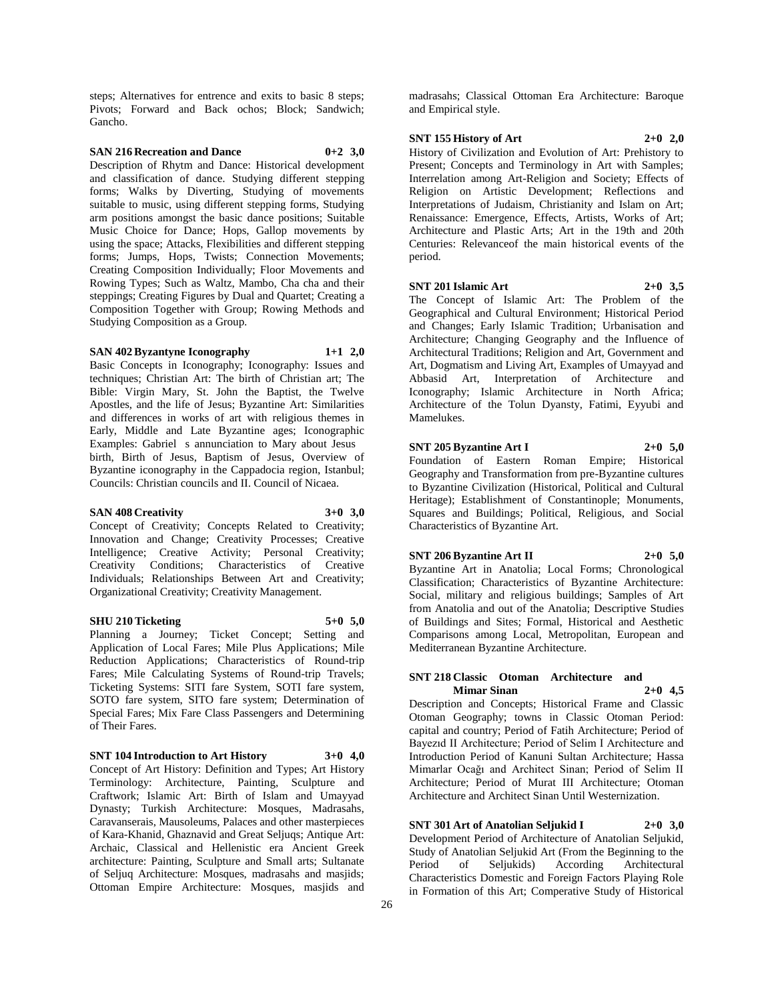steps; Alternatives for entrence and exits to basic 8 steps; Pivots; Forward and Back ochos; Block; Sandwich; Gancho.

## **SAN 216 Recreation and Dance 0+2 3,0**

Description of Rhytm and Dance: Historical development and classification of dance. Studying different stepping forms; Walks by Diverting, Studying of movements suitable to music, using different stepping forms, Studying arm positions amongst the basic dance positions; Suitable Music Choice for Dance; Hops, Gallop movements by using the space; Attacks, Flexibilities and different stepping forms; Jumps, Hops, Twists; Connection Movements; Creating Composition Individually; Floor Movements and Rowing Types; Such as Waltz, Mambo, Cha cha and their steppings; Creating Figures by Dual and Quartet; Creating a Composition Together with Group; Rowing Methods and Studying Composition as a Group.

## **SAN 402 Byzantyne Iconography 1+1 2,0**

Basic Concepts in Iconography; Iconography: Issues and techniques; Christian Art: The birth of Christian art; The Bible: Virgin Mary, St. John the Baptist, the Twelve Apostles, and the life of Jesus; Byzantine Art: Similarities and differences in works of art with religious themes in Early, Middle and Late Byzantine ages; Iconographic Examples: Gabriel s annunciation to Mary about Jesus birth, Birth of Jesus, Baptism of Jesus, Overview of Byzantine iconography in the Cappadocia region, Istanbul; Councils: Christian councils and II. Council of Nicaea.

## **SAN 408 Creativity 3+0 3,0**

Concept of Creativity; Concepts Related to Creativity; Innovation and Change; Creativity Processes; Creative Intelligence; Creative Activity; Personal Creativity; Creativity Conditions; Characteristics of Creative Individuals; Relationships Between Art and Creativity; Organizational Creativity; Creativity Management.

## **SHU 210 Ticketing 5+0 5,0**

Planning a Journey; Ticket Concept; Setting and Application of Local Fares; Mile Plus Applications; Mile Reduction Applications; Characteristics of Round-trip Fares; Mile Calculating Systems of Round-trip Travels; Ticketing Systems: SITI fare System, SOTI fare system, SOTO fare system, SITO fare system; Determination of Special Fares; Mix Fare Class Passengers and Determining of Their Fares.

## **SNT 104 Introduction to Art History 3+0 4,0**

Concept of Art History: Definition and Types; Art History Terminology: Architecture, Painting, Sculpture and Craftwork; Islamic Art: Birth of Islam and Umayyad Dynasty; Turkish Architecture: Mosques, Madrasahs, Caravanserais, Mausoleums, Palaces and other masterpieces of Kara-Khanid, Ghaznavid and Great Seljuqs; Antique Art: Archaic, Classical and Hellenistic era Ancient Greek architecture: Painting, Sculpture and Small arts; Sultanate of Seljuq Architecture: Mosques, madrasahs and masjids; Ottoman Empire Architecture: Mosques, masjids and

madrasahs; Classical Ottoman Era Architecture: Baroque and Empirical style.

## **SNT 155 History of Art 2+0 2,0**

History of Civilization and Evolution of Art: Prehistory to Present; Concepts and Terminology in Art with Samples; Interrelation among Art-Religion and Society; Effects of Religion on Artistic Development; Reflections and Interpretations of Judaism, Christianity and Islam on Art; Renaissance: Emergence, Effects, Artists, Works of Art; Architecture and Plastic Arts; Art in the 19th and 20th Centuries: Relevanceof the main historical events of the period.

#### **SNT 201 Islamic Art 2+0 3,5**

The Concept of Islamic Art: The Problem of the Geographical and Cultural Environment; Historical Period and Changes; Early Islamic Tradition; Urbanisation and Architecture; Changing Geography and the Influence of Architectural Traditions; Religion and Art, Government and Art, Dogmatism and Living Art, Examples of Umayyad and Abbasid Art, Interpretation of Architecture and Iconography; Islamic Architecture in North Africa; Architecture of the Tolun Dyansty, Fatimi, Eyyubi and Mamelukes.

## **SNT 205 Byzantine Art I 2+0 5,0**

Foundation of Eastern Roman Empire; Historical Geography and Transformation from pre-Byzantine cultures to Byzantine Civilization (Historical, Political and Cultural Heritage); Establishment of Constantinople; Monuments, Squares and Buildings; Political, Religious, and Social Characteristics of Byzantine Art.

#### **SNT 206 Byzantine Art II 2+0 5,0**

Byzantine Art in Anatolia; Local Forms; Chronological Classification; Characteristics of Byzantine Architecture: Social, military and religious buildings; Samples of Art from Anatolia and out of the Anatolia; Descriptive Studies of Buildings and Sites; Formal, Historical and Aesthetic Comparisons among Local, Metropolitan, European and Mediterranean Byzantine Architecture.

## **SNT 218 Classic Otoman Architecture and Mimar Sinan 2+0 4,5**

Description and Concepts; Historical Frame and Classic Otoman Geography; towns in Classic Otoman Period: capital and country; Period of Fatih Architecture; Period of Bayezıd II Architecture; Period of Selim I Architecture and Introduction Period of Kanuni Sultan Architecture; Hassa Mimarlar Ocağı and Architect Sinan; Period of Selim II Architecture; Period of Murat III Architecture; Otoman Architecture and Architect Sinan Until Westernization.

## **SNT 301 Art of Anatolian Seljukid I 2+0 3,0**

Development Period of Architecture of Anatolian Seljukid, Study of Anatolian Seljukid Art (From the Beginning to the Period of Seljukids) According Architectural Characteristics Domestic and Foreign Factors Playing Role in Formation of this Art; Comperative Study of Historical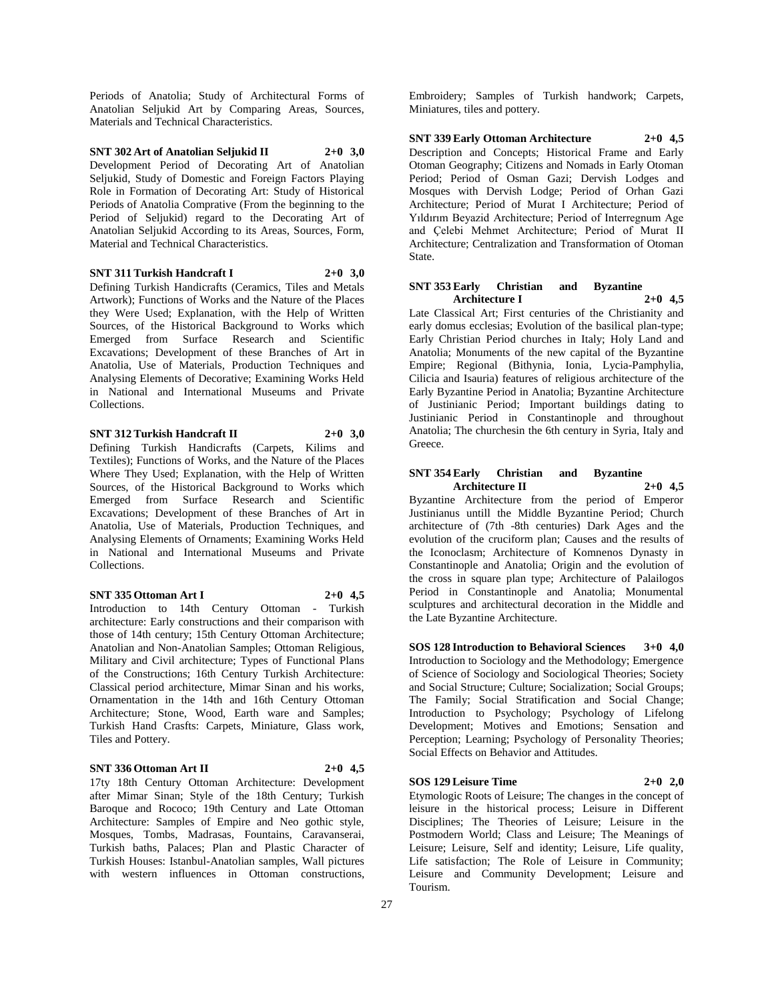Periods of Anatolia; Study of Architectural Forms of Anatolian Seljukid Art by Comparing Areas, Sources, Materials and Technical Characteristics.

**SNT 302 Art of Anatolian Seljukid II 2+0 3,0** Development Period of Decorating Art of Anatolian Seljukid, Study of Domestic and Foreign Factors Playing Role in Formation of Decorating Art: Study of Historical Periods of Anatolia Comprative (From the beginning to the Period of Seljukid) regard to the Decorating Art of Anatolian Seljukid According to its Areas, Sources, Form, Material and Technical Characteristics.

## **SNT 311 Turkish Handcraft I 2+0 3,0**

Defining Turkish Handicrafts (Ceramics, Tiles and Metals Artwork); Functions of Works and the Nature of the Places they Were Used; Explanation, with the Help of Written Sources, of the Historical Background to Works which Emerged from Surface Research and Scientific Excavations; Development of these Branches of Art in Anatolia, Use of Materials, Production Techniques and Analysing Elements of Decorative; Examining Works Held in National and International Museums and Private Collections.

**SNT 312 Turkish Handcraft II 2+0 3,0**

Defining Turkish Handicrafts (Carpets, Kilims and Textiles); Functions of Works, and the Nature of the Places Where They Used; Explanation, with the Help of Written Sources, of the Historical Background to Works which Emerged from Surface Research and Scientific Excavations; Development of these Branches of Art in Anatolia, Use of Materials, Production Techniques, and Analysing Elements of Ornaments; Examining Works Held in National and International Museums and Private Collections.

**SNT 335 Ottoman Art I 2+0 4,5**

Introduction to 14th Century Ottoman - Turkish architecture: Early constructions and their comparison with those of 14th century; 15th Century Ottoman Architecture; Anatolian and Non-Anatolian Samples; Ottoman Religious, Military and Civil architecture; Types of Functional Plans of the Constructions; 16th Century Turkish Architecture: Classical period architecture, Mimar Sinan and his works, Ornamentation in the 14th and 16th Century Ottoman Architecture; Stone, Wood, Earth ware and Samples; Turkish Hand Crasfts: Carpets, Miniature, Glass work, Tiles and Pottery.

**SNT 336 Ottoman Art II 2+0 4,5**

17ty 18th Century Ottoman Architecture: Development after Mimar Sinan; Style of the 18th Century; Turkish Baroque and Rococo; 19th Century and Late Ottoman Architecture: Samples of Empire and Neo gothic style, Mosques, Tombs, Madrasas, Fountains, Caravanserai, Turkish baths, Palaces; Plan and Plastic Character of Turkish Houses: Istanbul-Anatolian samples, Wall pictures with western influences in Ottoman constructions,

Embroidery; Samples of Turkish handwork; Carpets, Miniatures, tiles and pottery.

**SNT 339 Early Ottoman Architecture 2+0 4,5** Description and Concepts; Historical Frame and Early Otoman Geography; Citizens and Nomads in Early Otoman Period; Period of Osman Gazi; Dervish Lodges and Mosques with Dervish Lodge; Period of Orhan Gazi Architecture; Period of Murat I Architecture; Period of Yıldırım Beyazid Architecture; Period of Interregnum Age and Çelebi Mehmet Architecture; Period of Murat II Architecture; Centralization and Transformation of Otoman State.

## **SNT 353 Early Christian and Byzantine Architecture I 2+0 4,5**

Late Classical Art; First centuries of the Christianity and early domus ecclesias; Evolution of the basilical plan-type; Early Christian Period churches in Italy; Holy Land and Anatolia; Monuments of the new capital of the Byzantine Empire; Regional (Bithynia, Ionia, Lycia-Pamphylia, Cilicia and Isauria) features of religious architecture of the Early Byzantine Period in Anatolia; Byzantine Architecture of Justinianic Period; Important buildings dating to Justinianic Period in Constantinople and throughout Anatolia; The churchesin the 6th century in Syria, Italy and Greece.

## **SNT 354 Early Christian and Byzantine Architecture II 2+0 4,5**

Byzantine Architecture from the period of Emperor Justinianus untill the Middle Byzantine Period; Church architecture of (7th -8th centuries) Dark Ages and the evolution of the cruciform plan; Causes and the results of the Iconoclasm; Architecture of Komnenos Dynasty in Constantinople and Anatolia; Origin and the evolution of the cross in square plan type; Architecture of Palailogos Period in Constantinople and Anatolia; Monumental sculptures and architectural decoration in the Middle and the Late Byzantine Architecture.

**SOS 128 Introduction to Behavioral Sciences 3+0 4,0** Introduction to Sociology and the Methodology; Emergence of Science of Sociology and Sociological Theories; Society and Social Structure; Culture; Socialization; Social Groups; The Family; Social Stratification and Social Change; Introduction to Psychology; Psychology of Lifelong Development; Motives and Emotions; Sensation and Perception; Learning; Psychology of Personality Theories; Social Effects on Behavior and Attitudes.

## **SOS 129 Leisure Time 2+0 2,0**

Etymologic Roots of Leisure; The changes in the concept of leisure in the historical process; Leisure in Different Disciplines; The Theories of Leisure; Leisure in the Postmodern World; Class and Leisure; The Meanings of Leisure; Leisure, Self and identity; Leisure, Life quality, Life satisfaction; The Role of Leisure in Community; Leisure and Community Development; Leisure and Tourism.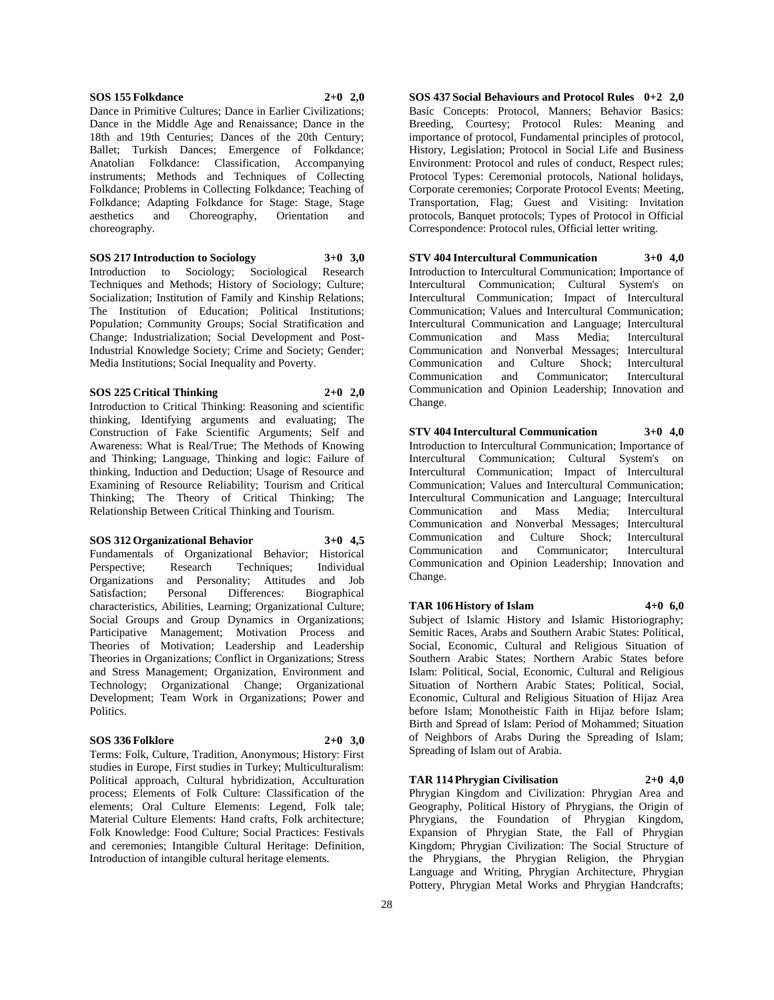#### **SOS 155 Folkdance 2+0 2,0**

Dance in Primitive Cultures; Dance in Earlier Civilizations; Dance in the Middle Age and Renaissance; Dance in the 18th and 19th Centuries; Dances of the 20th Century; Ballet; Turkish Dances; Emergence of Folkdance; Anatolian Folkdance: Classification, Accompanying instruments; Methods and Techniques of Collecting Folkdance; Problems in Collecting Folkdance; Teaching of Folkdance; Adapting Folkdance for Stage: Stage, Stage aesthetics and Choreography, Orientation and choreography.

**SOS 217 Introduction to Sociology 3+0 3,0**

Introduction to Sociology; Sociological Research Techniques and Methods; History of Sociology; Culture; Socialization; Institution of Family and Kinship Relations; The Institution of Education; Political Institutions; Population; Community Groups; Social Stratification and Change; Industrialization; Social Development and Post-Industrial Knowledge Society; Crime and Society; Gender; Media Institutions; Social Inequality and Poverty.

#### **SOS 225 Critical Thinking 2+0 2,0**

Introduction to Critical Thinking: Reasoning and scientific thinking, Identifying arguments and evaluating; The Construction of Fake Scientific Arguments; Self and Awareness: What is Real/True; The Methods of Knowing and Thinking; Language, Thinking and logic: Failure of thinking, Induction and Deduction; Usage of Resource and Examining of Resource Reliability; Tourism and Critical Thinking; The Theory of Critical Thinking; The Relationship Between Critical Thinking and Tourism.

## **SOS 312 Organizational Behavior 3+0 4,5**

Fundamentals of Organizational Behavior; Historical Perspective: Research Techniques: Individual Organizations and Personality; Attitudes and Job Satisfaction; Personal Differences: Biographical characteristics, Abilities, Learning; Organizational Culture; Social Groups and Group Dynamics in Organizations; Participative Management; Motivation Process and Theories of Motivation; Leadership and Leadership Theories in Organizations; Conflict in Organizations; Stress and Stress Management; Organization, Environment and Technology; Organizational Change; Organizational Development; Team Work in Organizations; Power and Politics.

#### **SOS 336 Folklore 2+0 3,0**

Terms: Folk, Culture, Tradition, Anonymous; History: First studies in Europe, First studies in Turkey; Multiculturalism: Political approach, Cultural hybridization, Acculturation process; Elements of Folk Culture: Classification of the elements; Oral Culture Elements: Legend, Folk tale; Material Culture Elements: Hand crafts, Folk architecture; Folk Knowledge: Food Culture; Social Practices: Festivals and ceremonies; Intangible Cultural Heritage: Definition, Introduction of intangible cultural heritage elements.

**SOS 437 Social Behaviours and Protocol Rules 0+2 2,0** Basic Concepts: Protocol, Manners; Behavior Basics: Breeding, Courtesy; Protocol Rules: Meaning and importance of protocol, Fundamental principles of protocol, History, Legislation; Protocol in Social Life and Business Environment: Protocol and rules of conduct, Respect rules; Protocol Types: Ceremonial protocols, National holidays, Corporate ceremonies; Corporate Protocol Events: Meeting, Transportation, Flag; Guest and Visiting: Invitation protocols, Banquet protocols; Types of Protocol in Official Correspondence: Protocol rules, Official letter writing.

## **STV 404 Intercultural Communication 3+0 4,0** Introduction to Intercultural Communication; Importance of Intercultural Communication; Cultural System's on Intercultural Communication; Impact of Intercultural Communication; Values and Intercultural Communication; Intercultural Communication and Language; Intercultural Communication and Mass Media; Intercultural Communication and Nonverbal Messages; Intercultural Communication and Culture Shock; Intercultural Communication and Communicator; Intercultural Communication and Opinion Leadership; Innovation and Change.

**STV 404 Intercultural Communication 3+0 4,0** Introduction to Intercultural Communication; Importance of Intercultural Communication; Cultural System's on Intercultural Communication; Impact of Intercultural Communication; Values and Intercultural Communication; Intercultural Communication and Language; Intercultural Communication and Mass Media; Intercultural Communication and Nonverbal Messages; Intercultural Communication and Culture Shock; Intercultural Communication and Communicator; Intercultural Communication and Opinion Leadership; Innovation and Change.

## **TAR 106 History of Islam 4+0 6,0**

Subject of Islamic History and Islamic Historiography; Semitic Races, Arabs and Southern Arabic States: Political, Social, Economic, Cultural and Religious Situation of Southern Arabic States; Northern Arabic States before Islam: Political, Social, Economic, Cultural and Religious Situation of Northern Arabic States; Political, Social, Economic, Cultural and Religious Situation of Hijaz Area before Islam; Monotheistic Faith in Hijaz before Islam; Birth and Spread of Islam: Period of Mohammed; Situation of Neighbors of Arabs During the Spreading of Islam; Spreading of Islam out of Arabia.

## **TAR 114 Phrygian Civilisation 2+0 4,0**

Phrygian Kingdom and Civilization: Phrygian Area and Geography, Political History of Phrygians, the Origin of Phrygians, the Foundation of Phrygian Kingdom, Expansion of Phrygian State, the Fall of Phrygian Kingdom; Phrygian Civilization: The Social Structure of the Phrygians, the Phrygian Religion, the Phrygian Language and Writing, Phrygian Architecture, Phrygian Pottery, Phrygian Metal Works and Phrygian Handcrafts;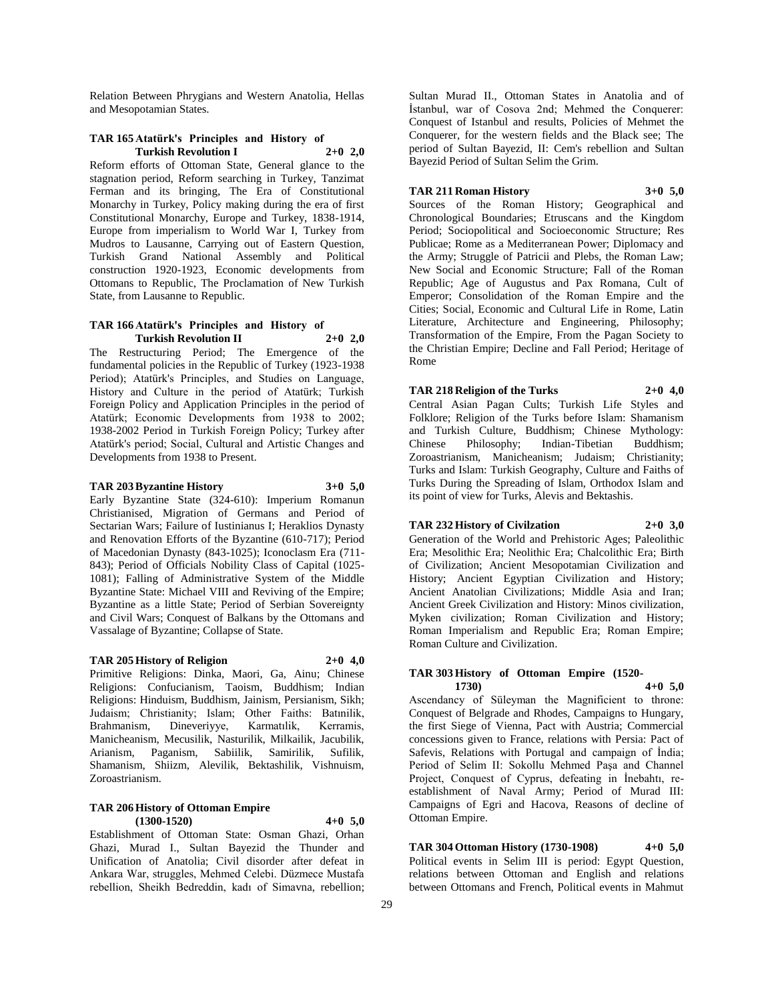Relation Between Phrygians and Western Anatolia, Hellas and Mesopotamian States.

## **TAR 165 Atatürk's Principles and History of Turkish Revolution I 2+0 2,0**

Reform efforts of Ottoman State, General glance to the stagnation period, Reform searching in Turkey, Tanzimat Ferman and its bringing, The Era of Constitutional Monarchy in Turkey, Policy making during the era of first Constitutional Monarchy, Europe and Turkey, 1838-1914, Europe from imperialism to World War I, Turkey from Mudros to Lausanne, Carrying out of Eastern Question, Turkish Grand National Assembly and Political construction 1920-1923, Economic developments from Ottomans to Republic, The Proclamation of New Turkish State, from Lausanne to Republic.

### **TAR 166 Atatürk's Principles and History of Turkish Revolution II 2+0 2,0**

The Restructuring Period; The Emergence of the fundamental policies in the Republic of Turkey (1923-1938 Period); Atatürk's Principles, and Studies on Language, History and Culture in the period of Atatürk; Turkish Foreign Policy and Application Principles in the period of Atatürk; Economic Developments from 1938 to 2002; 1938-2002 Period in Turkish Foreign Policy; Turkey after Atatürk's period; Social, Cultural and Artistic Changes and Developments from 1938 to Present.

## **TAR 203 Byzantine History 3+0 5,0**

Early Byzantine State (324-610): Imperium Romanun Christianised, Migration of Germans and Period of Sectarian Wars; Failure of Iustinianus I; Heraklios Dynasty and Renovation Efforts of the Byzantine (610-717); Period of Macedonian Dynasty (843-1025); Iconoclasm Era (711- 843); Period of Officials Nobility Class of Capital (1025- 1081); Falling of Administrative System of the Middle Byzantine State: Michael VIII and Reviving of the Empire; Byzantine as a little State; Period of Serbian Sovereignty and Civil Wars; Conquest of Balkans by the Ottomans and Vassalage of Byzantine; Collapse of State.

## **TAR 205 History of Religion 2+0 4,0**

Primitive Religions: Dinka, Maori, Ga, Ainu; Chinese Religions: Confucianism, Taoism, Buddhism; Indian Religions: Hinduism, Buddhism, Jainism, Persianism, Sikh; Judaism; Christianity; Islam; Other Faiths: Batınilik, Brahmanism, Dineveriyye, Karmatılik, Kerramis, Manicheanism, Mecusilik, Nasturilik, Milkailik, Jacubilik, Arianism, Paganism, Sabiilik, Samirilik, Sufilik, Shamanism, Shiizm, Alevilik, Bektashilik, Vishnuism, Zoroastrianism.

#### **TAR 206 History of Ottoman Empire (1300-1520) 4+0 5,0**

Establishment of Ottoman State: Osman Ghazi, Orhan Ghazi, Murad I., Sultan Bayezid the Thunder and Unification of Anatolia; Civil disorder after defeat in Ankara War, struggles, Mehmed Celebi. Düzmece Mustafa rebellion, Sheikh Bedreddin, kadı of Simavna, rebellion;

Sultan Murad II., Ottoman States in Anatolia and of İstanbul, war of Cosova 2nd; Mehmed the Conquerer: Conquest of Istanbul and results, Policies of Mehmet the Conquerer, for the western fields and the Black see; The period of Sultan Bayezid, II: Cem's rebellion and Sultan Bayezid Period of Sultan Selim the Grim.

## **TAR 211 Roman History 3+0 5,0**

Sources of the Roman History; Geographical and Chronological Boundaries; Etruscans and the Kingdom Period; Sociopolitical and Socioeconomic Structure; Res Publicae; Rome as a Mediterranean Power; Diplomacy and the Army; Struggle of Patricii and Plebs, the Roman Law; New Social and Economic Structure; Fall of the Roman Republic; Age of Augustus and Pax Romana, Cult of Emperor; Consolidation of the Roman Empire and the Cities; Social, Economic and Cultural Life in Rome, Latin Literature, Architecture and Engineering, Philosophy; Transformation of the Empire, From the Pagan Society to the Christian Empire; Decline and Fall Period; Heritage of Rome

## **TAR 218 Religion of the Turks 2+0 4,0**

Central Asian Pagan Cults; Turkish Life Styles and Folklore; Religion of the Turks before Islam: Shamanism and Turkish Culture, Buddhism; Chinese Mythology: Chinese Philosophy; Indian-Tibetian Buddhism; Zoroastrianism, Manicheanism; Judaism; Christianity; Turks and Islam: Turkish Geography, Culture and Faiths of Turks During the Spreading of Islam, Orthodox Islam and its point of view for Turks, Alevis and Bektashis.

## **TAR 232 History of Civilzation 2+0 3,0**

Generation of the World and Prehistoric Ages; Paleolithic Era; Mesolithic Era; Neolithic Era; Chalcolithic Era; Birth of Civilization; Ancient Mesopotamian Civilization and History; Ancient Egyptian Civilization and History; Ancient Anatolian Civilizations; Middle Asia and Iran; Ancient Greek Civilization and History: Minos civilization, Myken civilization; Roman Civilization and History; Roman Imperialism and Republic Era; Roman Empire; Roman Culture and Civilization.

# **TAR 303 History of Ottoman Empire (1520-**

**1730) 4+0 5,0** Ascendancy of Süleyman the Magnificient to throne: Conquest of Belgrade and Rhodes, Campaigns to Hungary, the first Siege of Vienna, Pact with Austria; Commercial concessions given to France, relations with Persia: Pact of Safevis, Relations with Portugal and campaign of İndia; Period of Selim II: Sokollu Mehmed Paşa and Channel Project, Conquest of Cyprus, defeating in İnebahtı, reestablishment of Naval Army; Period of Murad III: Campaigns of Egri and Hacova, Reasons of decline of

**TAR 304 Ottoman History (1730-1908) 4+0 5,0** Political events in Selim III is period: Egypt Question, relations between Ottoman and English and relations between Ottomans and French, Political events in Mahmut

Ottoman Empire.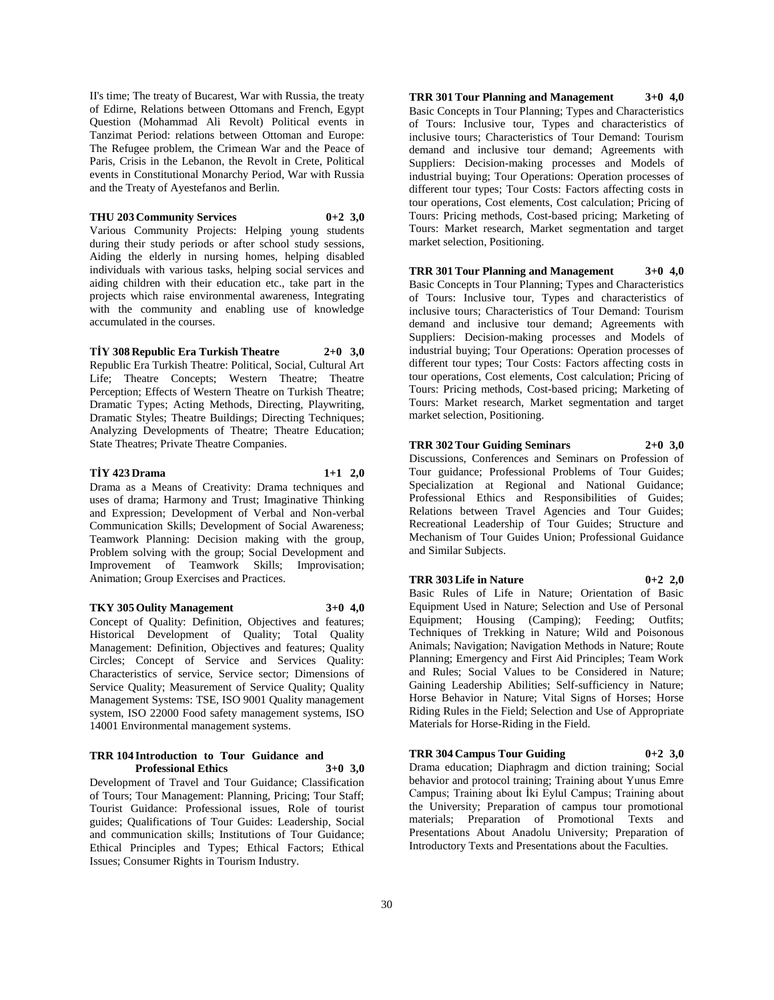II's time; The treaty of Bucarest, War with Russia, the treaty of Edirne, Relations between Ottomans and French, Egypt Question (Mohammad Ali Revolt) Political events in Tanzimat Period: relations between Ottoman and Europe: The Refugee problem, the Crimean War and the Peace of Paris, Crisis in the Lebanon, the Revolt in Crete, Political events in Constitutional Monarchy Period, War with Russia and the Treaty of Ayestefanos and Berlin.

## **THU 203 Community Services 0+2 3,0**

Various Community Projects: Helping young students during their study periods or after school study sessions, Aiding the elderly in nursing homes, helping disabled individuals with various tasks, helping social services and aiding children with their education etc., take part in the projects which raise environmental awareness, Integrating with the community and enabling use of knowledge accumulated in the courses.

## **TİY 308 Republic Era Turkish Theatre 2+0 3,0**

Republic Era Turkish Theatre: Political, Social, Cultural Art Life; Theatre Concepts; Western Theatre; Theatre Perception; Effects of Western Theatre on Turkish Theatre; Dramatic Types; Acting Methods, Directing, Playwriting, Dramatic Styles; Theatre Buildings; Directing Techniques; Analyzing Developments of Theatre; Theatre Education; State Theatres; Private Theatre Companies.

## **TİY 423 Drama 1+1 2,0**

Drama as a Means of Creativity: Drama techniques and uses of drama; Harmony and Trust; Imaginative Thinking and Expression; Development of Verbal and Non-verbal Communication Skills; Development of Social Awareness; Teamwork Planning: Decision making with the group, Problem solving with the group; Social Development and Improvement of Teamwork Skills; Improvisation; Animation; Group Exercises and Practices.

## **TKY 305 Oulity Management 3+0 4,0**

Concept of Quality: Definition, Objectives and features; Historical Development of Quality; Total Quality Management: Definition, Objectives and features; Quality Circles; Concept of Service and Services Quality: Characteristics of service, Service sector; Dimensions of Service Quality; Measurement of Service Quality; Quality Management Systems: TSE, ISO 9001 Quality management system, ISO 22000 Food safety management systems, ISO 14001 Environmental management systems.

## **TRR 104 Introduction to Tour Guidance and Professional Ethics 3+0 3,0**

Development of Travel and Tour Guidance; Classification of Tours; Tour Management: Planning, Pricing; Tour Staff; Tourist Guidance: Professional issues, Role of tourist guides; Qualifications of Tour Guides: Leadership, Social and communication skills; Institutions of Tour Guidance; Ethical Principles and Types; Ethical Factors; Ethical Issues; Consumer Rights in Tourism Industry.

**TRR 301 Tour Planning and Management 3+0 4,0** Basic Concepts in Tour Planning; Types and Characteristics of Tours: Inclusive tour, Types and characteristics of inclusive tours; Characteristics of Tour Demand: Tourism demand and inclusive tour demand; Agreements with Suppliers: Decision-making processes and Models of industrial buying; Tour Operations: Operation processes of different tour types; Tour Costs: Factors affecting costs in tour operations, Cost elements, Cost calculation; Pricing of Tours: Pricing methods, Cost-based pricing; Marketing of Tours: Market research, Market segmentation and target market selection, Positioning.

## **TRR 301 Tour Planning and Management 3+0 4,0**

Basic Concepts in Tour Planning; Types and Characteristics of Tours: Inclusive tour, Types and characteristics of inclusive tours; Characteristics of Tour Demand: Tourism demand and inclusive tour demand; Agreements with Suppliers: Decision-making processes and Models of industrial buying; Tour Operations: Operation processes of different tour types; Tour Costs: Factors affecting costs in tour operations, Cost elements, Cost calculation; Pricing of Tours: Pricing methods, Cost-based pricing; Marketing of Tours: Market research, Market segmentation and target market selection, Positioning.

## **TRR 302 Tour Guiding Seminars 2+0 3,0**

Discussions, Conferences and Seminars on Profession of Tour guidance; Professional Problems of Tour Guides; Specialization at Regional and National Guidance; Professional Ethics and Responsibilities of Guides; Relations between Travel Agencies and Tour Guides; Recreational Leadership of Tour Guides; Structure and Mechanism of Tour Guides Union; Professional Guidance and Similar Subjects.

**TRR 303 Life in Nature 0+2 2,0**

Basic Rules of Life in Nature; Orientation of Basic Equipment Used in Nature; Selection and Use of Personal Equipment; Housing (Camping); Feeding; Outfits; Techniques of Trekking in Nature; Wild and Poisonous Animals; Navigation; Navigation Methods in Nature; Route Planning; Emergency and First Aid Principles; Team Work and Rules; Social Values to be Considered in Nature; Gaining Leadership Abilities; Self-sufficiency in Nature; Horse Behavior in Nature; Vital Signs of Horses; Horse Riding Rules in the Field; Selection and Use of Appropriate Materials for Horse-Riding in the Field.

**TRR 304 Campus Tour Guiding 0+2 3,0**

Drama education; Diaphragm and diction training; Social behavior and protocol training; Training about Yunus Emre Campus; Training about İki Eylul Campus; Training about the University; Preparation of campus tour promotional materials; Preparation of Promotional Texts and Presentations About Anadolu University; Preparation of Introductory Texts and Presentations about the Faculties.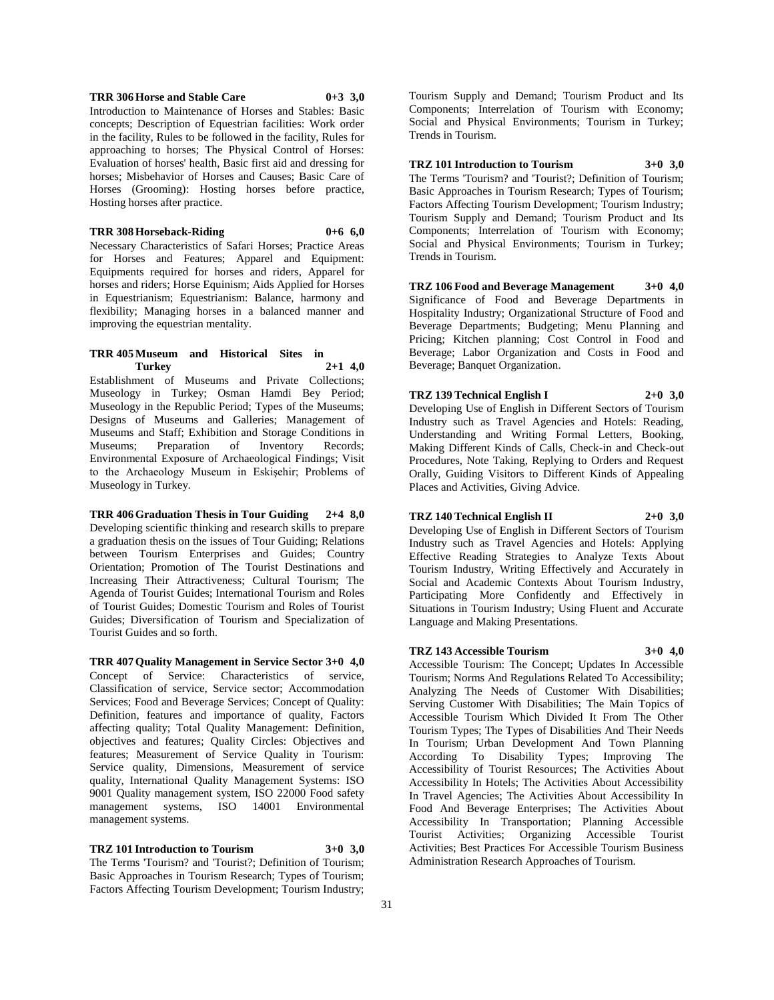## **TRR 306 Horse and Stable Care 0+3 3,0**

Introduction to Maintenance of Horses and Stables: Basic concepts; Description of Equestrian facilities: Work order in the facility, Rules to be followed in the facility, Rules for approaching to horses; The Physical Control of Horses: Evaluation of horses' health, Basic first aid and dressing for horses; Misbehavior of Horses and Causes; Basic Care of Horses (Grooming): Hosting horses before practice, Hosting horses after practice.

#### **TRR 308 Horseback-Riding 0+6 6,0**

Necessary Characteristics of Safari Horses; Practice Areas for Horses and Features; Apparel and Equipment: Equipments required for horses and riders, Apparel for horses and riders; Horse Equinism; Aids Applied for Horses in Equestrianism; Equestrianism: Balance, harmony and flexibility; Managing horses in a balanced manner and improving the equestrian mentality.

#### **TRR 405 Museum and Historical Sites in Turkey 2+1 4,0**

Establishment of Museums and Private Collections; Museology in Turkey; Osman Hamdi Bey Period; Museology in the Republic Period; Types of the Museums; Designs of Museums and Galleries; Management of Museums and Staff; Exhibition and Storage Conditions in Museums; Preparation of Inventory Records; Environmental Exposure of Archaeological Findings; Visit to the Archaeology Museum in Eskişehir; Problems of Museology in Turkey.

**TRR 406 Graduation Thesis in Tour Guiding 2+4 8,0** Developing scientific thinking and research skills to prepare a graduation thesis on the issues of Tour Guiding; Relations between Tourism Enterprises and Guides; Country Orientation; Promotion of The Tourist Destinations and Increasing Their Attractiveness; Cultural Tourism; The Agenda of Tourist Guides; International Tourism and Roles of Tourist Guides; Domestic Tourism and Roles of Tourist Guides; Diversification of Tourism and Specialization of Tourist Guides and so forth.

**TRR 407 Quality Management in Service Sector 3+0 4,0** Concept of Service: Characteristics of service, Classification of service, Service sector; Accommodation Services; Food and Beverage Services; Concept of Quality: Definition, features and importance of quality, Factors affecting quality; Total Quality Management: Definition, objectives and features; Quality Circles: Objectives and features; Measurement of Service Quality in Tourism: Service quality, Dimensions, Measurement of service quality, International Quality Management Systems: ISO 9001 Quality management system, ISO 22000 Food safety management systems, ISO 14001 Environmental management systems.

**TRZ 101 Introduction to Tourism 3+0 3,0** The Terms 'Tourism? and 'Tourist?; Definition of Tourism; Basic Approaches in Tourism Research; Types of Tourism; Factors Affecting Tourism Development; Tourism Industry;

Tourism Supply and Demand; Tourism Product and Its Components; Interrelation of Tourism with Economy; Social and Physical Environments; Tourism in Turkey; Trends in Tourism.

#### **TRZ 101 Introduction to Tourism 3+0 3,0**

The Terms 'Tourism? and 'Tourist?; Definition of Tourism; Basic Approaches in Tourism Research; Types of Tourism; Factors Affecting Tourism Development; Tourism Industry; Tourism Supply and Demand: Tourism Product and Its Components; Interrelation of Tourism with Economy; Social and Physical Environments; Tourism in Turkey; Trends in Tourism.

**TRZ 106 Food and Beverage Management 3+0 4,0** Significance of Food and Beverage Departments in Hospitality Industry; Organizational Structure of Food and Beverage Departments; Budgeting; Menu Planning and Pricing; Kitchen planning; Cost Control in Food and Beverage; Labor Organization and Costs in Food and Beverage; Banquet Organization.

## **TRZ 139 Technical English I 2+0 3,0**

Developing Use of English in Different Sectors of Tourism Industry such as Travel Agencies and Hotels: Reading, Understanding and Writing Formal Letters, Booking, Making Different Kinds of Calls, Check-in and Check-out Procedures, Note Taking, Replying to Orders and Request Orally, Guiding Visitors to Different Kinds of Appealing Places and Activities, Giving Advice.

#### **TRZ 140 Technical English II 2+0 3,0**

Developing Use of English in Different Sectors of Tourism Industry such as Travel Agencies and Hotels: Applying Effective Reading Strategies to Analyze Texts About Tourism Industry, Writing Effectively and Accurately in Social and Academic Contexts About Tourism Industry, Participating More Confidently and Effectively in Situations in Tourism Industry; Using Fluent and Accurate Language and Making Presentations.

## **TRZ 143 Accessible Tourism 3+0 4,0**

Accessible Tourism: The Concept; Updates In Accessible Tourism; Norms And Regulations Related To Accessibility; Analyzing The Needs of Customer With Disabilities; Serving Customer With Disabilities; The Main Topics of Accessible Tourism Which Divided It From The Other Tourism Types; The Types of Disabilities And Their Needs In Tourism; Urban Development And Town Planning According To Disability Types; Improving The Accessibility of Tourist Resources; The Activities About Accessibility In Hotels; The Activities About Accessibility In Travel Agencies; The Activities About Accessibility In Food And Beverage Enterprises; The Activities About Accessibility In Transportation; Planning Accessible Tourist Activities; Organizing Accessible Tourist Activities; Best Practices For Accessible Tourism Business Administration Research Approaches of Tourism.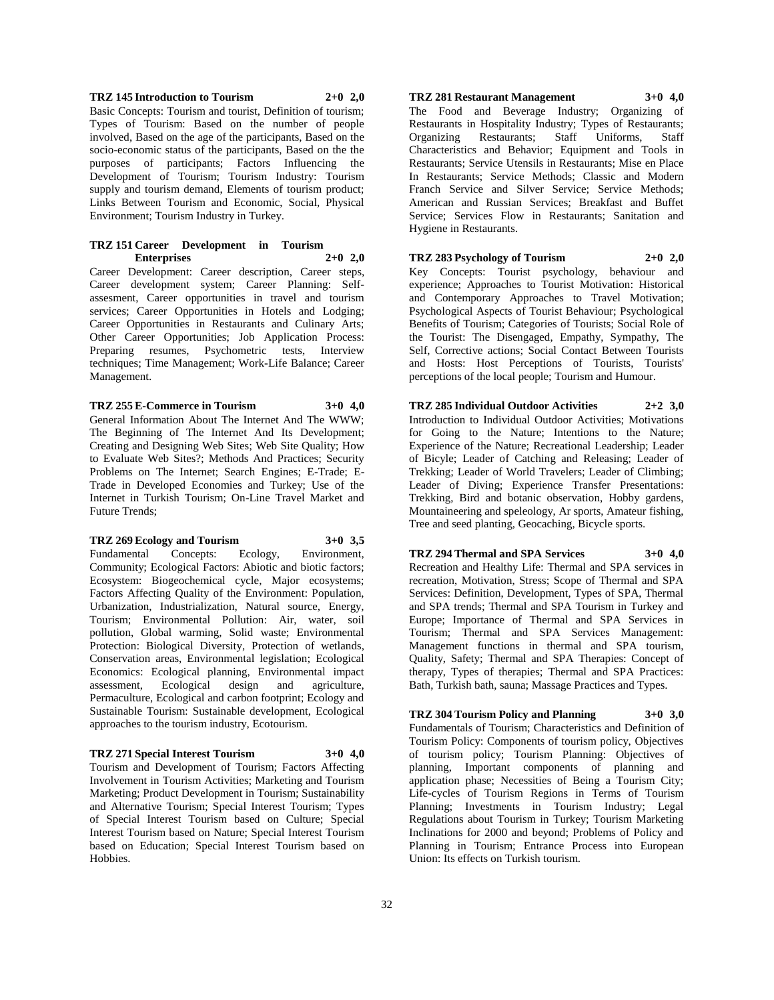## **TRZ 145 Introduction to Tourism 2+0 2,0** Basic Concepts: Tourism and tourist, Definition of tourism; Types of Tourism: Based on the number of people involved, Based on the age of the participants, Based on the socio-economic status of the participants, Based on the the purposes of participants; Factors Influencing the Development of Tourism; Tourism Industry: Tourism supply and tourism demand, Elements of tourism product; Links Between Tourism and Economic, Social, Physical Environment; Tourism Industry in Turkey.

## **TRZ 151 Career Development in Tourism Enterprises 2+0 2,0**

Career Development: Career description, Career steps, Career development system; Career Planning: Selfassesment, Career opportunities in travel and tourism services; Career Opportunities in Hotels and Lodging; Career Opportunities in Restaurants and Culinary Arts; Other Career Opportunities; Job Application Process: Preparing resumes, Psychometric tests, Interview techniques; Time Management; Work-Life Balance; Career Management.

## **TRZ 255 E-Commerce in Tourism 3+0 4,0**

General Information About The Internet And The WWW; The Beginning of The Internet And Its Development; Creating and Designing Web Sites; Web Site Quality; How to Evaluate Web Sites?; Methods And Practices; Security Problems on The Internet; Search Engines; E-Trade; E-Trade in Developed Economies and Turkey; Use of the Internet in Turkish Tourism; On-Line Travel Market and

#### **TRZ 269 Ecology and Tourism 3+0 3,5**

Future Trends;

Fundamental Concepts: Ecology, Environment, Community; Ecological Factors: Abiotic and biotic factors; Ecosystem: Biogeochemical cycle, Major ecosystems; Factors Affecting Quality of the Environment: Population, Urbanization, Industrialization, Natural source, Energy, Tourism; Environmental Pollution: Air, water, soil pollution, Global warming, Solid waste; Environmental Protection: Biological Diversity, Protection of wetlands, Conservation areas, Environmental legislation; Ecological Economics: Ecological planning, Environmental impact assessment, Ecological design and agriculture, Permaculture, Ecological and carbon footprint; Ecology and Sustainable Tourism: Sustainable development, Ecological approaches to the tourism industry, Ecotourism.

## **TRZ 271 Special Interest Tourism 3+0 4,0**

Tourism and Development of Tourism; Factors Affecting Involvement in Tourism Activities; Marketing and Tourism Marketing; Product Development in Tourism; Sustainability and Alternative Tourism; Special Interest Tourism; Types of Special Interest Tourism based on Culture; Special Interest Tourism based on Nature; Special Interest Tourism based on Education; Special Interest Tourism based on Hobbies.

## **TRZ 281 Restaurant Management 3+0 4,0**

The Food and Beverage Industry; Organizing of Restaurants in Hospitality Industry; Types of Restaurants; Organizing Restaurants; Staff Uniforms, Staff Characteristics and Behavior; Equipment and Tools in Restaurants; Service Utensils in Restaurants; Mise en Place In Restaurants; Service Methods; Classic and Modern Franch Service and Silver Service; Service Methods; American and Russian Services; Breakfast and Buffet Service; Services Flow in Restaurants; Sanitation and Hygiene in Restaurants.

**TRZ 283 Psychology of Tourism 2+0 2,0** Key Concepts: Tourist psychology, behaviour and experience; Approaches to Tourist Motivation: Historical and Contemporary Approaches to Travel Motivation; Psychological Aspects of Tourist Behaviour; Psychological Benefits of Tourism; Categories of Tourists; Social Role of the Tourist: The Disengaged, Empathy, Sympathy, The Self, Corrective actions; Social Contact Between Tourists and Hosts: Host Perceptions of Tourists, Tourists' perceptions of the local people; Tourism and Humour.

**TRZ 285 Individual Outdoor Activities 2+2 3,0** Introduction to Individual Outdoor Activities; Motivations for Going to the Nature; Intentions to the Nature; Experience of the Nature; Recreational Leadership; Leader of Bicyle; Leader of Catching and Releasing; Leader of Trekking; Leader of World Travelers; Leader of Climbing; Leader of Diving; Experience Transfer Presentations: Trekking, Bird and botanic observation, Hobby gardens, Mountaineering and speleology, Ar sports, Amateur fishing, Tree and seed planting, Geocaching, Bicycle sports.

**TRZ 294 Thermal and SPA Services 3+0 4,0** Recreation and Healthy Life: Thermal and SPA services in recreation, Motivation, Stress; Scope of Thermal and SPA Services: Definition, Development, Types of SPA, Thermal and SPA trends; Thermal and SPA Tourism in Turkey and Europe; Importance of Thermal and SPA Services in Tourism; Thermal and SPA Services Management: Management functions in thermal and SPA tourism, Quality, Safety; Thermal and SPA Therapies: Concept of therapy, Types of therapies; Thermal and SPA Practices:

## **TRZ 304 Tourism Policy and Planning 3+0 3,0**

Bath, Turkish bath, sauna; Massage Practices and Types.

Fundamentals of Tourism; Characteristics and Definition of Tourism Policy: Components of tourism policy, Objectives of tourism policy; Tourism Planning: Objectives of planning, Important components of planning and application phase; Necessities of Being a Tourism City; Life-cycles of Tourism Regions in Terms of Tourism Planning; Investments in Tourism Industry; Legal Regulations about Tourism in Turkey; Tourism Marketing Inclinations for 2000 and beyond; Problems of Policy and Planning in Tourism; Entrance Process into European Union: Its effects on Turkish tourism.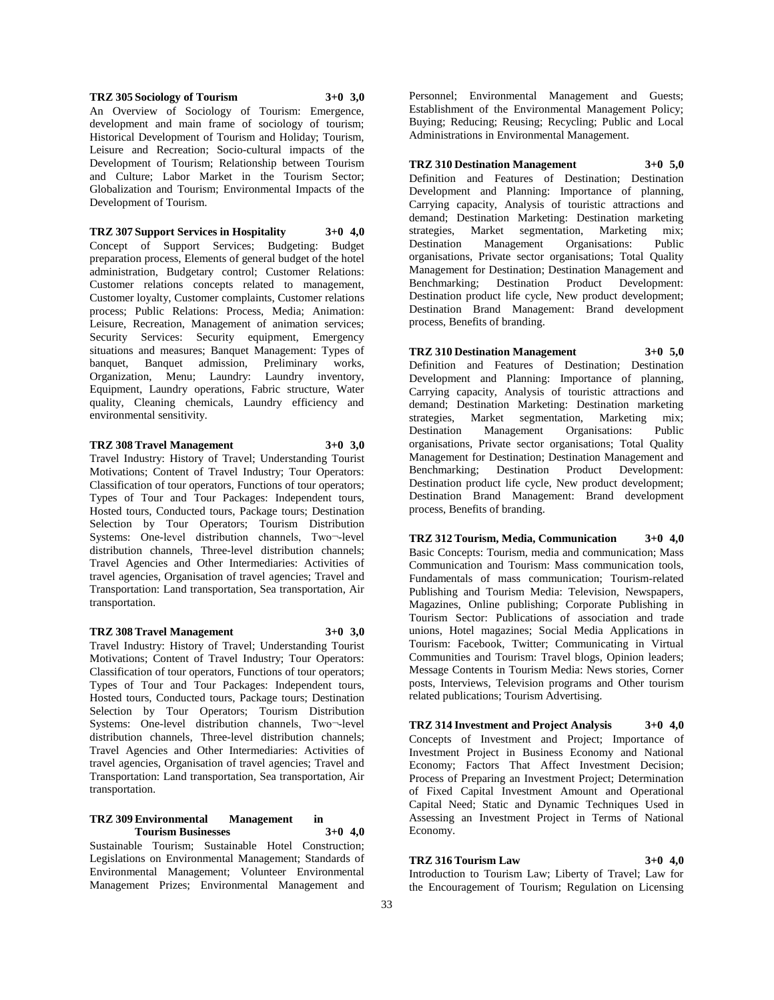## **TRZ 305 Sociology of Tourism 3+0 3,0**

An Overview of Sociology of Tourism: Emergence, development and main frame of sociology of tourism; Historical Development of Tourism and Holiday; Tourism, Leisure and Recreation; Socio-cultural impacts of the Development of Tourism; Relationship between Tourism and Culture; Labor Market in the Tourism Sector; Globalization and Tourism; Environmental Impacts of the Development of Tourism.

**TRZ 307 Support Services in Hospitality 3+0 4,0** Concept of Support Services; Budgeting: Budget preparation process, Elements of general budget of the hotel administration, Budgetary control; Customer Relations: Customer relations concepts related to management, Customer loyalty, Customer complaints, Customer relations process; Public Relations: Process, Media; Animation: Leisure, Recreation, Management of animation services; Security Services: Security equipment, Emergency situations and measures; Banquet Management: Types of banquet, Banquet admission, Preliminary works, Organization, Menu; Laundry: Laundry inventory, Equipment, Laundry operations, Fabric structure, Water quality, Cleaning chemicals, Laundry efficiency and environmental sensitivity.

## **TRZ 308 Travel Management 3+0 3,0**

Travel Industry: History of Travel; Understanding Tourist Motivations; Content of Travel Industry; Tour Operators: Classification of tour operators, Functions of tour operators; Types of Tour and Tour Packages: Independent tours, Hosted tours, Conducted tours, Package tours; Destination Selection by Tour Operators; Tourism Distribution Systems: One-level distribution channels, Two¬-level distribution channels, Three-level distribution channels; Travel Agencies and Other Intermediaries: Activities of travel agencies, Organisation of travel agencies; Travel and Transportation: Land transportation, Sea transportation, Air transportation.

## **TRZ 308 Travel Management 3+0 3,0**

Travel Industry: History of Travel; Understanding Tourist Motivations; Content of Travel Industry; Tour Operators: Classification of tour operators, Functions of tour operators; Types of Tour and Tour Packages: Independent tours, Hosted tours, Conducted tours, Package tours; Destination Selection by Tour Operators; Tourism Distribution Systems: One-level distribution channels, Two¬-level distribution channels, Three-level distribution channels; Travel Agencies and Other Intermediaries: Activities of travel agencies, Organisation of travel agencies; Travel and Transportation: Land transportation, Sea transportation, Air transportation.

## **TRZ 309 Environmental Management in Tourism Businesses 3+0 4,0**

Sustainable Tourism; Sustainable Hotel Construction; Legislations on Environmental Management; Standards of Environmental Management; Volunteer Environmental Management Prizes; Environmental Management and

Personnel; Environmental Management and Guests; Establishment of the Environmental Management Policy; Buying; Reducing; Reusing; Recycling; Public and Local Administrations in Environmental Management.

**TRZ 310 Destination Management 3+0 5,0**

Definition and Features of Destination; Destination Development and Planning: Importance of planning, Carrying capacity, Analysis of touristic attractions and demand; Destination Marketing: Destination marketing strategies, Market segmentation, Marketing mix;<br>Destination Management Organisations: Public Organisations: organisations, Private sector organisations; Total Quality Management for Destination; Destination Management and Benchmarking; Destination Product Development: Destination product life cycle, New product development; Destination Brand Management: Brand development process, Benefits of branding.

**TRZ 310 Destination Management 3+0 5,0** Definition and Features of Destination; Destination Development and Planning: Importance of planning, Carrying capacity, Analysis of touristic attractions and demand; Destination Marketing: Destination marketing strategies, Market segmentation, Marketing mix;<br>Destination Management Organisations: Public Destination Management Organisations: organisations, Private sector organisations; Total Quality Management for Destination; Destination Management and Benchmarking; Destination Product Development: Destination product life cycle, New product development; Destination Brand Management: Brand development process, Benefits of branding.

**TRZ 312 Tourism, Media, Communication 3+0 4,0** Basic Concepts: Tourism, media and communication; Mass Communication and Tourism: Mass communication tools, Fundamentals of mass communication; Tourism-related Publishing and Tourism Media: Television, Newspapers, Magazines, Online publishing; Corporate Publishing in Tourism Sector: Publications of association and trade unions, Hotel magazines; Social Media Applications in Tourism: Facebook, Twitter; Communicating in Virtual Communities and Tourism: Travel blogs, Opinion leaders; Message Contents in Tourism Media: News stories, Corner posts, Interviews, Television programs and Other tourism related publications; Tourism Advertising.

**TRZ 314 Investment and Project Analysis 3+0 4,0** Concepts of Investment and Project; Importance of Investment Project in Business Economy and National Economy; Factors That Affect Investment Decision; Process of Preparing an Investment Project; Determination of Fixed Capital Investment Amount and Operational Capital Need; Static and Dynamic Techniques Used in Assessing an Investment Project in Terms of National Economy.

## **TRZ 316 Tourism Law 3+0 4,0**

Introduction to Tourism Law; Liberty of Travel; Law for the Encouragement of Tourism; Regulation on Licensing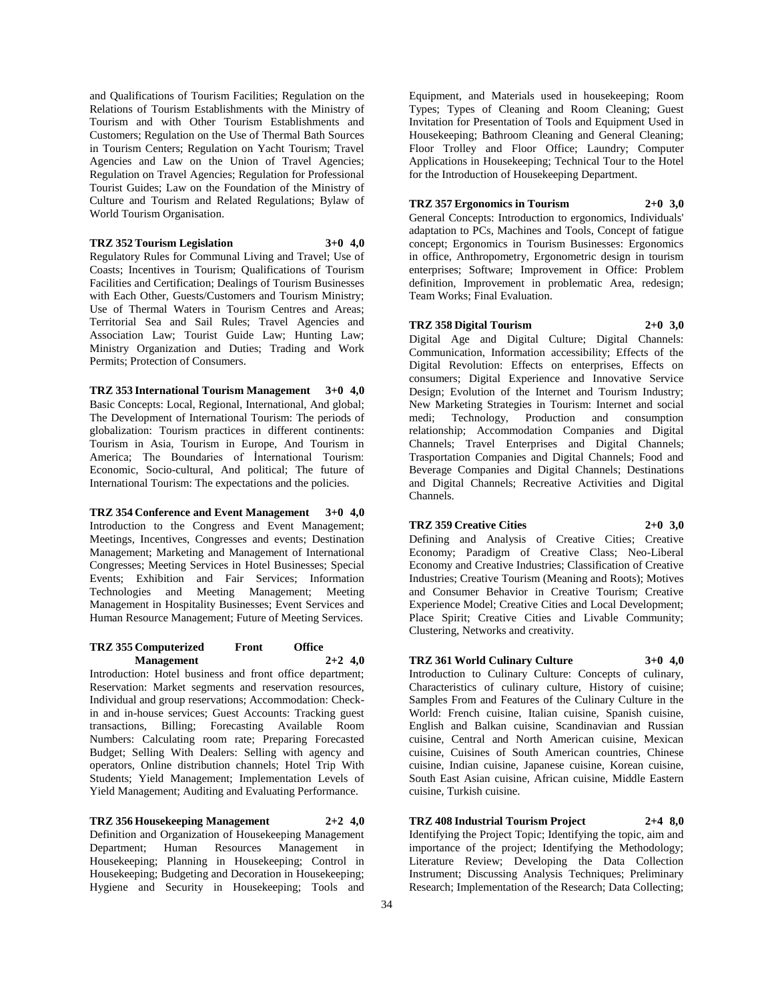and Qualifications of Tourism Facilities; Regulation on the Relations of Tourism Establishments with the Ministry of Tourism and with Other Tourism Establishments and Customers; Regulation on the Use of Thermal Bath Sources in Tourism Centers; Regulation on Yacht Tourism; Travel Agencies and Law on the Union of Travel Agencies; Regulation on Travel Agencies; Regulation for Professional Tourist Guides; Law on the Foundation of the Ministry of Culture and Tourism and Related Regulations; Bylaw of World Tourism Organisation.

## **TRZ 352 Tourism Legislation 3+0 4,0**

Regulatory Rules for Communal Living and Travel; Use of Coasts; Incentives in Tourism; Qualifications of Tourism Facilities and Certification; Dealings of Tourism Businesses with Each Other, Guests/Customers and Tourism Ministry; Use of Thermal Waters in Tourism Centres and Areas; Territorial Sea and Sail Rules; Travel Agencies and Association Law; Tourist Guide Law; Hunting Law; Ministry Organization and Duties; Trading and Work Permits; Protection of Consumers.

**TRZ 353 International Tourism Management 3+0 4,0** Basic Concepts: Local, Regional, International, And global; The Development of International Tourism: The periods of globalization: Tourism practices in different continents: Tourism in Asia, Tourism in Europe, And Tourism in America; The Boundaries of İnternational Tourism: Economic, Socio-cultural, And political; The future of International Tourism: The expectations and the policies.

**TRZ 354 Conference and Event Management 3+0 4,0** Introduction to the Congress and Event Management; Meetings, Incentives, Congresses and events; Destination Management; Marketing and Management of International Congresses; Meeting Services in Hotel Businesses; Special Events; Exhibition and Fair Services; Information Technologies and Meeting Management; Meeting Management in Hospitality Businesses; Event Services and Human Resource Management; Future of Meeting Services.

### **TRZ 355 Computerized Front Office Management 2+2 4,0**

Introduction: Hotel business and front office department; Reservation: Market segments and reservation resources, Individual and group reservations; Accommodation: Checkin and in-house services; Guest Accounts: Tracking guest transactions, Billing; Forecasting Available Room Numbers: Calculating room rate; Preparing Forecasted Budget; Selling With Dealers: Selling with agency and operators, Online distribution channels; Hotel Trip With Students; Yield Management; Implementation Levels of Yield Management; Auditing and Evaluating Performance.

**TRZ 356 Housekeeping Management 2+2 4,0** Definition and Organization of Housekeeping Management Department; Human Resources Management in Housekeeping; Planning in Housekeeping; Control in Housekeeping; Budgeting and Decoration in Housekeeping; Hygiene and Security in Housekeeping; Tools and

Equipment, and Materials used in housekeeping; Room Types; Types of Cleaning and Room Cleaning; Guest Invitation for Presentation of Tools and Equipment Used in Housekeeping; Bathroom Cleaning and General Cleaning; Floor Trolley and Floor Office; Laundry; Computer Applications in Housekeeping; Technical Tour to the Hotel for the Introduction of Housekeeping Department.

## **TRZ 357 Ergonomics in Tourism 2+0 3,0**

General Concepts: Introduction to ergonomics, Individuals' adaptation to PCs, Machines and Tools, Concept of fatigue concept; Ergonomics in Tourism Businesses: Ergonomics in office, Anthropometry, Ergonometric design in tourism enterprises; Software; Improvement in Office: Problem definition, Improvement in problematic Area, redesign; Team Works; Final Evaluation.

### **TRZ 358 Digital Tourism 2+0 3,0**

Digital Age and Digital Culture; Digital Channels: Communication, Information accessibility; Effects of the Digital Revolution: Effects on enterprises, Effects on consumers; Digital Experience and Innovative Service Design; Evolution of the Internet and Tourism Industry; New Marketing Strategies in Tourism: Internet and social medi; Technology, Production and consumption relationship; Accommodation Companies and Digital Channels; Travel Enterprises and Digital Channels; Trasportation Companies and Digital Channels; Food and Beverage Companies and Digital Channels; Destinations and Digital Channels; Recreative Activities and Digital Channels.

## **TRZ 359 Creative Cities 2+0 3,0**

Defining and Analysis of Creative Cities; Creative Economy; Paradigm of Creative Class; Neo-Liberal Economy and Creative Industries; Classification of Creative Industries; Creative Tourism (Meaning and Roots); Motives and Consumer Behavior in Creative Tourism; Creative Experience Model; Creative Cities and Local Development; Place Spirit; Creative Cities and Livable Community; Clustering, Networks and creativity.

## **TRZ 361 World Culinary Culture 3+0 4,0**

Introduction to Culinary Culture: Concepts of culinary, Characteristics of culinary culture, History of cuisine; Samples From and Features of the Culinary Culture in the World: French cuisine, Italian cuisine, Spanish cuisine, English and Balkan cuisine, Scandinavian and Russian cuisine, Central and North American cuisine, Mexican cuisine, Cuisines of South American countries, Chinese cuisine, Indian cuisine, Japanese cuisine, Korean cuisine, South East Asian cuisine, African cuisine, Middle Eastern cuisine, Turkish cuisine.

# **TRZ 408 Industrial Tourism Project 2+4 8,0**

Identifying the Project Topic; Identifying the topic, aim and importance of the project; Identifying the Methodology; Literature Review; Developing the Data Collection Instrument; Discussing Analysis Techniques; Preliminary Research; Implementation of the Research; Data Collecting;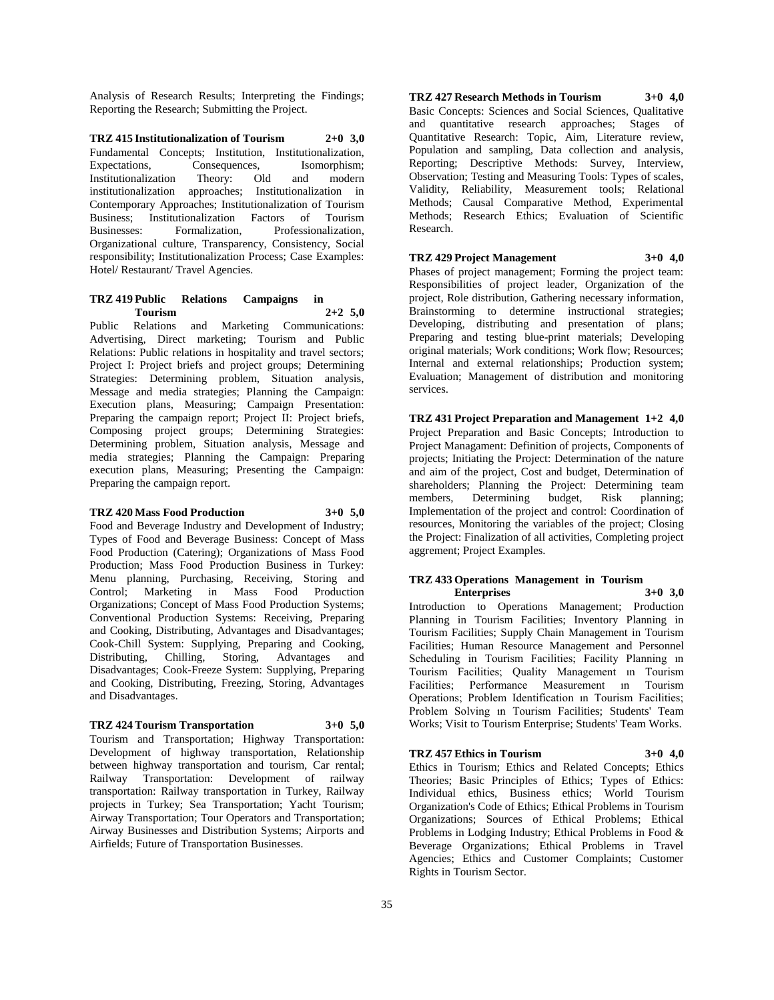Analysis of Research Results; Interpreting the Findings; Reporting the Research; Submitting the Project.

**TRZ 415 Institutionalization of Tourism 2+0 3,0** Fundamental Concepts; Institution, Institutionalization, Expectations, Consequences, Isomorphism; Institutionalization Theory: Old and modern institutionalization approaches; Institutionalization in Contemporary Approaches; Institutionalization of Tourism Business; Institutionalization Factors of Tourism Businesses: Formalization, Professionalization, Organizational culture, Transparency, Consistency, Social responsibility; Institutionalization Process; Case Examples: Hotel/ Restaurant/ Travel Agencies.

## **TRZ 419 Public Relations Campaigns in Tourism 2+2 5,0**

Public Relations and Marketing Communications: Advertising, Direct marketing; Tourism and Public Relations: Public relations in hospitality and travel sectors; Project I: Project briefs and project groups; Determining Strategies: Determining problem, Situation analysis, Message and media strategies; Planning the Campaign: Execution plans, Measuring; Campaign Presentation: Preparing the campaign report; Project II: Project briefs, Composing project groups; Determining Strategies: Determining problem, Situation analysis, Message and media strategies; Planning the Campaign: Preparing execution plans, Measuring; Presenting the Campaign: Preparing the campaign report.

## **TRZ 420 Mass Food Production 3+0 5,0**

Food and Beverage Industry and Development of Industry; Types of Food and Beverage Business: Concept of Mass Food Production (Catering); Organizations of Mass Food Production; Mass Food Production Business in Turkey: Menu planning, Purchasing, Receiving, Storing and Control; Marketing in Mass Food Production Organizations; Concept of Mass Food Production Systems; Conventional Production Systems: Receiving, Preparing and Cooking, Distributing, Advantages and Disadvantages; Cook-Chill System: Supplying, Preparing and Cooking, Distributing, Chilling, Storing, Advantages and Disadvantages; Cook-Freeze System: Supplying, Preparing and Cooking, Distributing, Freezing, Storing, Advantages and Disadvantages.

## **TRZ 424 Tourism Transportation 3+0 5,0**

Tourism and Transportation; Highway Transportation: Development of highway transportation, Relationship between highway transportation and tourism, Car rental; Railway Transportation: Development of railway transportation: Railway transportation in Turkey, Railway projects in Turkey; Sea Transportation; Yacht Tourism; Airway Transportation; Tour Operators and Transportation; Airway Businesses and Distribution Systems; Airports and Airfields; Future of Transportation Businesses.

**TRZ 427 Research Methods in Tourism 3+0 4,0** Basic Concepts: Sciences and Social Sciences, Qualitative and quantitative research approaches; Stages of Quantitative Research: Topic, Aim, Literature review, Population and sampling, Data collection and analysis, Reporting; Descriptive Methods: Survey, Interview, Observation; Testing and Measuring Tools: Types of scales, Validity, Reliability, Measurement tools; Relational Methods; Causal Comparative Method, Experimental Methods; Research Ethics; Evaluation of Scientific Research.

## **TRZ 429 Project Management 3+0 4,0**

Phases of project management; Forming the project team: Responsibilities of project leader, Organization of the project, Role distribution, Gathering necessary information, Brainstorming to determine instructional strategies; Developing, distributing and presentation of plans; Preparing and testing blue-print materials; Developing original materials; Work conditions; Work flow; Resources; Internal and external relationships; Production system; Evaluation; Management of distribution and monitoring services.

## **TRZ 431 Project Preparation and Management 1+2 4,0**

Project Preparation and Basic Concepts; Introduction to Project Managament: Definition of projects, Components of projects; Initiating the Project: Determination of the nature and aim of the project, Cost and budget, Determination of shareholders; Planning the Project: Determining team members, Determining budget, Risk planning; Implementation of the project and control: Coordination of resources, Monitoring the variables of the project; Closing the Project: Finalization of all activities, Completing project aggrement; Project Examples.

#### **TRZ 433 Operations Management in Tourism Enterprises 3+0 3,0**

Introduction to Operations Management; Production Planning in Tourism Facilities; Inventory Planning in Tourism Facilities; Supply Chain Management in Tourism Facilities; Human Resource Management and Personnel Scheduling in Tourism Facilities; Facility Planning in Tourism Facilities; Quality Management ın Tourism Facilities; Performance Measurement ın Tourism Operations; Problem Identification ın Tourism Facilities; Problem Solving ın Tourism Facilities; Students' Team Works; Visit to Tourism Enterprise; Students' Team Works.

## **TRZ 457 Ethics in Tourism 3+0 4,0**

Ethics in Tourism; Ethics and Related Concepts; Ethics Theories; Basic Principles of Ethics; Types of Ethics: Individual ethics, Business ethics; World Tourism Organization's Code of Ethics; Ethical Problems in Tourism Organizations; Sources of Ethical Problems; Ethical Problems in Lodging Industry; Ethical Problems in Food & Beverage Organizations; Ethical Problems in Travel Agencies; Ethics and Customer Complaints; Customer Rights in Tourism Sector.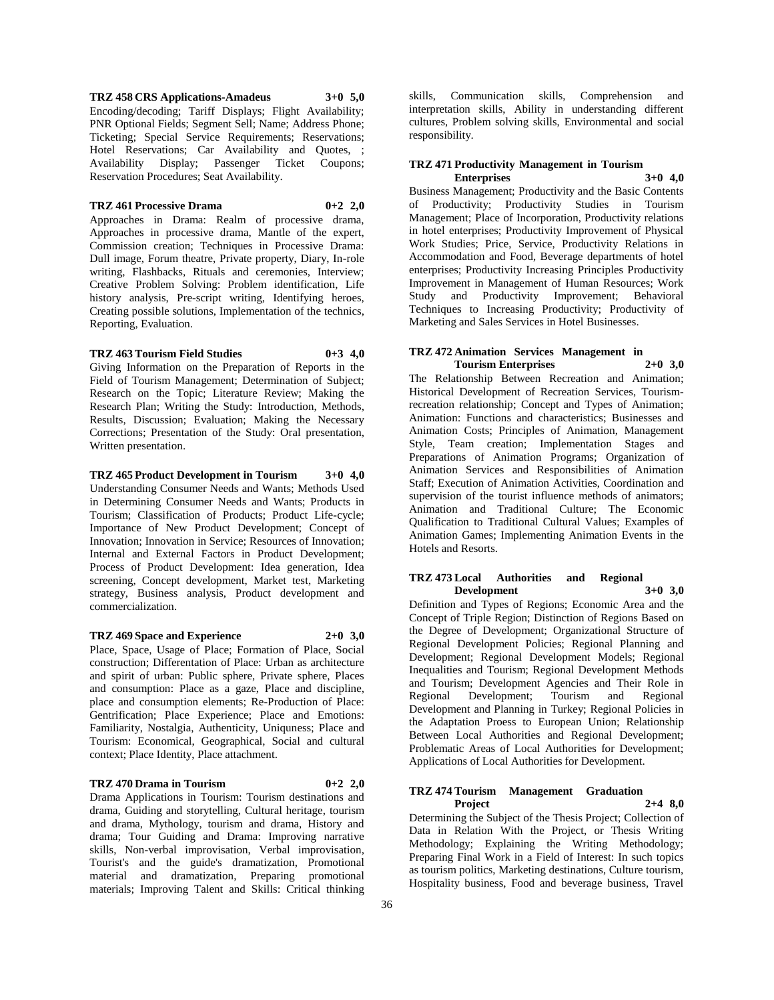**TRZ 458 CRS Applications-Amadeus 3+0 5,0** Encoding/decoding; Tariff Displays; Flight Availability; PNR Optional Fields; Segment Sell; Name; Address Phone; Ticketing; Special Service Requirements; Reservations; Hotel Reservations; Car Availability and Quotes, ; Availability Display; Passenger Ticket Coupons; Reservation Procedures; Seat Availability.

#### **TRZ 461 Processive Drama 0+2 2,0**

Approaches in Drama: Realm of processive drama, Approaches in processive drama, Mantle of the expert, Commission creation; Techniques in Processive Drama: Dull image, Forum theatre, Private property, Diary, In-role writing, Flashbacks, Rituals and ceremonies, Interview; Creative Problem Solving: Problem identification, Life history analysis, Pre-script writing, Identifying heroes, Creating possible solutions, Implementation of the technics, Reporting, Evaluation.

## **TRZ 463 Tourism Field Studies 0+3 4,0**

Giving Information on the Preparation of Reports in the Field of Tourism Management; Determination of Subject; Research on the Topic; Literature Review; Making the Research Plan; Writing the Study: Introduction, Methods, Results, Discussion; Evaluation; Making the Necessary Corrections; Presentation of the Study: Oral presentation, Written presentation.

**TRZ 465 Product Development in Tourism 3+0 4,0** Understanding Consumer Needs and Wants; Methods Used in Determining Consumer Needs and Wants; Products in Tourism; Classification of Products; Product Life-cycle; Importance of New Product Development; Concept of Innovation; Innovation in Service; Resources of Innovation; Internal and External Factors in Product Development; Process of Product Development: Idea generation, Idea screening, Concept development, Market test, Marketing strategy, Business analysis, Product development and commercialization.

#### **TRZ 469 Space and Experience 2+0 3,0**

Place, Space, Usage of Place; Formation of Place, Social construction; Differentation of Place: Urban as architecture and spirit of urban: Public sphere, Private sphere, Places and consumption: Place as a gaze, Place and discipline, place and consumption elements; Re-Production of Place: Gentrification; Place Experience; Place and Emotions: Familiarity, Nostalgia, Authenticity, Uniquness; Place and Tourism: Economical, Geographical, Social and cultural context; Place Identity, Place attachment.

## **TRZ 470 Drama in Tourism 0+2 2,0**

Drama Applications in Tourism: Tourism destinations and drama, Guiding and storytelling, Cultural heritage, tourism and drama, Mythology, tourism and drama, History and drama; Tour Guiding and Drama: Improving narrative skills, Non-verbal improvisation, Verbal improvisation, Tourist's and the guide's dramatization, Promotional material and dramatization, Preparing promotional materials; Improving Talent and Skills: Critical thinking

skills, Communication skills, Comprehension and interpretation skills, Ability in understanding different cultures, Problem solving skills, Environmental and social responsibility.

#### **TRZ 471 Productivity Management in Tourism Enterprises 3+0 4,0**

Business Management; Productivity and the Basic Contents of Productivity; Productivity Studies in Tourism Management; Place of Incorporation, Productivity relations in hotel enterprises; Productivity Improvement of Physical Work Studies; Price, Service, Productivity Relations in Accommodation and Food, Beverage departments of hotel enterprises; Productivity Increasing Principles Productivity Improvement in Management of Human Resources; Work Study and Productivity Improvement; Behavioral Techniques to Increasing Productivity; Productivity of Marketing and Sales Services in Hotel Businesses.

## **TRZ 472 Animation Services Management in Tourism Enterprises 2+0 3,0**

The Relationship Between Recreation and Animation; Historical Development of Recreation Services, Tourismrecreation relationship; Concept and Types of Animation; Animation: Functions and characteristics; Businesses and Animation Costs; Principles of Animation, Management Style, Team creation; Implementation Stages and Preparations of Animation Programs; Organization of Animation Services and Responsibilities of Animation Staff; Execution of Animation Activities, Coordination and supervision of the tourist influence methods of animators; Animation and Traditional Culture; The Economic Qualification to Traditional Cultural Values; Examples of Animation Games; Implementing Animation Events in the Hotels and Resorts.

## **TRZ 473 Local Authorities and Regional Development 3+0 3,0**

Definition and Types of Regions; Economic Area and the Concept of Triple Region; Distinction of Regions Based on the Degree of Development; Organizational Structure of Regional Development Policies; Regional Planning and Development; Regional Development Models; Regional Inequalities and Tourism; Regional Development Methods and Tourism; Development Agencies and Their Role in Regional Development; Tourism and Regional Development and Planning in Turkey; Regional Policies in the Adaptation Proess to European Union; Relationship Between Local Authorities and Regional Development; Problematic Areas of Local Authorities for Development; Applications of Local Authorities for Development.

## **TRZ 474 Tourism Management Graduation Project 2+4 8,0**

Determining the Subject of the Thesis Project; Collection of Data in Relation With the Project, or Thesis Writing Methodology; Explaining the Writing Methodology; Preparing Final Work in a Field of Interest: In such topics as tourism politics, Marketing destinations, Culture tourism, Hospitality business, Food and beverage business, Travel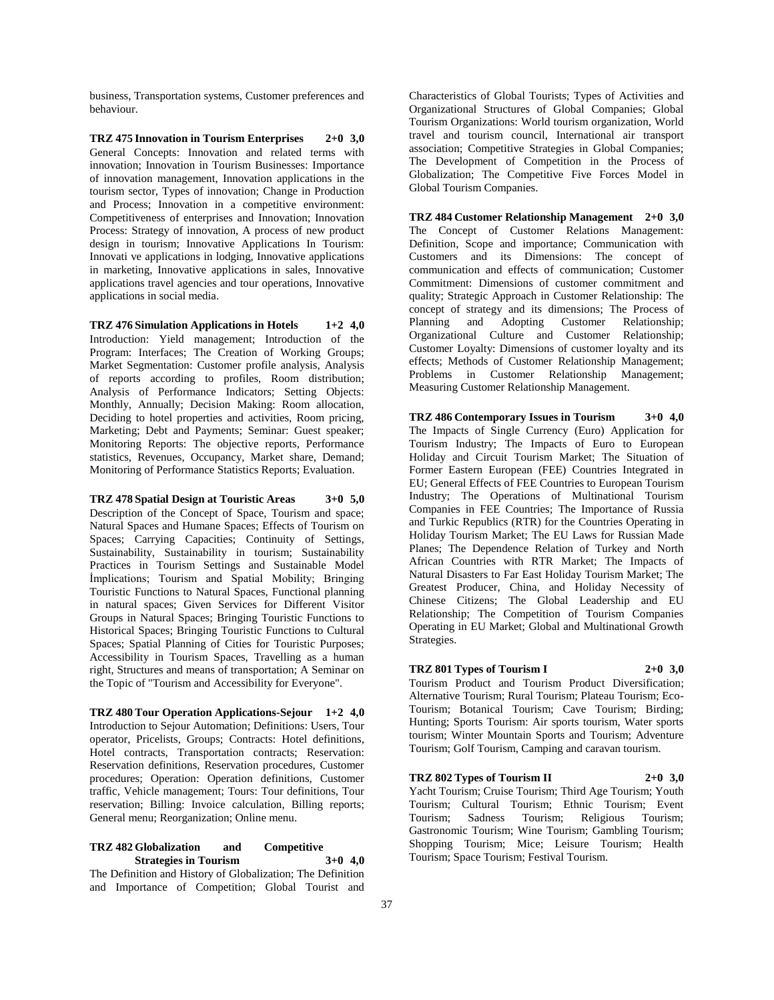business, Transportation systems, Customer preferences and behaviour.

**TRZ 475 Innovation in Tourism Enterprises 2+0 3,0** General Concepts: Innovation and related terms with innovation; Innovation in Tourism Businesses: Importance of innovation management, Innovation applications in the tourism sector, Types of innovation; Change in Production and Process; Innovation in a competitive environment: Competitiveness of enterprises and Innovation; Innovation Process: Strategy of innovation, A process of new product design in tourism; Innovative Applications In Tourism: Innovati ve applications in lodging, Innovative applications in marketing, Innovative applications in sales, Innovative applications travel agencies and tour operations, Innovative applications in social media.

**TRZ 476 Simulation Applications in Hotels 1+2 4,0** Introduction: Yield management; Introduction of the Program: Interfaces; The Creation of Working Groups; Market Segmentation: Customer profile analysis, Analysis of reports according to profiles, Room distribution; Analysis of Performance Indicators; Setting Objects: Monthly, Annually; Decision Making: Room allocation, Deciding to hotel properties and activities, Room pricing, Marketing; Debt and Payments; Seminar: Guest speaker; Monitoring Reports: The objective reports, Performance statistics, Revenues, Occupancy, Market share, Demand; Monitoring of Performance Statistics Reports; Evaluation.

**TRZ 478 Spatial Design at Touristic Areas 3+0 5,0** Description of the Concept of Space, Tourism and space; Natural Spaces and Humane Spaces; Effects of Tourism on Spaces; Carrying Capacities; Continuity of Settings, Sustainability, Sustainability in tourism; Sustainability Practices in Tourism Settings and Sustainable Model İmplications; Tourism and Spatial Mobility; Bringing Touristic Functions to Natural Spaces, Functional planning in natural spaces; Given Services for Different Visitor Groups in Natural Spaces; Bringing Touristic Functions to Historical Spaces; Bringing Touristic Functions to Cultural Spaces; Spatial Planning of Cities for Touristic Purposes; Accessibility in Tourism Spaces, Travelling as a human right, Structures and means of transportation; A Seminar on the Topic of "Tourism and Accessibility for Everyone".

**TRZ 480 Tour Operation Applications-Sejour 1+2 4,0** Introduction to Sejour Automation; Definitions: Users, Tour operator, Pricelists, Groups; Contracts: Hotel definitions, Hotel contracts, Transportation contracts; Reservation: Reservation definitions, Reservation procedures, Customer procedures; Operation: Operation definitions, Customer traffic, Vehicle management; Tours: Tour definitions, Tour reservation; Billing: Invoice calculation, Billing reports; General menu; Reorganization; Online menu.

## **TRZ 482 Globalization and Competitive Strategies in Tourism 3+0 4,0**

The Definition and History of Globalization; The Definition and Importance of Competition; Global Tourist and Characteristics of Global Tourists; Types of Activities and Organizational Structures of Global Companies; Global Tourism Organizations: World tourism organization, World travel and tourism council, International air transport association; Competitive Strategies in Global Companies; The Development of Competition in the Process of Globalization; The Competitive Five Forces Model in Global Tourism Companies.

**TRZ 484 Customer Relationship Management 2+0 3,0** The Concept of Customer Relations Management: Definition, Scope and importance; Communication with Customers and its Dimensions: The concept of communication and effects of communication; Customer Commitment: Dimensions of customer commitment and quality; Strategic Approach in Customer Relationship: The concept of strategy and its dimensions; The Process of Planning and Adopting Customer Relationship; Organizational Culture and Customer Relationship; Customer Loyalty: Dimensions of customer loyalty and its effects; Methods of Customer Relationship Management; Problems in Customer Relationship Management; Measuring Customer Relationship Management.

**TRZ 486 Contemporary Issues in Tourism 3+0 4,0** The Impacts of Single Currency (Euro) Application for Tourism Industry; The Impacts of Euro to European Holiday and Circuit Tourism Market; The Situation of Former Eastern European (FEE) Countries Integrated in EU; General Effects of FEE Countries to European Tourism Industry; The Operations of Multinational Tourism Companies in FEE Countries; The Importance of Russia and Turkic Republics (RTR) for the Countries Operating in Holiday Tourism Market; The EU Laws for Russian Made Planes; The Dependence Relation of Turkey and North African Countries with RTR Market; The Impacts of Natural Disasters to Far East Holiday Tourism Market; The Greatest Producer, China, and Holiday Necessity of Chinese Citizens; The Global Leadership and EU Relationship; The Competition of Tourism Companies Operating in EU Market; Global and Multinational Growth Strategies.

#### **TRZ 801 Types of Tourism I 2+0 3,0**

Tourism Product and Tourism Product Diversification; Alternative Tourism; Rural Tourism; Plateau Tourism; Eco-Tourism; Botanical Tourism; Cave Tourism; Birding; Hunting; Sports Tourism: Air sports tourism, Water sports tourism; Winter Mountain Sports and Tourism; Adventure Tourism; Golf Tourism, Camping and caravan tourism.

## **TRZ 802 Types of Tourism II 2+0 3,0**

Yacht Tourism; Cruise Tourism; Third Age Tourism; Youth Tourism; Cultural Tourism; Ethnic Tourism; Event Tourism; Sadness Tourism; Religious Tourism; Gastronomic Tourism; Wine Tourism; Gambling Tourism; Shopping Tourism; Mice: Leisure Tourism; Health Tourism; Space Tourism; Festival Tourism.